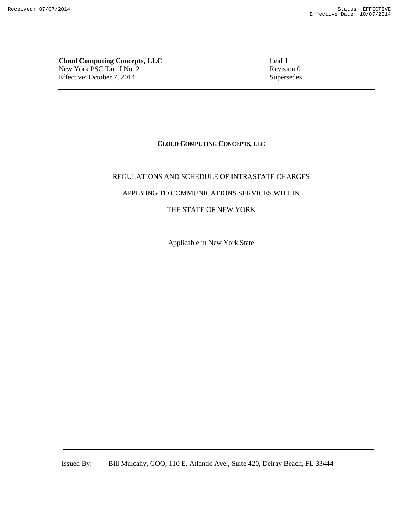**Cloud Computing Concepts, LLC** Leaf 1 New York PSC Tariff No. 2 Revision 0 Effective: October 7, 2014 Supersedes

# **CLOUD COMPUTING CONCEPTS, LLC**

# REGULATIONS AND SCHEDULE OF INTRASTATE CHARGES

# APPLYING TO COMMUNICATIONS SERVICES WITHIN

# THE STATE OF NEW YORK

Applicable in New York State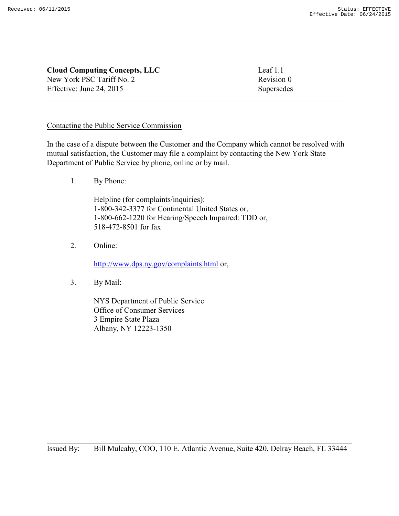| <b>Cloud Computing Concepts, LLC</b> | Leaf $1.1$ |
|--------------------------------------|------------|
| New York PSC Tariff No. 2            | Revision 0 |
| Effective: June 24, 2015             | Supersedes |

# Contacting the Public Service Commission

In the case of a dispute between the Customer and the Company which cannot be resolved with mutual satisfaction, the Customer may file a complaint by contacting the New York State Department of Public Service by phone, online or by mail.

1. By Phone:

Helpline (for complaints/inquiries): 1-800-342-3377 for Continental United States or, 1-800-662-1220 for Hearing/Speech Impaired: TDD or, 518-472-8501 for fax

2. Online:

http://www.dps.ny.gov/complaints.html or,

3. By Mail:

NYS Department of Public Service Office of Consumer Services 3 Empire State Plaza Albany, NY 12223-1350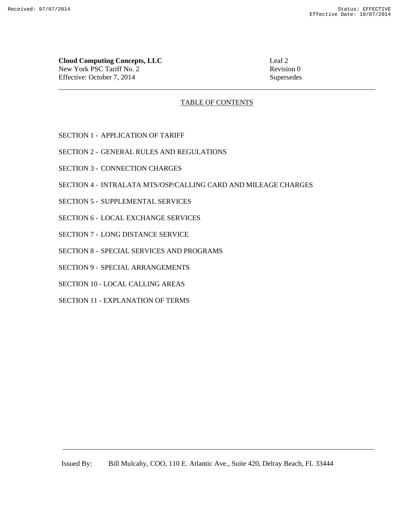**Cloud Computing Concepts, LLC** Leaf 2 New York PSC Tariff No. 2 Revision 0 Effective: October 7, 2014 Supersedes

# TABLE OF CONTENTS

- SECTION 1 APPLICATION OF TARIFF
- SECTION 2 GENERAL RULES AND REGULATIONS
- SECTION 3 CONNECTION CHARGES
- SECTION 4 INTRALATA MTS/OSP/CALLING CARD AND MILEAGE CHARGES
- SECTION 5 SUPPLEMENTAL SERVICES
- SECTION 6 LOCAL EXCHANGE SERVICES
- SECTION 7 LONG DISTANCE SERVICE
- SECTION 8 SPECIAL SERVICES AND PROGRAMS
- SECTION 9 SPECIAL ARRANGEMENTS
- SECTION 10 LOCAL CALLING AREAS
- SECTION 11 EXPLANATION OF TERMS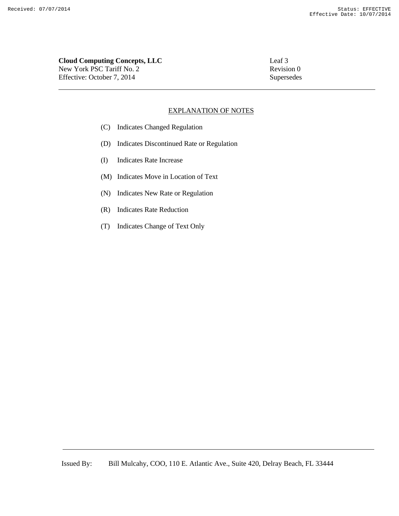# **Cloud Computing Concepts, LLC** Leaf 3 New York PSC Tariff No. 2 Revision 0 Effective: October 7, 2014 Supersedes

# EXPLANATION OF NOTES

- (C) Indicates Changed Regulation
- (D) Indicates Discontinued Rate or Regulation
- (I) Indicates Rate Increase
- (M) Indicates Move in Location of Text
- (N) Indicates New Rate or Regulation
- (R) Indicates Rate Reduction
- (T) Indicates Change of Text Only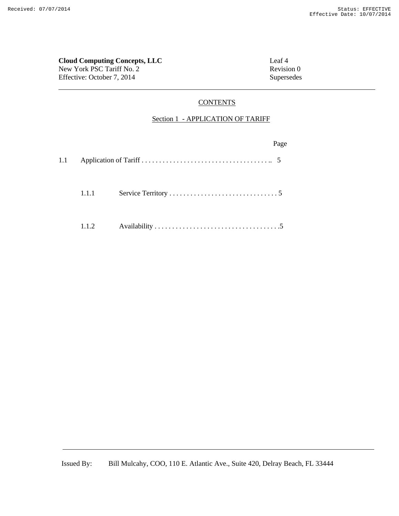# **Cloud Computing Concepts, LLC** Leaf 4 New York PSC Tariff No. 2 Revision 0 Effective: October 7, 2014 Supersedes

# **CONTENTS**

# Section 1 - APPLICATION OF TARIFF

|     |       | Page |
|-----|-------|------|
| 1.1 |       |      |
|     | 1.1.1 |      |
|     | 1.1.2 |      |

Issued By: Bill Mulcahy, COO, 110 E. Atlantic Ave., Suite 420, Delray Beach, FL 33444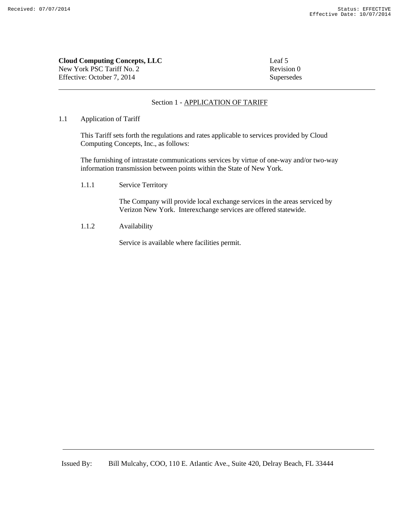| <b>Cloud Computing Concepts, LLC</b> | Leaf 5     |
|--------------------------------------|------------|
| New York PSC Tariff No. 2            | Revision 0 |
| Effective: October 7, 2014           | Supersedes |

# Section 1 - APPLICATION OF TARIFF

## 1.1 Application of Tariff

This Tariff sets forth the regulations and rates applicable to services provided by Cloud Computing Concepts, Inc., as follows:

The furnishing of intrastate communications services by virtue of one-way and/or two-way information transmission between points within the State of New York.

1.1.1 Service Territory

The Company will provide local exchange services in the areas serviced by Verizon New York. Interexchange services are offered statewide.

1.1.2 Availability

Service is available where facilities permit.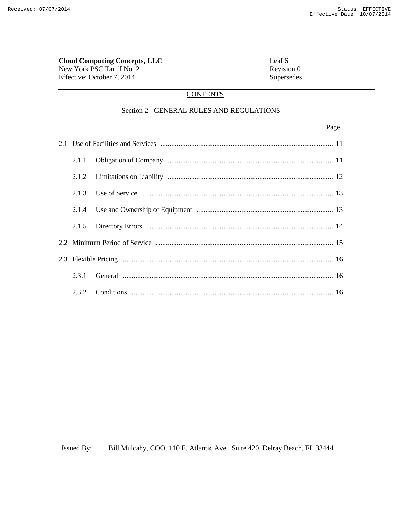New York PSC Tariff No. 2 Revision 0 Effective: October 7, 2014 Supersedes

# **CONTENTS**

#### Section 2 - GENERAL RULES AND REGULATIONS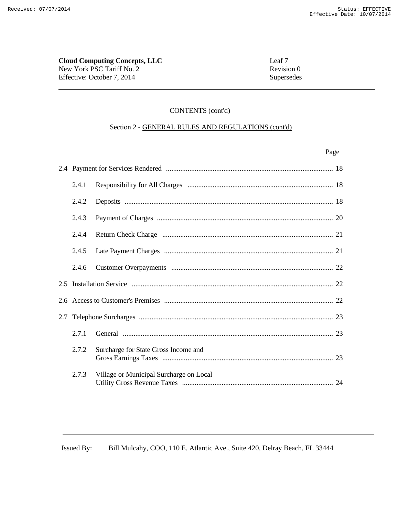**Cloud Computing Concepts, LLC** Leaf 7 New York PSC Tariff No. 2 Revision 0 Effective: October 7, 2014 Supersedes

### CONTENTS (cont'd)

# Section 2 - GENERAL RULES AND REGULATIONS (cont'd)

| Page |
|------|
|      |
|      |

| 2.4.1 |                                         |  |
|-------|-----------------------------------------|--|
| 2.4.2 |                                         |  |
| 2.4.3 |                                         |  |
| 2.4.4 |                                         |  |
| 2.4.5 |                                         |  |
| 2.4.6 |                                         |  |
|       |                                         |  |
|       |                                         |  |
|       |                                         |  |
| 2.7.1 |                                         |  |
| 2.7.2 | Surcharge for State Gross Income and    |  |
| 2.7.3 | Village or Municipal Surcharge on Local |  |

Issued By: Bill Mulcahy, COO, 110 E. Atlantic Ave., Suite 420, Delray Beach, FL 33444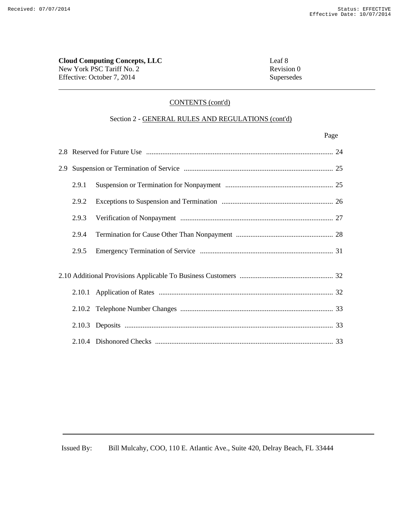# **Cloud Computing Concepts, LLC** Leaf 8 New York PSC Tariff No. 2 Revision 0 Effective: October 7, 2014 Supersedes

# CONTENTS (cont'd)

# Section 2 - GENERAL RULES AND REGULATIONS (cont'd)

#### Page **Page**

| 2.9.1 |  |  |
|-------|--|--|
| 2.9.2 |  |  |
| 2.9.3 |  |  |
| 2.9.4 |  |  |
| 2.9.5 |  |  |
|       |  |  |
|       |  |  |
|       |  |  |
|       |  |  |
|       |  |  |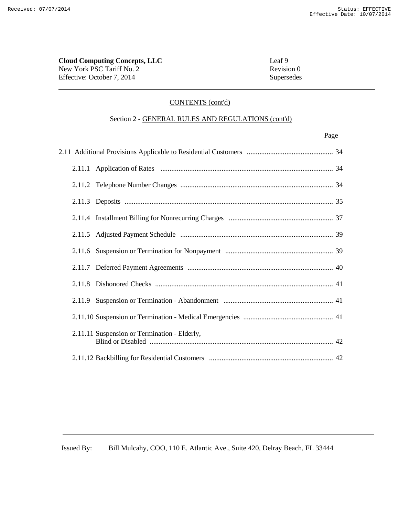# **Cloud Computing Concepts, LLC** Leaf 9 New York PSC Tariff No. 2 Revision 0 Effective: October 7, 2014 Supersedes

# CONTENTS (cont'd)

# Section 2 - GENERAL RULES AND REGULATIONS (cont'd)

Page **Page** 

|  | 2.11.11 Suspension or Termination - Elderly, |  |
|--|----------------------------------------------|--|
|  |                                              |  |

Issued By: Bill Mulcahy, COO, 110 E. Atlantic Ave., Suite 420, Delray Beach, FL 33444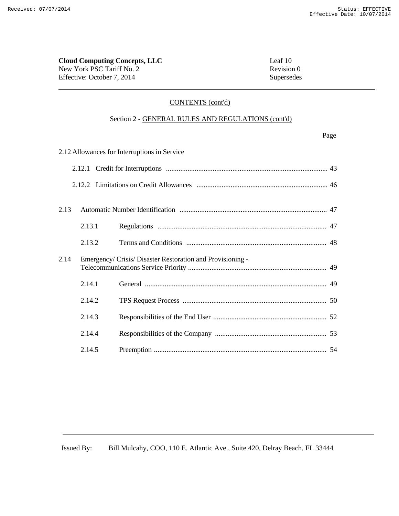# **Cloud Computing Concepts, LLC**<br>
New York PSC Tariff No. 2 Revision 0 New York PSC Tariff No. 2 Effective: October 7, 2014 Supersedes

# CONTENTS (cont'd)

# Section 2 - GENERAL RULES AND REGULATIONS (cont'd)

| 2.12 Allowances for Interruptions in Service |  |
|----------------------------------------------|--|
|                                              |  |

| 2.13 |        |                                                            |  |
|------|--------|------------------------------------------------------------|--|
|      | 2.13.1 |                                                            |  |
|      | 2.13.2 |                                                            |  |
| 2.14 |        | Emergency/ Crisis/ Disaster Restoration and Provisioning - |  |
|      | 2.14.1 |                                                            |  |
|      | 2.14.2 |                                                            |  |
|      | 2.14.3 |                                                            |  |
|      | 2.14.4 |                                                            |  |
|      | 2.14.5 |                                                            |  |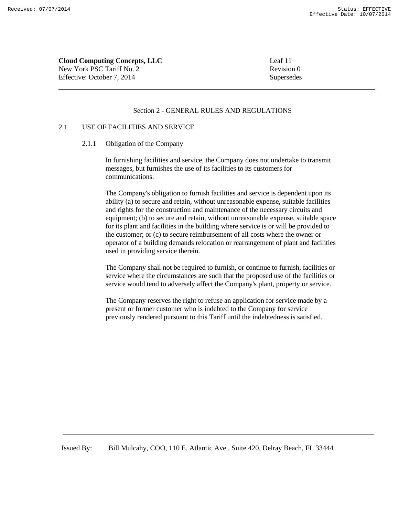**Cloud Computing Concepts, LLC** Leaf 11 New York PSC Tariff No. 2 Revision 0 Effective: October 7, 2014 Supersedes

#### Section 2 - GENERAL RULES AND REGULATIONS

# 2.1 USE OF FACILITIES AND SERVICE

2.1.1 Obligation of the Company

In furnishing facilities and service, the Company does not undertake to transmit messages, but furnishes the use of its facilities to its customers for communications.

The Company's obligation to furnish facilities and service is dependent upon its ability (a) to secure and retain, without unreasonable expense, suitable facilities and rights for the construction and maintenance of the necessary circuits and equipment; (b) to secure and retain, without unreasonable expense, suitable space for its plant and facilities in the building where service is or will be provided to the customer; or (c) to secure reimbursement of all costs where the owner or operator of a building demands relocation or rearrangement of plant and facilities used in providing service therein.

The Company shall not be required to furnish, or continue to furnish, facilities or service where the circumstances are such that the proposed use of the facilities or service would tend to adversely affect the Company's plant, property or service.

The Company reserves the right to refuse an application for service made by a present or former customer who is indebted to the Company for service previously rendered pursuant to this Tariff until the indebtedness is satisfied.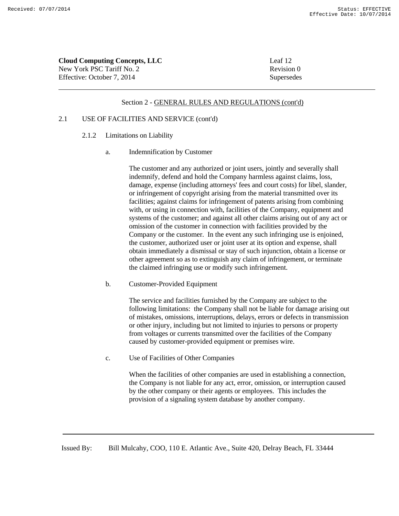| <b>Cloud Computing Concepts, LLC</b> | Leaf 12    |
|--------------------------------------|------------|
| New York PSC Tariff No. 2            | Revision 0 |
| Effective: October 7, 2014           | Supersedes |

#### 2.1 USE OF FACILITIES AND SERVICE (cont'd)

- 2.1.2 Limitations on Liability
	- a. Indemnification by Customer

The customer and any authorized or joint users, jointly and severally shall indemnify, defend and hold the Company harmless against claims, loss, damage, expense (including attorneys' fees and court costs) for libel, slander, or infringement of copyright arising from the material transmitted over its facilities; against claims for infringement of patents arising from combining with, or using in connection with, facilities of the Company, equipment and systems of the customer; and against all other claims arising out of any act or omission of the customer in connection with facilities provided by the Company or the customer. In the event any such infringing use is enjoined, the customer, authorized user or joint user at its option and expense, shall obtain immediately a dismissal or stay of such injunction, obtain a license or other agreement so as to extinguish any claim of infringement, or terminate the claimed infringing use or modify such infringement.

b. Customer-Provided Equipment

The service and facilities furnished by the Company are subject to the following limitations: the Company shall not be liable for damage arising out of mistakes, omissions, interruptions, delays, errors or defects in transmission or other injury, including but not limited to injuries to persons or property from voltages or currents transmitted over the facilities of the Company caused by customer-provided equipment or premises wire.

c. Use of Facilities of Other Companies

When the facilities of other companies are used in establishing a connection, the Company is not liable for any act, error, omission, or interruption caused by the other company or their agents or employees. This includes the provision of a signaling system database by another company.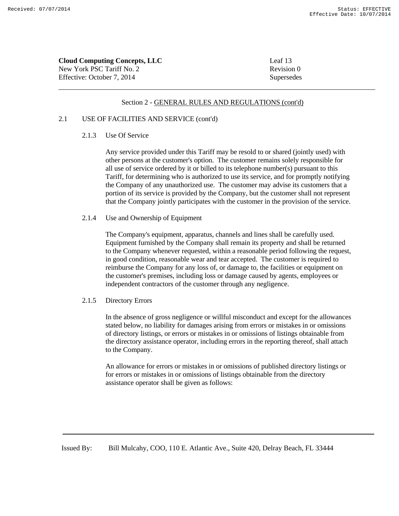| <b>Cloud Computing Concepts, LLC</b> | Leaf 13    |
|--------------------------------------|------------|
| New York PSC Tariff No. 2            | Revision 0 |
| Effective: October 7, 2014           | Supersedes |

### 2.1 USE OF FACILITIES AND SERVICE (cont'd)

# 2.1.3 Use Of Service

Any service provided under this Tariff may be resold to or shared (jointly used) with other persons at the customer's option. The customer remains solely responsible for all use of service ordered by it or billed to its telephone number(s) pursuant to this Tariff, for determining who is authorized to use its service, and for promptly notifying the Company of any unauthorized use. The customer may advise its customers that a portion of its service is provided by the Company, but the customer shall not represent that the Company jointly participates with the customer in the provision of the service.

# 2.1.4 Use and Ownership of Equipment

The Company's equipment, apparatus, channels and lines shall be carefully used. Equipment furnished by the Company shall remain its property and shall be returned to the Company whenever requested, within a reasonable period following the request, in good condition, reasonable wear and tear accepted. The customer is required to reimburse the Company for any loss of, or damage to, the facilities or equipment on the customer's premises, including loss or damage caused by agents, employees or independent contractors of the customer through any negligence.

### 2.1.5 Directory Errors

In the absence of gross negligence or willful misconduct and except for the allowances stated below, no liability for damages arising from errors or mistakes in or omissions of directory listings, or errors or mistakes in or omissions of listings obtainable from the directory assistance operator, including errors in the reporting thereof, shall attach to the Company.

An allowance for errors or mistakes in or omissions of published directory listings or for errors or mistakes in or omissions of listings obtainable from the directory assistance operator shall be given as follows: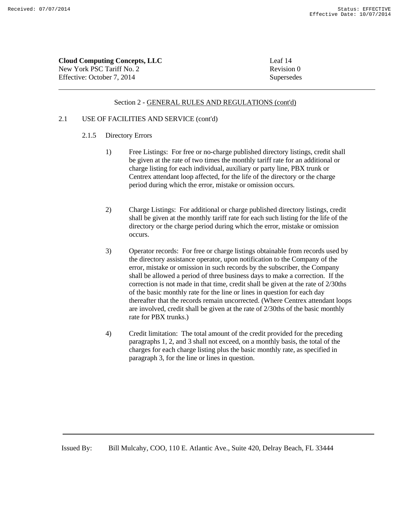| <b>Cloud Computing Concepts, LLC</b> | Leaf 14    |
|--------------------------------------|------------|
| New York PSC Tariff No. 2            | Revision 0 |
| Effective: October 7, 2014           | Supersedes |

### 2.1 USE OF FACILITIES AND SERVICE (cont'd)

# 2.1.5 Directory Errors

- 1) Free Listings: For free or no-charge published directory listings, credit shall be given at the rate of two times the monthly tariff rate for an additional or charge listing for each individual, auxiliary or party line, PBX trunk or Centrex attendant loop affected, for the life of the directory or the charge period during which the error, mistake or omission occurs.
- 2) Charge Listings: For additional or charge published directory listings, credit shall be given at the monthly tariff rate for each such listing for the life of the directory or the charge period during which the error, mistake or omission occurs.
- 3) Operator records: For free or charge listings obtainable from records used by the directory assistance operator, upon notification to the Company of the error, mistake or omission in such records by the subscriber, the Company shall be allowed a period of three business days to make a correction. If the correction is not made in that time, credit shall be given at the rate of 2/30ths of the basic monthly rate for the line or lines in question for each day thereafter that the records remain uncorrected. (Where Centrex attendant loops are involved, credit shall be given at the rate of 2/30ths of the basic monthly rate for PBX trunks.)
- 4) Credit limitation: The total amount of the credit provided for the preceding paragraphs 1, 2, and 3 shall not exceed, on a monthly basis, the total of the charges for each charge listing plus the basic monthly rate, as specified in paragraph 3, for the line or lines in question.

Issued By: Bill Mulcahy, COO, 110 E. Atlantic Ave., Suite 420, Delray Beach, FL 33444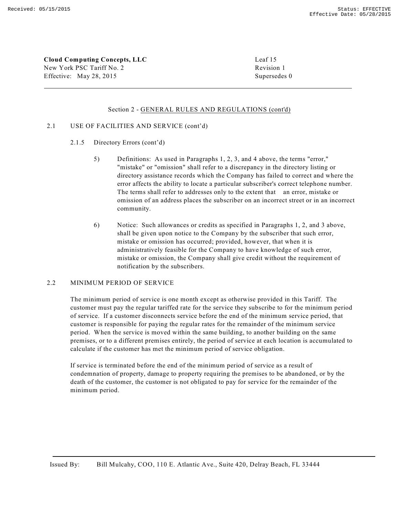**Cloud Computing Concepts, LLC** Leaf 15 New York PSC Tariff No. 2 Revision 1 Effective: May 28, 2015 Supersedes 0

#### Section 2 - GENERAL RULES AND REGULATIONS (cont'd)

### 2.1 USE OF FACILITIES AND SERVICE (cont'd)

- 2.1.5 Directory Errors (cont'd)
	- 5) Definitions: As used in Paragraphs 1, 2, 3, and 4 above, the terms "error," "mistake" or "omission" shall refer to a discrepancy in the directory listing or directory assistance records which the Company has failed to correct and where the error affects the ability to locate a particular subscriber's correct telephone number. The terms shall refer to addresses only to the extent that an error, mistake or omission of an address places the subscriber on an incorrect street or in an incorrect community.
	- 6) Notice: Such allowances or credits as specified in Paragraphs 1, 2, and 3 above, shall be given upon notice to the Company by the subscriber that such error, mistake or omission has occurred; provided, however, that when it is administratively feasible for the Company to have knowledge of such error, mistake or omission, the Company shall give credit without the requirement of notification by the subscribers.

#### 2.2 MINIMUM PERIOD OF SERVICE

The minimum period of service is one month except as otherwise provided in this Tariff. The customer must pay the regular tariffed rate for the service they subscribe to for the minimum period of service. If a customer disconnects service before the end of the minimum service period, that customer is responsible for paying the regular rates for the remainder of the minimum service period. When the service is moved within the same building, to another building on the same premises, or to a different premises entirely, the period of service at each location is accumulated to calculate if the customer has met the minimum period of service obligation.

If service is terminated before the end of the minimum period of service as a result of condemnation of property, damage to property requiring the premises to be abandoned, or by the death of the customer, the customer is not obligated to pay for service for the remainder of the minimum period.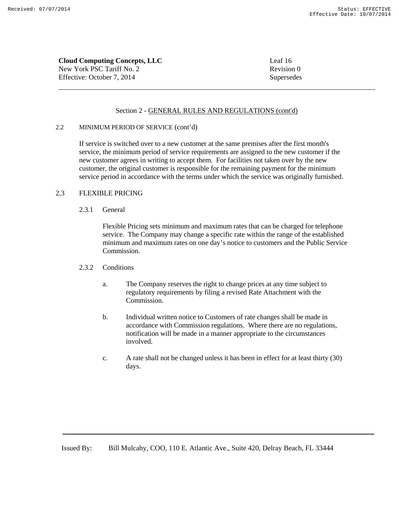**Cloud Computing Concepts, LLC** Leaf 16 New York PSC Tariff No. 2 Revision 0 Effective: October 7, 2014 Supersedes

### Section 2 - GENERAL RULES AND REGULATIONS (cont'd)

#### 2.2 MINIMUM PERIOD OF SERVICE (cont'd)

If service is switched over to a new customer at the same premises after the first month's service, the minimum period of service requirements are assigned to the new customer if the new customer agrees in writing to accept them. For facilities not taken over by the new customer, the original customer is responsible for the remaining payment for the minimum service period in accordance with the terms under which the service was originally furnished.

# 2.3 FLEXIBLE PRICING

2.3.1 General

Flexible Pricing sets minimum and maximum rates that can be charged for telephone service. The Company may change a specific rate within the range of the established minimum and maximum rates on one day's notice to customers and the Public Service Commission.

### 2.3.2 Conditions

- a. The Company reserves the right to change prices at any time subject to regulatory requirements by filing a revised Rate Attachment with the Commission.
- b. Individual written notice to Customers of rate changes shall be made in accordance with Commission regulations. Where there are no regulations, notification will be made in a manner appropriate to the circumstances involved.
- c. A rate shall not be changed unless it has been in effect for at least thirty (30) days.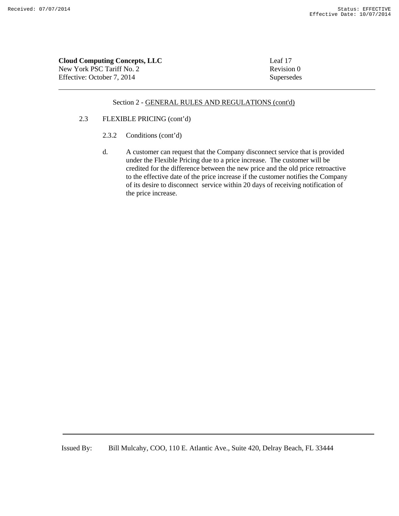| <b>Cloud Computing Concepts, LLC</b> | Leaf 17    |
|--------------------------------------|------------|
| New York PSC Tariff No. 2            | Revision 0 |
| Effective: October 7. 2014           | Supersedes |

### 2.3 FLEXIBLE PRICING (cont'd)

- 2.3.2 Conditions (cont'd)
- d. A customer can request that the Company disconnect service that is provided under the Flexible Pricing due to a price increase. The customer will be credited for the difference between the new price and the old price retroactive to the effective date of the price increase if the customer notifies the Company of its desire to disconnect service within 20 days of receiving notification of the price increase.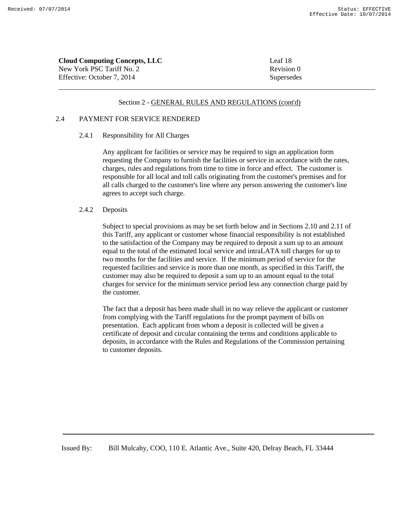| <b>Cloud Computing Concepts, LLC</b> | Leaf 18    |
|--------------------------------------|------------|
| New York PSC Tariff No. 2            | Revision 0 |
| Effective: October 7, 2014           | Supersedes |

### 2.4 PAYMENT FOR SERVICE RENDERED

#### 2.4.1 Responsibility for All Charges

Any applicant for facilities or service may be required to sign an application form requesting the Company to furnish the facilities or service in accordance with the rates, charges, rules and regulations from time to time in force and effect. The customer is responsible for all local and toll calls originating from the customer's premises and for all calls charged to the customer's line where any person answering the customer's line agrees to accept such charge.

#### 2.4.2 Deposits

Subject to special provisions as may be set forth below and in Sections 2.10 and 2.11 of this Tariff, any applicant or customer whose financial responsibility is not established to the satisfaction of the Company may be required to deposit a sum up to an amount equal to the total of the estimated local service and intraLATA toll charges for up to two months for the facilities and service. If the minimum period of service for the requested facilities and service is more than one month, as specified in this Tariff, the customer may also be required to deposit a sum up to an amount equal to the total charges for service for the minimum service period less any connection charge paid by the customer.

The fact that a deposit has been made shall in no way relieve the applicant or customer from complying with the Tariff regulations for the prompt payment of bills on presentation. Each applicant from whom a deposit is collected will be given a certificate of deposit and circular containing the terms and conditions applicable to deposits, in accordance with the Rules and Regulations of the Commission pertaining to customer deposits.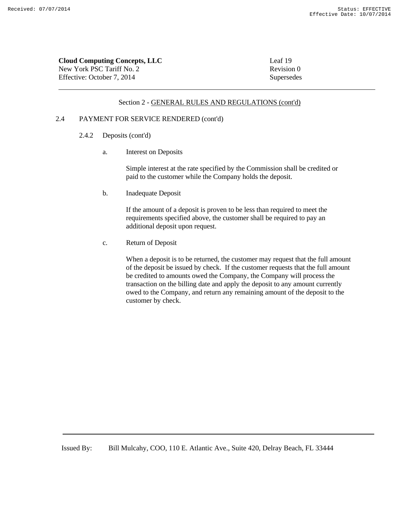| <b>Cloud Computing Concepts, LLC</b> | Leaf 19    |
|--------------------------------------|------------|
| New York PSC Tariff No. 2            | Revision 0 |
| Effective: October 7, 2014           | Supersedes |

### 2.4 PAYMENT FOR SERVICE RENDERED (cont'd)

- 2.4.2 Deposits (cont'd)
	- a. Interest on Deposits

Simple interest at the rate specified by the Commission shall be credited or paid to the customer while the Company holds the deposit.

b. Inadequate Deposit

If the amount of a deposit is proven to be less than required to meet the requirements specified above, the customer shall be required to pay an additional deposit upon request.

c. Return of Deposit

When a deposit is to be returned, the customer may request that the full amount of the deposit be issued by check. If the customer requests that the full amount be credited to amounts owed the Company, the Company will process the transaction on the billing date and apply the deposit to any amount currently owed to the Company, and return any remaining amount of the deposit to the customer by check.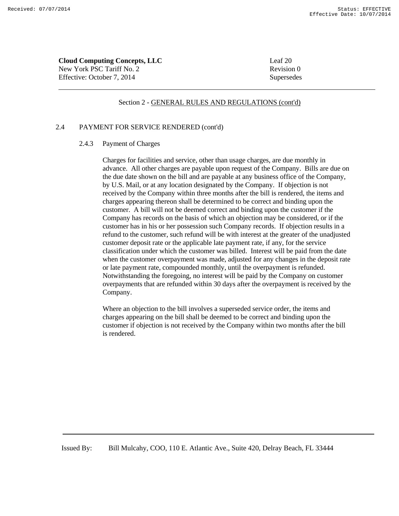| <b>Cloud Computing Concepts, LLC</b> | Leaf 20    |
|--------------------------------------|------------|
| New York PSC Tariff No. 2            | Revision 0 |
| Effective: October 7, 2014           | Supersedes |

#### 2.4 PAYMENT FOR SERVICE RENDERED (cont'd)

# 2.4.3 Payment of Charges

Charges for facilities and service, other than usage charges, are due monthly in advance. All other charges are payable upon request of the Company. Bills are due on the due date shown on the bill and are payable at any business office of the Company, by U.S. Mail, or at any location designated by the Company. If objection is not received by the Company within three months after the bill is rendered, the items and charges appearing thereon shall be determined to be correct and binding upon the customer. A bill will not be deemed correct and binding upon the customer if the Company has records on the basis of which an objection may be considered, or if the customer has in his or her possession such Company records. If objection results in a refund to the customer, such refund will be with interest at the greater of the unadjusted customer deposit rate or the applicable late payment rate, if any, for the service classification under which the customer was billed. Interest will be paid from the date when the customer overpayment was made, adjusted for any changes in the deposit rate or late payment rate, compounded monthly, until the overpayment is refunded. Notwithstanding the foregoing, no interest will be paid by the Company on customer overpayments that are refunded within 30 days after the overpayment is received by the Company.

Where an objection to the bill involves a superseded service order, the items and charges appearing on the bill shall be deemed to be correct and binding upon the customer if objection is not received by the Company within two months after the bill is rendered.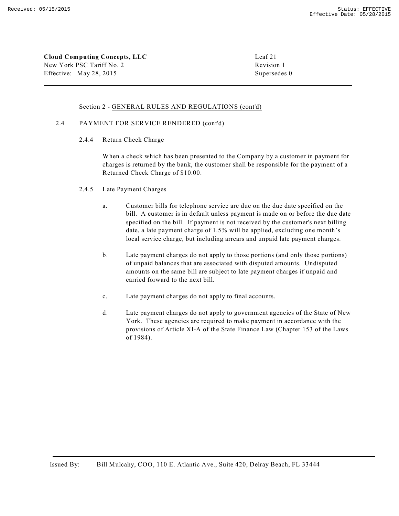**Cloud Computing Concepts, LLC** Leaf 21 New York PSC Tariff No. 2 Revision 1 Effective: May 28, 2015 Supersedes 0

### Section 2 - GENERAL RULES AND REGULATIONS (cont'd)

#### 2.4 PAYMENT FOR SERVICE RENDERED (cont'd)

2.4.4 Return Check Charge

When a check which has been presented to the Company by a customer in payment for charges is returned by the bank, the customer shall be responsible for the payment of a Returned Check Charge of \$10.00.

#### 2.4.5 Late Payment Charges

- a. Customer bills for telephone service are due on the due date specified on the bill. A customer is in default unless payment is made on or before the due date specified on the bill. If payment is not received by the customer's next billing date, a late payment charge of 1.5% will be applied, excluding one month's local service charge, but including arrears and unpaid late payment charges.
- b. Late payment charges do not apply to those portions (and only those portions) of unpaid balances that are associated with disputed amounts. Undisputed amounts on the same bill are subject to late payment charges if unpaid and carried forward to the next bill.
- c. Late payment charges do not apply to final accounts.
- d. Late payment charges do not apply to government agencies of the State of New York. These agencies are required to make payment in accordance with the provisions of Article XI-A of the State Finance Law (Chapter 153 of the Laws of 1984).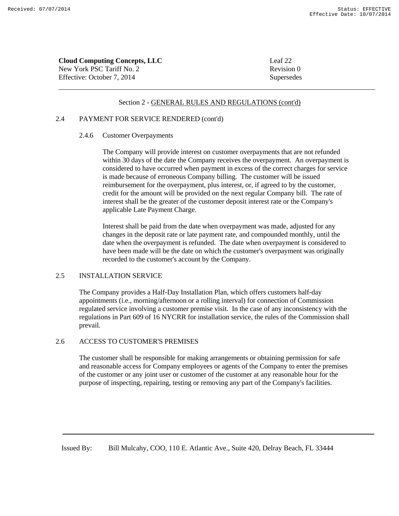| <b>Cloud Computing Concepts, LLC</b> | Leaf 22    |
|--------------------------------------|------------|
| New York PSC Tariff No. 2            | Revision 0 |
| Effective: October 7. 2014           | Supersedes |

#### 2.4 PAYMENT FOR SERVICE RENDERED (cont'd)

#### 2.4.6 Customer Overpayments

The Company will provide interest on customer overpayments that are not refunded within 30 days of the date the Company receives the overpayment. An overpayment is considered to have occurred when payment in excess of the correct charges for service is made because of erroneous Company billing. The customer will be issued reimbursement for the overpayment, plus interest, or, if agreed to by the customer, credit for the amount will be provided on the next regular Company bill. The rate of interest shall be the greater of the customer deposit interest rate or the Company's applicable Late Payment Charge.

Interest shall be paid from the date when overpayment was made, adjusted for any changes in the deposit rate or late payment rate, and compounded monthly, until the date when the overpayment is refunded. The date when overpayment is considered to have been made will be the date on which the customer's overpayment was originally recorded to the customer's account by the Company.

### 2.5 INSTALLATION SERVICE

The Company provides a Half-Day Installation Plan, which offers customers half-day appointments (i.e., morning/afternoon or a rolling interval) for connection of Commission regulated service involving a customer premise visit. In the case of any inconsistency with the regulations in Part 609 of 16 NYCRR for installation service, the rules of the Commission shall prevail.

# 2.6 ACCESS TO CUSTOMER'S PREMISES

The customer shall be responsible for making arrangements or obtaining permission for safe and reasonable access for Company employees or agents of the Company to enter the premises of the customer or any joint user or customer of the customer at any reasonable hour for the purpose of inspecting, repairing, testing or removing any part of the Company's facilities.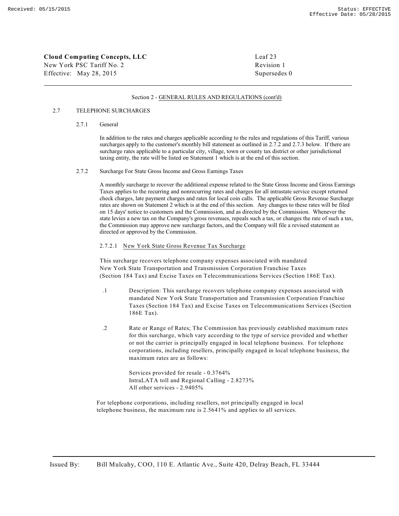New York PSC Tariff No. 2 Revision 1 Effective: May 28, 2015 Supersedes 0

#### Section 2 - GENERAL RULES AND REGULATIONS (cont'd)

#### 2.7 TELEPHONE SURCHARGES

#### 2.7.1 General

In addition to the rates and charges applicable according to the rules and regulations of this Tariff, various surcharges apply to the customer's monthly bill statement as outlined in 2.7.2 and 2.7.3 below. If there are surcharge rates applicable to a particular city, village, town or county tax district or other jurisdictional taxing entity, the rate will be listed on Statement 1 which is at the end of this section.

#### 2.7.2 Surcharge For State Gross Income and Gross Earnings Taxes

A monthly surcharge to recover the additional expense related to the State Gross Income and Gross Earnings Taxes applies to the recurring and nonrecurring rates and charges for all intrastate service except returned check charges, late payment charges and rates for local coin calls. The applicable Gross Revenue Surcharge rates are shown on Statement 2 which is at the end of this section. Any changes to these rates will be filed on 15 days' notice to customers and the Commission, and as directed by the Commission. Whenever the state levies a new tax on the Company's gross revenues, repeals such a tax, or changes the rate of such a tax, the Commission may approve new surcharge factors, and the Company will file a revised statement as directed or approved by the Commission.

#### 2.7.2.1 New York State Gross Revenue Tax Surcharge

This surcharge recovers telephone company expenses associated with mandated New York State Transportation and Transmission Corporation Franchise Taxes (Section 184 Tax) and Excise Taxes on Telecommunications Services (Section 186E Tax).

- .1 Description: This surcharge recovers telephone company expenses associated with mandated New York State Transportation and Transmission Corporation Franchise Taxes (Section 184 Tax) and Excise Taxes on Telecommunications Services (Section 186E Tax).
- .2 Rate or Range of Rates; The Commission has previously established maximum rates for this surcharge, which vary according to the type of service provided and whether or not the carrier is principally engaged in local telephone business. For telephone corporations, including resellers, principally engaged in local telephone business, the maximum rates are as follows:

Services provided for resale - 0.3764% IntraLATA toll and Regional Calling - 2.8273% All other services - 2.9405%

For telephone corporations, including resellers, not principally engaged in local telephone business, the maximum rate is 2.5641% and applies to all services.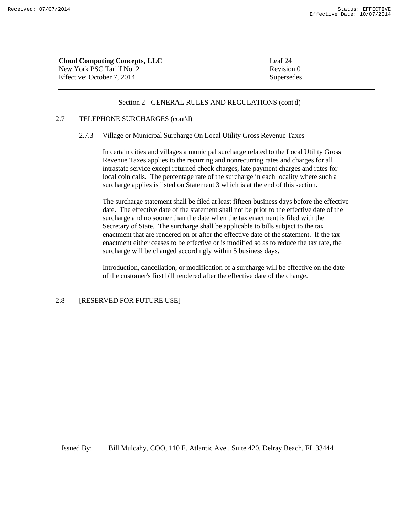| <b>Cloud Computing Concepts, LLC</b> | Leaf 24    |
|--------------------------------------|------------|
| New York PSC Tariff No. 2            | Revision 0 |
| Effective: October 7. 2014           | Supersedes |

### 2.7 TELEPHONE SURCHARGES (cont'd)

#### 2.7.3 Village or Municipal Surcharge On Local Utility Gross Revenue Taxes

In certain cities and villages a municipal surcharge related to the Local Utility Gross Revenue Taxes applies to the recurring and nonrecurring rates and charges for all intrastate service except returned check charges, late payment charges and rates for local coin calls. The percentage rate of the surcharge in each locality where such a surcharge applies is listed on Statement 3 which is at the end of this section.

The surcharge statement shall be filed at least fifteen business days before the effective date. The effective date of the statement shall not be prior to the effective date of the surcharge and no sooner than the date when the tax enactment is filed with the Secretary of State. The surcharge shall be applicable to bills subject to the tax enactment that are rendered on or after the effective date of the statement. If the tax enactment either ceases to be effective or is modified so as to reduce the tax rate, the surcharge will be changed accordingly within 5 business days.

Introduction, cancellation, or modification of a surcharge will be effective on the date of the customer's first bill rendered after the effective date of the change.

# 2.8 [RESERVED FOR FUTURE USE]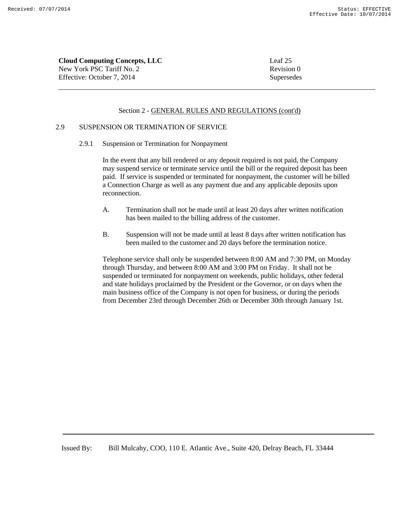**Cloud Computing Concepts, LLC** Leaf 25 New York PSC Tariff No. 2 Revision 0 Effective: October 7, 2014 Supersedes

#### Section 2 - GENERAL RULES AND REGULATIONS (cont'd)

# 2.9 SUSPENSION OR TERMINATION OF SERVICE

2.9.1 Suspension or Termination for Nonpayment

In the event that any bill rendered or any deposit required is not paid, the Company may suspend service or terminate service until the bill or the required deposit has been paid. If service is suspended or terminated for nonpayment, the customer will be billed a Connection Charge as well as any payment due and any applicable deposits upon reconnection.

- A. Termination shall not be made until at least 20 days after written notification has been mailed to the billing address of the customer.
- B. Suspension will not be made until at least 8 days after written notification has been mailed to the customer and 20 days before the termination notice.

Telephone service shall only be suspended between 8:00 AM and 7:30 PM, on Monday through Thursday, and between 8:00 AM and 3:00 PM on Friday. It shall not be suspended or terminated for nonpayment on weekends, public holidays, other federal and state holidays proclaimed by the President or the Governor, or on days when the main business office of the Company is not open for business, or during the periods from December 23rd through December 26th or December 30th through January 1st.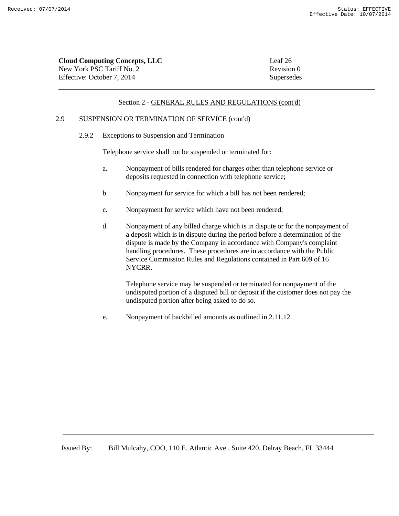| <b>Cloud Computing Concepts, LLC</b> | Leaf 26    |
|--------------------------------------|------------|
| New York PSC Tariff No. 2            | Revision 0 |
| Effective: October 7. 2014           | Supersedes |

# 2.9 SUSPENSION OR TERMINATION OF SERVICE (cont'd)

2.9.2 Exceptions to Suspension and Termination

Telephone service shall not be suspended or terminated for:

- a. Nonpayment of bills rendered for charges other than telephone service or deposits requested in connection with telephone service;
- b. Nonpayment for service for which a bill has not been rendered;
- c. Nonpayment for service which have not been rendered;
- d. Nonpayment of any billed charge which is in dispute or for the nonpayment of a deposit which is in dispute during the period before a determination of the dispute is made by the Company in accordance with Company's complaint handling procedures. These procedures are in accordance with the Public Service Commission Rules and Regulations contained in Part 609 of 16 NYCRR.

Telephone service may be suspended or terminated for nonpayment of the undisputed portion of a disputed bill or deposit if the customer does not pay the undisputed portion after being asked to do so.

e. Nonpayment of backbilled amounts as outlined in 2.11.12.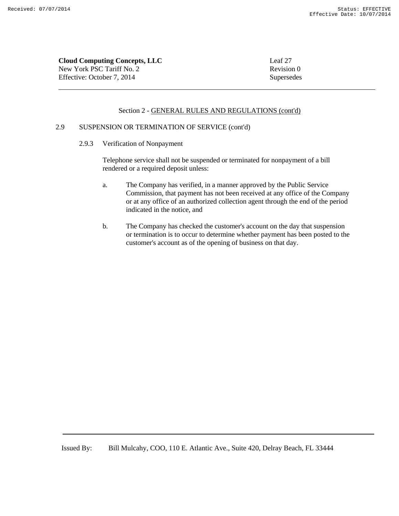**Cloud Computing Concepts, LLC** Leaf 27 New York PSC Tariff No. 2 Revision 0 Effective: October 7, 2014 Supersedes

# Section 2 - GENERAL RULES AND REGULATIONS (cont'd)

# 2.9 SUSPENSION OR TERMINATION OF SERVICE (cont'd)

2.9.3 Verification of Nonpayment

Telephone service shall not be suspended or terminated for nonpayment of a bill rendered or a required deposit unless:

- a. The Company has verified, in a manner approved by the Public Service Commission, that payment has not been received at any office of the Company or at any office of an authorized collection agent through the end of the period indicated in the notice, and
- b. The Company has checked the customer's account on the day that suspension or termination is to occur to determine whether payment has been posted to the customer's account as of the opening of business on that day.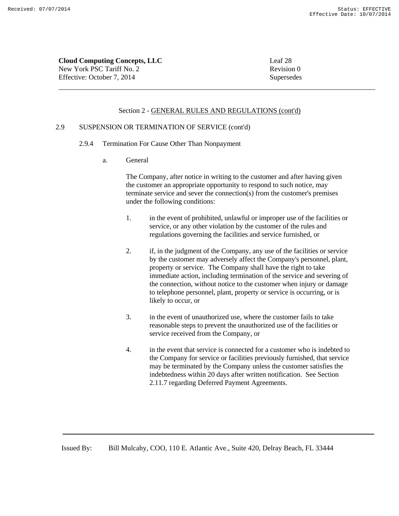New York PSC Tariff No. 2 Revision 0 Effective: October 7, 2014 Supersedes

# Section 2 - GENERAL RULES AND REGULATIONS (cont'd)

# 2.9 SUSPENSION OR TERMINATION OF SERVICE (cont'd)

- 2.9.4 Termination For Cause Other Than Nonpayment
	- a. General

The Company, after notice in writing to the customer and after having given the customer an appropriate opportunity to respond to such notice, may terminate service and sever the connection(s) from the customer's premises under the following conditions:

- 1. in the event of prohibited, unlawful or improper use of the facilities or service, or any other violation by the customer of the rules and regulations governing the facilities and service furnished, or
- 2. if, in the judgment of the Company, any use of the facilities or service by the customer may adversely affect the Company's personnel, plant, property or service. The Company shall have the right to take immediate action, including termination of the service and severing of the connection, without notice to the customer when injury or damage to telephone personnel, plant, property or service is occurring, or is likely to occur, or
- 3. in the event of unauthorized use, where the customer fails to take reasonable steps to prevent the unauthorized use of the facilities or service received from the Company, or
- 4. in the event that service is connected for a customer who is indebted to the Company for service or facilities previously furnished, that service may be terminated by the Company unless the customer satisfies the indebtedness within 20 days after written notification. See Section 2.11.7 regarding Deferred Payment Agreements.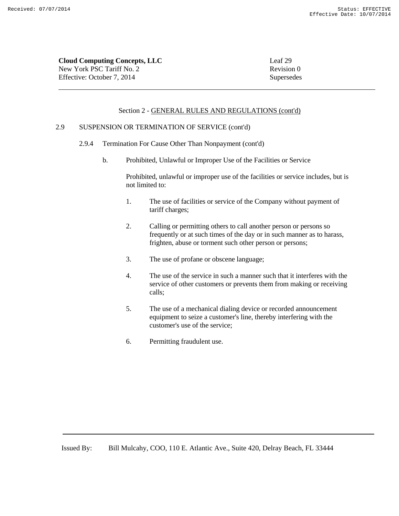New York PSC Tariff No. 2 Revision 0 Effective: October 7, 2014 Supersedes

### Section 2 - GENERAL RULES AND REGULATIONS (cont'd)

# 2.9 SUSPENSION OR TERMINATION OF SERVICE (cont'd)

- 2.9.4 Termination For Cause Other Than Nonpayment (cont'd)
	- b. Prohibited, Unlawful or Improper Use of the Facilities or Service

Prohibited, unlawful or improper use of the facilities or service includes, but is not limited to:

- 1. The use of facilities or service of the Company without payment of tariff charges;
- 2. Calling or permitting others to call another person or persons so frequently or at such times of the day or in such manner as to harass, frighten, abuse or torment such other person or persons;
- 3. The use of profane or obscene language;
- 4. The use of the service in such a manner such that it interferes with the service of other customers or prevents them from making or receiving calls;
- 5. The use of a mechanical dialing device or recorded announcement equipment to seize a customer's line, thereby interfering with the customer's use of the service;
- 6. Permitting fraudulent use.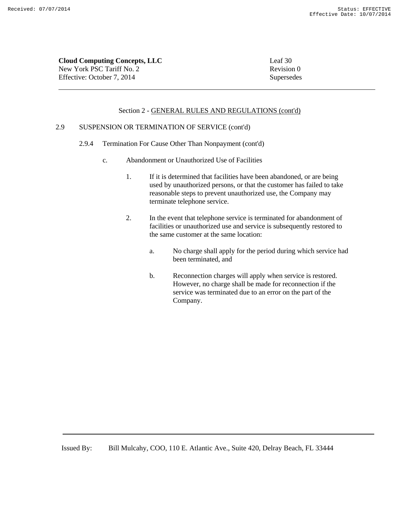New York PSC Tariff No. 2 Revision 0 Effective: October 7, 2014 Supersedes

### Section 2 - GENERAL RULES AND REGULATIONS (cont'd)

# 2.9 SUSPENSION OR TERMINATION OF SERVICE (cont'd)

- 2.9.4 Termination For Cause Other Than Nonpayment (cont'd)
	- c. Abandonment or Unauthorized Use of Facilities
		- 1. If it is determined that facilities have been abandoned, or are being used by unauthorized persons, or that the customer has failed to take reasonable steps to prevent unauthorized use, the Company may terminate telephone service.
		- 2. In the event that telephone service is terminated for abandonment of facilities or unauthorized use and service is subsequently restored to the same customer at the same location:
			- a. No charge shall apply for the period during which service had been terminated, and
			- b. Reconnection charges will apply when service is restored. However, no charge shall be made for reconnection if the service was terminated due to an error on the part of the Company.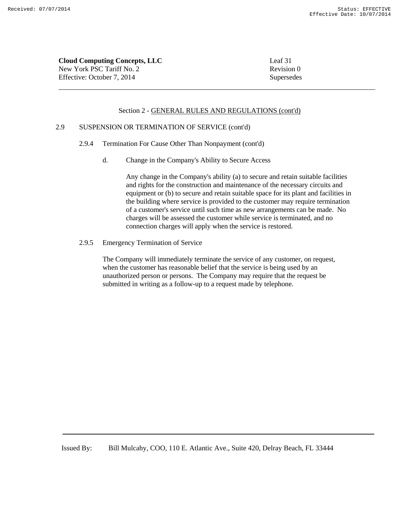**Cloud Computing Concepts, LLC** Leaf 31 New York PSC Tariff No. 2 Revision 0 Effective: October 7, 2014 Supersedes

#### Section 2 - GENERAL RULES AND REGULATIONS (cont'd)

# 2.9 SUSPENSION OR TERMINATION OF SERVICE (cont'd)

- 2.9.4 Termination For Cause Other Than Nonpayment (cont'd)
	- d. Change in the Company's Ability to Secure Access

Any change in the Company's ability (a) to secure and retain suitable facilities and rights for the construction and maintenance of the necessary circuits and equipment or (b) to secure and retain suitable space for its plant and facilities in the building where service is provided to the customer may require termination of a customer's service until such time as new arrangements can be made. No charges will be assessed the customer while service is terminated, and no connection charges will apply when the service is restored.

2.9.5 Emergency Termination of Service

The Company will immediately terminate the service of any customer, on request, when the customer has reasonable belief that the service is being used by an unauthorized person or persons. The Company may require that the request be submitted in writing as a follow-up to a request made by telephone.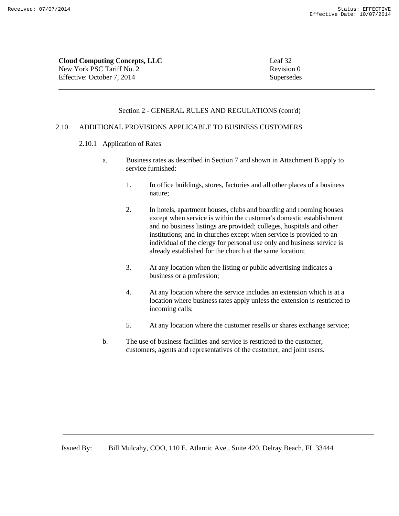| <b>Cloud Computing Concepts, LLC</b> | Leaf 32    |
|--------------------------------------|------------|
| New York PSC Tariff No. 2            | Revision 0 |
| Effective: October 7, 2014           | Supersedes |

#### Section 2 - GENERAL RULES AND REGULATIONS (cont'd)

# 2.10 ADDITIONAL PROVISIONS APPLICABLE TO BUSINESS CUSTOMERS

- 2.10.1 Application of Rates
	- a. Business rates as described in Section 7 and shown in Attachment B apply to service furnished:
		- 1. In office buildings, stores, factories and all other places of a business nature;
		- 2. In hotels, apartment houses, clubs and boarding and rooming houses except when service is within the customer's domestic establishment and no business listings are provided; colleges, hospitals and other institutions; and in churches except when service is provided to an individual of the clergy for personal use only and business service is already established for the church at the same location;
		- 3. At any location when the listing or public advertising indicates a business or a profession;
		- 4. At any location where the service includes an extension which is at a location where business rates apply unless the extension is restricted to incoming calls;
		- 5. At any location where the customer resells or shares exchange service;
	- b. The use of business facilities and service is restricted to the customer, customers, agents and representatives of the customer, and joint users.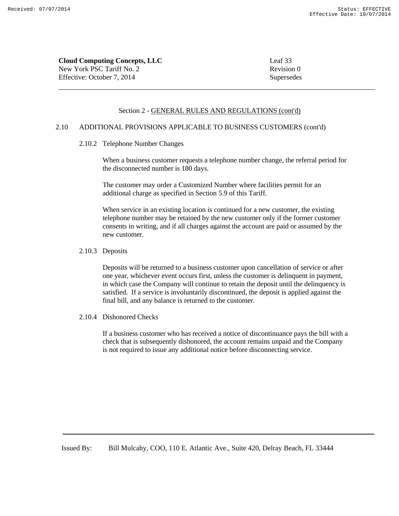**Cloud Computing Concepts, LLC** Leaf 33 New York PSC Tariff No. 2 Revision 0 Effective: October 7, 2014 Supersedes

### Section 2 - GENERAL RULES AND REGULATIONS (cont'd)

# 2.10 ADDITIONAL PROVISIONS APPLICABLE TO BUSINESS CUSTOMERS (cont'd)

# 2.10.2 Telephone Number Changes

When a business customer requests a telephone number change, the referral period for the disconnected number is 180 days.

The customer may order a Customized Number where facilities permit for an additional charge as specified in Section 5.9 of this Tariff.

When service in an existing location is continued for a new customer, the existing telephone number may be retained by the new customer only if the former customer consents in writing, and if all charges against the account are paid or assumed by the new customer.

2.10.3 Deposits

Deposits will be returned to a business customer upon cancellation of service or after one year, whichever event occurs first, unless the customer is delinquent in payment, in which case the Company will continue to retain the deposit until the delinquency is satisfied. If a service is involuntarily discontinued, the deposit is applied against the final bill, and any balance is returned to the customer.

2.10.4 Dishonored Checks

If a business customer who has received a notice of discontinuance pays the bill with a check that is subsequently dishonored, the account remains unpaid and the Company is not required to issue any additional notice before disconnecting service.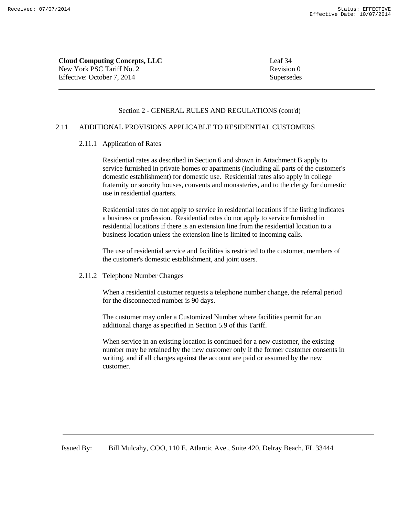**Cloud Computing Concepts, LLC** Leaf 34 New York PSC Tariff No. 2 Revision 0 Effective: October 7, 2014 Supersedes

### Section 2 - GENERAL RULES AND REGULATIONS (cont'd)

# 2.11 ADDITIONAL PROVISIONS APPLICABLE TO RESIDENTIAL CUSTOMERS

### 2.11.1 Application of Rates

Residential rates as described in Section 6 and shown in Attachment B apply to service furnished in private homes or apartments (including all parts of the customer's domestic establishment) for domestic use. Residential rates also apply in college fraternity or sorority houses, convents and monasteries, and to the clergy for domestic use in residential quarters.

Residential rates do not apply to service in residential locations if the listing indicates a business or profession. Residential rates do not apply to service furnished in residential locations if there is an extension line from the residential location to a business location unless the extension line is limited to incoming calls.

The use of residential service and facilities is restricted to the customer, members of the customer's domestic establishment, and joint users.

# 2.11.2 Telephone Number Changes

When a residential customer requests a telephone number change, the referral period for the disconnected number is 90 days.

The customer may order a Customized Number where facilities permit for an additional charge as specified in Section 5.9 of this Tariff.

When service in an existing location is continued for a new customer, the existing number may be retained by the new customer only if the former customer consents in writing, and if all charges against the account are paid or assumed by the new customer.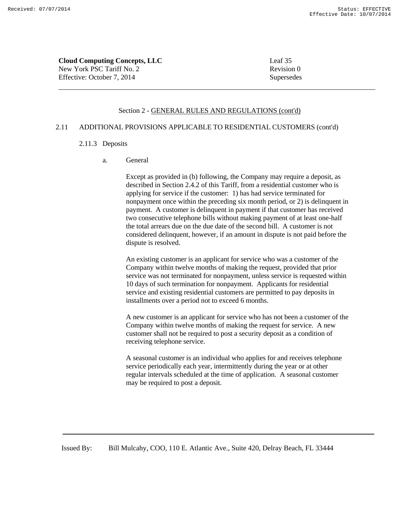**Cloud Computing Concepts, LLC** Leaf 35 New York PSC Tariff No. 2 Revision 0 Effective: October 7, 2014 Supersedes

#### Section 2 - GENERAL RULES AND REGULATIONS (cont'd)

# 2.11 ADDITIONAL PROVISIONS APPLICABLE TO RESIDENTIAL CUSTOMERS (cont'd)

# 2.11.3 Deposits

a. General

Except as provided in (b) following, the Company may require a deposit, as described in Section 2.4.2 of this Tariff, from a residential customer who is applying for service if the customer: 1) has had service terminated for nonpayment once within the preceding six month period, or 2) is delinquent in payment. A customer is delinquent in payment if that customer has received two consecutive telephone bills without making payment of at least one-half the total arrears due on the due date of the second bill. A customer is not considered delinquent, however, if an amount in dispute is not paid before the dispute is resolved.

An existing customer is an applicant for service who was a customer of the Company within twelve months of making the request, provided that prior service was not terminated for nonpayment, unless service is requested within 10 days of such termination for nonpayment. Applicants for residential service and existing residential customers are permitted to pay deposits in installments over a period not to exceed 6 months.

A new customer is an applicant for service who has not been a customer of the Company within twelve months of making the request for service. A new customer shall not be required to post a security deposit as a condition of receiving telephone service.

A seasonal customer is an individual who applies for and receives telephone service periodically each year, intermittently during the year or at other regular intervals scheduled at the time of application. A seasonal customer may be required to post a deposit.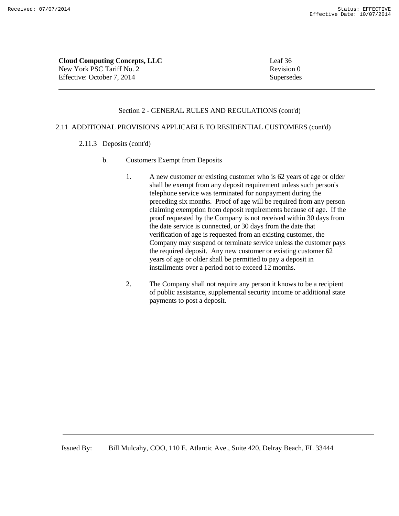**Cloud Computing Concepts, LLC** Leaf 36 New York PSC Tariff No. 2 Revision 0 Effective: October 7, 2014 Supersedes

#### Section 2 - GENERAL RULES AND REGULATIONS (cont'd)

# 2.11 ADDITIONAL PROVISIONS APPLICABLE TO RESIDENTIAL CUSTOMERS (cont'd)

- 2.11.3 Deposits (cont'd)
	- b. Customers Exempt from Deposits
		- 1. A new customer or existing customer who is 62 years of age or older shall be exempt from any deposit requirement unless such person's telephone service was terminated for nonpayment during the preceding six months. Proof of age will be required from any person claiming exemption from deposit requirements because of age. If the proof requested by the Company is not received within 30 days from the date service is connected, or 30 days from the date that verification of age is requested from an existing customer, the Company may suspend or terminate service unless the customer pays the required deposit. Any new customer or existing customer 62 years of age or older shall be permitted to pay a deposit in installments over a period not to exceed 12 months.
		- 2. The Company shall not require any person it knows to be a recipient of public assistance, supplemental security income or additional state payments to post a deposit.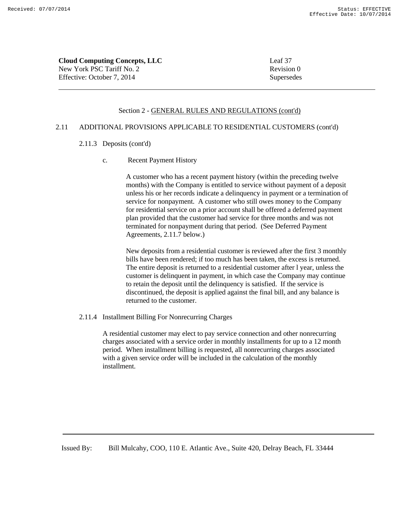**Cloud Computing Concepts, LLC** Leaf 37 New York PSC Tariff No. 2 Revision 0 Effective: October 7, 2014 Supersedes

#### Section 2 - GENERAL RULES AND REGULATIONS (cont'd)

# 2.11 ADDITIONAL PROVISIONS APPLICABLE TO RESIDENTIAL CUSTOMERS (cont'd)

# 2.11.3 Deposits (cont'd)

c. Recent Payment History

A customer who has a recent payment history (within the preceding twelve months) with the Company is entitled to service without payment of a deposit unless his or her records indicate a delinquency in payment or a termination of service for nonpayment. A customer who still owes money to the Company for residential service on a prior account shall be offered a deferred payment plan provided that the customer had service for three months and was not terminated for nonpayment during that period. (See Deferred Payment Agreements, 2.11.7 below.)

New deposits from a residential customer is reviewed after the first 3 monthly bills have been rendered; if too much has been taken, the excess is returned. The entire deposit is returned to a residential customer after l year, unless the customer is delinquent in payment, in which case the Company may continue to retain the deposit until the delinquency is satisfied. If the service is discontinued, the deposit is applied against the final bill, and any balance is returned to the customer.

2.11.4 Installment Billing For Nonrecurring Charges

A residential customer may elect to pay service connection and other nonrecurring charges associated with a service order in monthly installments for up to a 12 month period. When installment billing is requested, all nonrecurring charges associated with a given service order will be included in the calculation of the monthly installment.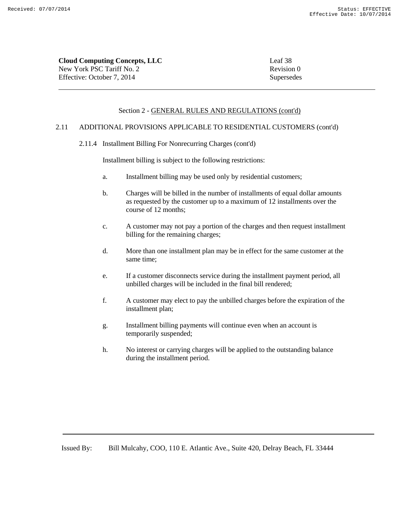Revision 0 Supersedes

| <b>Cloud Computing Concepts, LLC</b> | Leaf 38 |
|--------------------------------------|---------|
| New York PSC Tariff No. 2            | Revisio |
| Effective: October 7, 2014           | Superse |

## Section 2 - GENERAL RULES AND REGULATIONS (cont'd)

#### 2.11 ADDITIONAL PROVISIONS APPLICABLE TO RESIDENTIAL CUSTOMERS (cont'd)

2.11.4 Installment Billing For Nonrecurring Charges (cont'd)

Installment billing is subject to the following restrictions:

- a. Installment billing may be used only by residential customers;
- b. Charges will be billed in the number of installments of equal dollar amounts as requested by the customer up to a maximum of 12 installments over the course of 12 months;
- c. A customer may not pay a portion of the charges and then request installment billing for the remaining charges;
- d. More than one installment plan may be in effect for the same customer at the same time;
- e. If a customer disconnects service during the installment payment period, all unbilled charges will be included in the final bill rendered;
- f. A customer may elect to pay the unbilled charges before the expiration of the installment plan;
- g. Installment billing payments will continue even when an account is temporarily suspended;
- h. No interest or carrying charges will be applied to the outstanding balance during the installment period.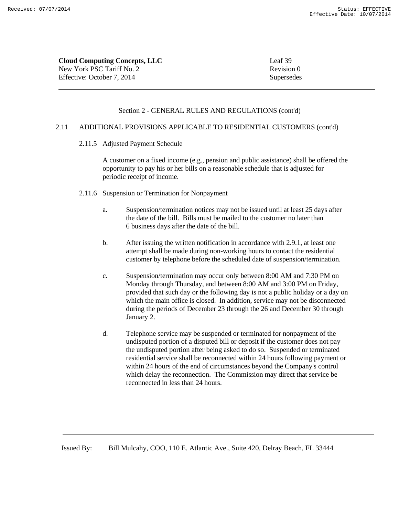**Cloud Computing Concepts, LLC** Leaf 39 New York PSC Tariff No. 2 Revision 0 Effective: October 7, 2014 Supersedes

#### Section 2 - GENERAL RULES AND REGULATIONS (cont'd)

# 2.11 ADDITIONAL PROVISIONS APPLICABLE TO RESIDENTIAL CUSTOMERS (cont'd)

2.11.5 Adjusted Payment Schedule

A customer on a fixed income (e.g., pension and public assistance) shall be offered the opportunity to pay his or her bills on a reasonable schedule that is adjusted for periodic receipt of income.

- 2.11.6 Suspension or Termination for Nonpayment
	- a. Suspension/termination notices may not be issued until at least 25 days after the date of the bill. Bills must be mailed to the customer no later than 6 business days after the date of the bill.
	- b. After issuing the written notification in accordance with 2.9.1, at least one attempt shall be made during non-working hours to contact the residential customer by telephone before the scheduled date of suspension/termination.
	- c. Suspension/termination may occur only between 8:00 AM and 7:30 PM on Monday through Thursday, and between 8:00 AM and 3:00 PM on Friday, provided that such day or the following day is not a public holiday or a day on which the main office is closed. In addition, service may not be disconnected during the periods of December 23 through the 26 and December 30 through January 2.
	- d. Telephone service may be suspended or terminated for nonpayment of the undisputed portion of a disputed bill or deposit if the customer does not pay the undisputed portion after being asked to do so. Suspended or terminated residential service shall be reconnected within 24 hours following payment or within 24 hours of the end of circumstances beyond the Company's control which delay the reconnection. The Commission may direct that service be reconnected in less than 24 hours.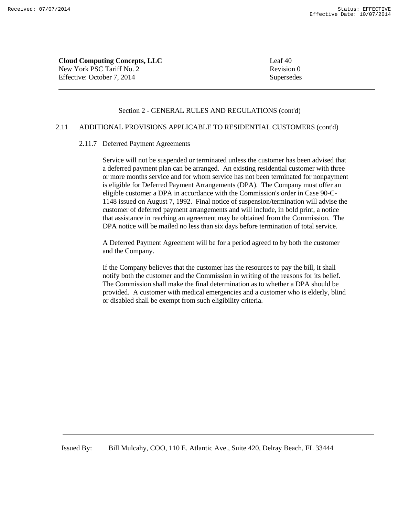**Cloud Computing Concepts, LLC** Leaf 40 New York PSC Tariff No. 2 Revision 0 Effective: October 7, 2014 Supersedes

#### Section 2 - GENERAL RULES AND REGULATIONS (cont'd)

# 2.11 ADDITIONAL PROVISIONS APPLICABLE TO RESIDENTIAL CUSTOMERS (cont'd)

#### 2.11.7 Deferred Payment Agreements

Service will not be suspended or terminated unless the customer has been advised that a deferred payment plan can be arranged. An existing residential customer with three or more months service and for whom service has not been terminated for nonpayment is eligible for Deferred Payment Arrangements (DPA). The Company must offer an eligible customer a DPA in accordance with the Commission's order in Case 90-C-1148 issued on August 7, 1992. Final notice of suspension/termination will advise the customer of deferred payment arrangements and will include, in bold print, a notice that assistance in reaching an agreement may be obtained from the Commission. The DPA notice will be mailed no less than six days before termination of total service.

A Deferred Payment Agreement will be for a period agreed to by both the customer and the Company.

If the Company believes that the customer has the resources to pay the bill, it shall notify both the customer and the Commission in writing of the reasons for its belief. The Commission shall make the final determination as to whether a DPA should be provided. A customer with medical emergencies and a customer who is elderly, blind or disabled shall be exempt from such eligibility criteria.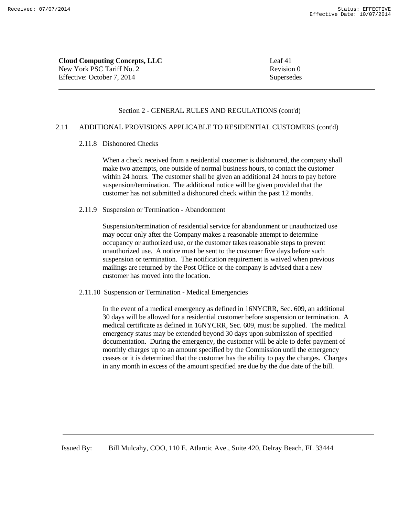**Cloud Computing Concepts, LLC** Leaf 41 New York PSC Tariff No. 2 Revision 0 Effective: October 7, 2014 Supersedes

#### Section 2 - GENERAL RULES AND REGULATIONS (cont'd)

# 2.11 ADDITIONAL PROVISIONS APPLICABLE TO RESIDENTIAL CUSTOMERS (cont'd)

# 2.11.8 Dishonored Checks

When a check received from a residential customer is dishonored, the company shall make two attempts, one outside of normal business hours, to contact the customer within 24 hours. The customer shall be given an additional 24 hours to pay before suspension/termination. The additional notice will be given provided that the customer has not submitted a dishonored check within the past 12 months.

# 2.11.9 Suspension or Termination - Abandonment

Suspension/termination of residential service for abandonment or unauthorized use may occur only after the Company makes a reasonable attempt to determine occupancy or authorized use, or the customer takes reasonable steps to prevent unauthorized use. A notice must be sent to the customer five days before such suspension or termination. The notification requirement is waived when previous mailings are returned by the Post Office or the company is advised that a new customer has moved into the location.

# 2.11.10 Suspension or Termination - Medical Emergencies

In the event of a medical emergency as defined in 16NYCRR, Sec. 609, an additional 30 days will be allowed for a residential customer before suspension or termination. A medical certificate as defined in 16NYCRR, Sec. 609, must be supplied. The medical emergency status may be extended beyond 30 days upon submission of specified documentation. During the emergency, the customer will be able to defer payment of monthly charges up to an amount specified by the Commission until the emergency ceases or it is determined that the customer has the ability to pay the charges. Charges in any month in excess of the amount specified are due by the due date of the bill.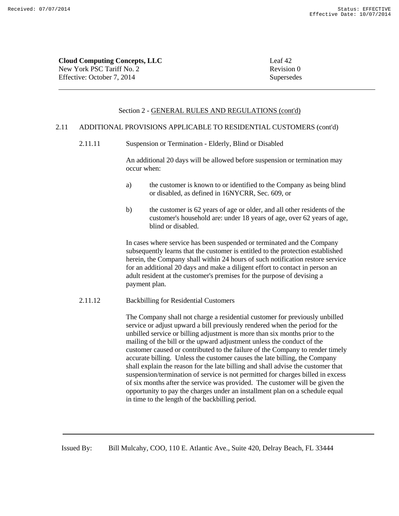| Leaf 42    |
|------------|
| Revision 0 |
| Supersedes |
|            |

#### 2.11 ADDITIONAL PROVISIONS APPLICABLE TO RESIDENTIAL CUSTOMERS (cont'd)

2.11.11 Suspension or Termination - Elderly, Blind or Disabled

An additional 20 days will be allowed before suspension or termination may occur when:

- a) the customer is known to or identified to the Company as being blind or disabled, as defined in 16NYCRR, Sec. 609, or
- b) the customer is 62 years of age or older, and all other residents of the customer's household are: under 18 years of age, over 62 years of age, blind or disabled.

In cases where service has been suspended or terminated and the Company subsequently learns that the customer is entitled to the protection established herein, the Company shall within 24 hours of such notification restore service for an additional 20 days and make a diligent effort to contact in person an adult resident at the customer's premises for the purpose of devising a payment plan.

## 2.11.12 Backbilling for Residential Customers

The Company shall not charge a residential customer for previously unbilled service or adjust upward a bill previously rendered when the period for the unbilled service or billing adjustment is more than six months prior to the mailing of the bill or the upward adjustment unless the conduct of the customer caused or contributed to the failure of the Company to render timely accurate billing. Unless the customer causes the late billing, the Company shall explain the reason for the late billing and shall advise the customer that suspension/termination of service is not permitted for charges billed in excess of six months after the service was provided. The customer will be given the opportunity to pay the charges under an installment plan on a schedule equal in time to the length of the backbilling period.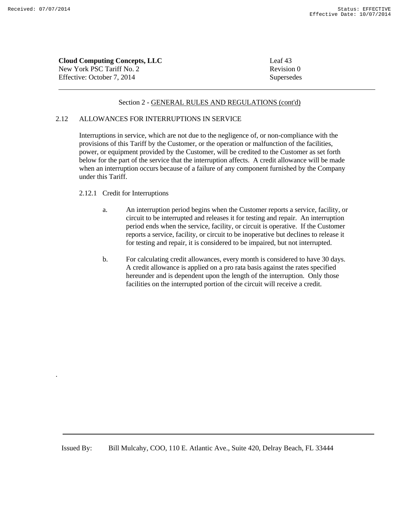.

| <b>Cloud Computing Concepts, LLC</b> | Leaf 43    |
|--------------------------------------|------------|
| New York PSC Tariff No. 2            | Revision 0 |
| Effective: October 7, 2014           | Supersedes |

#### Section 2 - GENERAL RULES AND REGULATIONS (cont'd)

#### 2.12 ALLOWANCES FOR INTERRUPTIONS IN SERVICE

Interruptions in service, which are not due to the negligence of, or non-compliance with the provisions of this Tariff by the Customer, or the operation or malfunction of the facilities, power, or equipment provided by the Customer, will be credited to the Customer as set forth below for the part of the service that the interruption affects. A credit allowance will be made when an interruption occurs because of a failure of any component furnished by the Company under this Tariff.

#### 2.12.1 Credit for Interruptions

- a. An interruption period begins when the Customer reports a service, facility, or circuit to be interrupted and releases it for testing and repair. An interruption period ends when the service, facility, or circuit is operative. If the Customer reports a service, facility, or circuit to be inoperative but declines to release it for testing and repair, it is considered to be impaired, but not interrupted.
- b. For calculating credit allowances, every month is considered to have 30 days. A credit allowance is applied on a pro rata basis against the rates specified hereunder and is dependent upon the length of the interruption. Only those facilities on the interrupted portion of the circuit will receive a credit.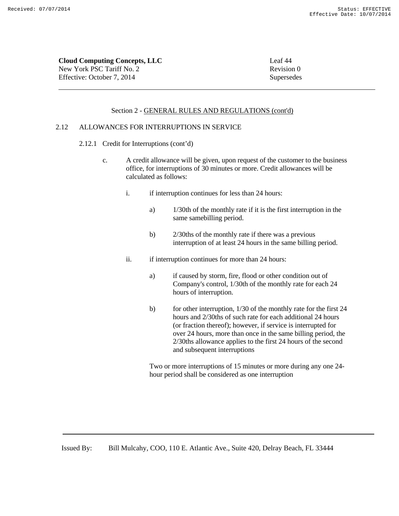**Cloud Computing Concepts, LLC** Leaf 44 New York PSC Tariff No. 2 Revision 0 Effective: October 7, 2014 Supersedes

#### Section 2 - GENERAL RULES AND REGULATIONS (cont'd)

# 2.12 ALLOWANCES FOR INTERRUPTIONS IN SERVICE

- 2.12.1 Credit for Interruptions (cont'd)
	- c. A credit allowance will be given, upon request of the customer to the business office, for interruptions of 30 minutes or more. Credit allowances will be calculated as follows:
		- i. if interruption continues for less than 24 hours:
			- a) 1/30th of the monthly rate if it is the first interruption in the same samebilling period.
			- b) 2/30ths of the monthly rate if there was a previous interruption of at least 24 hours in the same billing period.
		- ii. if interruption continues for more than 24 hours:
			- a) if caused by storm, fire, flood or other condition out of Company's control, 1/30th of the monthly rate for each 24 hours of interruption.
			- b) for other interruption, 1/30 of the monthly rate for the first 24 hours and 2/30ths of such rate for each additional 24 hours (or fraction thereof); however, if service is interrupted for over 24 hours, more than once in the same billing period, the 2/30ths allowance applies to the first 24 hours of the second and subsequent interruptions

Two or more interruptions of 15 minutes or more during any one 24 hour period shall be considered as one interruption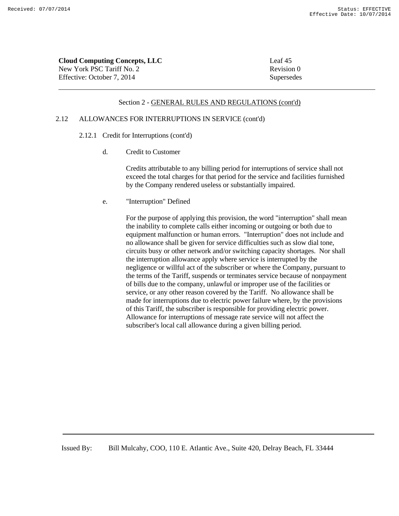| <b>Cloud Computing Concepts, LLC</b> | Leaf 45    |
|--------------------------------------|------------|
| New York PSC Tariff No. 2            | Revision 0 |
| Effective: October 7, 2014           | Supersedes |

#### 2.12 ALLOWANCES FOR INTERRUPTIONS IN SERVICE (cont'd)

- 2.12.1 Credit for Interruptions (cont'd)
	- d. Credit to Customer

Credits attributable to any billing period for interruptions of service shall not exceed the total charges for that period for the service and facilities furnished by the Company rendered useless or substantially impaired.

e. "Interruption" Defined

For the purpose of applying this provision, the word "interruption" shall mean the inability to complete calls either incoming or outgoing or both due to equipment malfunction or human errors. "Interruption" does not include and no allowance shall be given for service difficulties such as slow dial tone, circuits busy or other network and/or switching capacity shortages. Nor shall the interruption allowance apply where service is interrupted by the negligence or willful act of the subscriber or where the Company, pursuant to the terms of the Tariff, suspends or terminates service because of nonpayment of bills due to the company, unlawful or improper use of the facilities or service, or any other reason covered by the Tariff. No allowance shall be made for interruptions due to electric power failure where, by the provisions of this Tariff, the subscriber is responsible for providing electric power. Allowance for interruptions of message rate service will not affect the subscriber's local call allowance during a given billing period.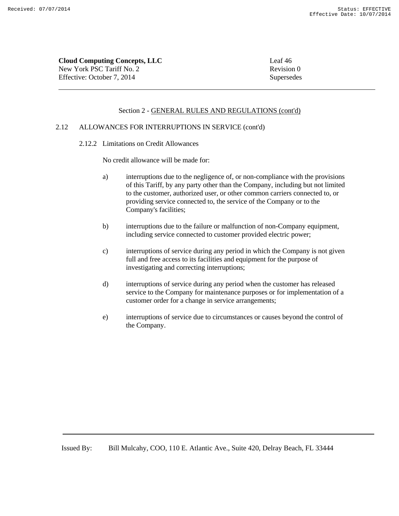**Cloud Computing Concepts, LLC** Leaf 46 New York PSC Tariff No. 2 Revision 0 Effective: October 7, 2014 Supersedes

#### Section 2 - GENERAL RULES AND REGULATIONS (cont'd)

# 2.12 ALLOWANCES FOR INTERRUPTIONS IN SERVICE (cont'd)

2.12.2 Limitations on Credit Allowances

No credit allowance will be made for:

- a) interruptions due to the negligence of, or non-compliance with the provisions of this Tariff, by any party other than the Company, including but not limited to the customer, authorized user, or other common carriers connected to, or providing service connected to, the service of the Company or to the Company's facilities;
- b) interruptions due to the failure or malfunction of non-Company equipment, including service connected to customer provided electric power;
- c) interruptions of service during any period in which the Company is not given full and free access to its facilities and equipment for the purpose of investigating and correcting interruptions;
- d) interruptions of service during any period when the customer has released service to the Company for maintenance purposes or for implementation of a customer order for a change in service arrangements;
- e) interruptions of service due to circumstances or causes beyond the control of the Company.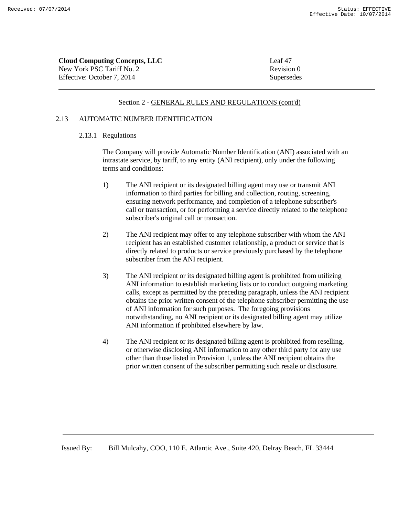| <b>Cloud Computing Concepts, LLC</b> | Leaf 47    |
|--------------------------------------|------------|
| New York PSC Tariff No. 2            | Revision 0 |
| Effective: October 7. 2014           | Supersedes |

#### 2.13 AUTOMATIC NUMBER IDENTIFICATION

#### 2.13.1 Regulations

The Company will provide Automatic Number Identification (ANI) associated with an intrastate service, by tariff, to any entity (ANI recipient), only under the following terms and conditions:

- 1) The ANI recipient or its designated billing agent may use or transmit ANI information to third parties for billing and collection, routing, screening, ensuring network performance, and completion of a telephone subscriber's call or transaction, or for performing a service directly related to the telephone subscriber's original call or transaction.
- 2) The ANI recipient may offer to any telephone subscriber with whom the ANI recipient has an established customer relationship, a product or service that is directly related to products or service previously purchased by the telephone subscriber from the ANI recipient.
- 3) The ANI recipient or its designated billing agent is prohibited from utilizing ANI information to establish marketing lists or to conduct outgoing marketing calls, except as permitted by the preceding paragraph, unless the ANI recipient obtains the prior written consent of the telephone subscriber permitting the use of ANI information for such purposes. The foregoing provisions notwithstanding, no ANI recipient or its designated billing agent may utilize ANI information if prohibited elsewhere by law.
- 4) The ANI recipient or its designated billing agent is prohibited from reselling, or otherwise disclosing ANI information to any other third party for any use other than those listed in Provision 1, unless the ANI recipient obtains the prior written consent of the subscriber permitting such resale or disclosure.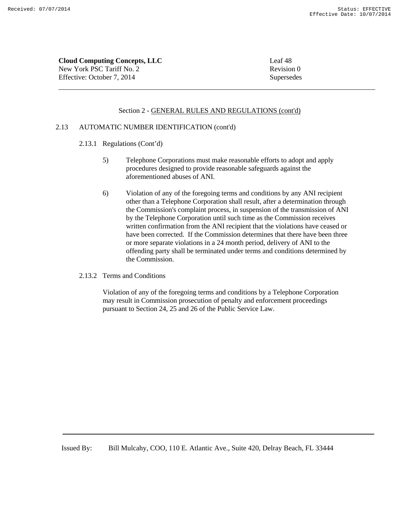**Cloud Computing Concepts, LLC** Leaf 48 New York PSC Tariff No. 2 Revision 0 Effective: October 7, 2014 Supersedes

#### Section 2 - GENERAL RULES AND REGULATIONS (cont'd)

#### 2.13 AUTOMATIC NUMBER IDENTIFICATION (cont'd)

- 2.13.1 Regulations (Cont'd)
	- 5) Telephone Corporations must make reasonable efforts to adopt and apply procedures designed to provide reasonable safeguards against the aforementioned abuses of ANI.
	- 6) Violation of any of the foregoing terms and conditions by any ANI recipient other than a Telephone Corporation shall result, after a determination through the Commission's complaint process, in suspension of the transmission of ANI by the Telephone Corporation until such time as the Commission receives written confirmation from the ANI recipient that the violations have ceased or have been corrected. If the Commission determines that there have been three or more separate violations in a 24 month period, delivery of ANI to the offending party shall be terminated under terms and conditions determined by the Commission.
- 2.13.2 Terms and Conditions

Violation of any of the foregoing terms and conditions by a Telephone Corporation may result in Commission prosecution of penalty and enforcement proceedings pursuant to Section 24, 25 and 26 of the Public Service Law.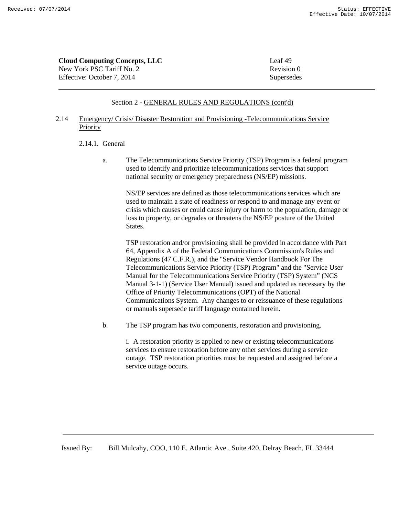| <b>Cloud Computing Concepts, LLC</b> | Leaf 49    |
|--------------------------------------|------------|
| New York PSC Tariff No. 2            | Revision 0 |
| Effective: October 7, 2014           | Supersedes |

## 2.14 Emergency/ Crisis/ Disaster Restoration and Provisioning -Telecommunications Service Priority

#### 2.14.1. General

a. The Telecommunications Service Priority (TSP) Program is a federal program used to identify and prioritize telecommunications services that support national security or emergency preparedness (NS/EP) missions.

NS/EP services are defined as those telecommunications services which are used to maintain a state of readiness or respond to and manage any event or crisis which causes or could cause injury or harm to the population, damage or loss to property, or degrades or threatens the NS/EP posture of the United States.

TSP restoration and/or provisioning shall be provided in accordance with Part 64, Appendix A of the Federal Communications Commission's Rules and Regulations (47 C.F.R.), and the "Service Vendor Handbook For The Telecommunications Service Priority (TSP) Program" and the "Service User Manual for the Telecommunications Service Priority (TSP) System" (NCS Manual 3-1-1) (Service User Manual) issued and updated as necessary by the Office of Priority Telecommunications (OPT) of the National Communications System. Any changes to or reissuance of these regulations or manuals supersede tariff language contained herein.

b. The TSP program has two components, restoration and provisioning.

i. A restoration priority is applied to new or existing telecommunications services to ensure restoration before any other services during a service outage. TSP restoration priorities must be requested and assigned before a service outage occurs.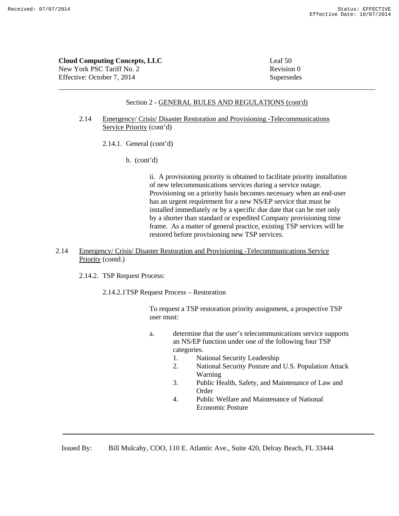| <b>Cloud Computing Concepts, LLC</b> | Leaf $50$  |
|--------------------------------------|------------|
| New York PSC Tariff No. 2            | Revision 0 |
| Effective: October 7, 2014           | Supersedes |

## Section 2 - GENERAL RULES AND REGULATIONS (cont'd)

## 2.14 Emergency/ Crisis/ Disaster Restoration and Provisioning -Telecommunications Service Priority (cont'd)

- 2.14.1. General (cont'd)
	- b. (cont'd)

ii. A provisioning priority is obtained to facilitate priority installation of new telecommunications services during a service outage. Provisioning on a priority basis becomes necessary when an end-user has an urgent requirement for a new NS/EP service that must be installed immediately or by a specific due date that can be met only by a shorter than standard or expedited Company provisioning time frame. As a matter of general practice, existing TSP services will be restored before provisioning new TSP services.

## 2.14 Emergency/ Crisis/ Disaster Restoration and Provisioning -Telecommunications Service Priority (contd.)

2.14.2. TSP Request Process:

2.14.2.1TSP Request Process – Restoration

To request a TSP restoration priority assignment, a prospective TSP user must:

- a. determine that the user's telecommunications service supports an NS/EP function under one of the following four TSP categories.
	- 1. National Security Leadership
	- 2. National Security Posture and U.S. Population Attack Warning
	- 3. Public Health, Safety, and Maintenance of Law and **Order**
	- 4. Public Welfare and Maintenance of National Economic Posture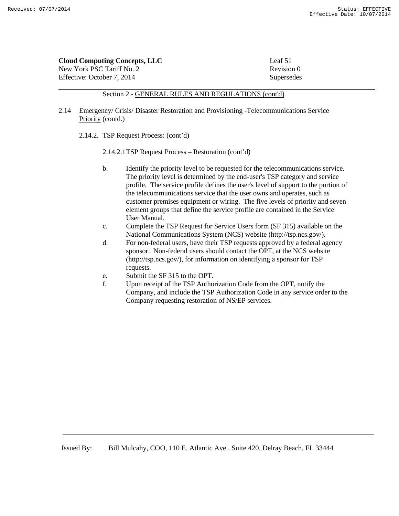**Cloud Computing Concepts, LLC** Leaf 51

New York PSC Tariff No. 2 Revision 0 Effective: October 7, 2014 Supersedes

#### Section 2 - GENERAL RULES AND REGULATIONS (cont'd)

#### 2.14 Emergency/ Crisis/ Disaster Restoration and Provisioning -Telecommunications Service Priority (contd.)

- 2.14.2. TSP Request Process: (cont'd)
	- 2.14.2.1TSP Request Process Restoration (cont'd)
	- b. Identify the priority level to be requested for the telecommunications service. The priority level is determined by the end-user's TSP category and service profile. The service profile defines the user's level of support to the portion of the telecommunications service that the user owns and operates, such as customer premises equipment or wiring. The five levels of priority and seven element groups that define the service profile are contained in the Service User Manual.
	- c. Complete the TSP Request for Service Users form (SF 315) available on the National Communications System (NCS) website (http://tsp.ncs.gov/).
	- d. For non-federal users, have their TSP requests approved by a federal agency sponsor. Non-federal users should contact the OPT, at the NCS website (http://tsp.ncs.gov/), for information on identifying a sponsor for TSP requests.
	- e. Submit the SF 315 to the OPT.
	- f. Upon receipt of the TSP Authorization Code from the OPT, notify the Company, and include the TSP Authorization Code in any service order to the Company requesting restoration of NS/EP services.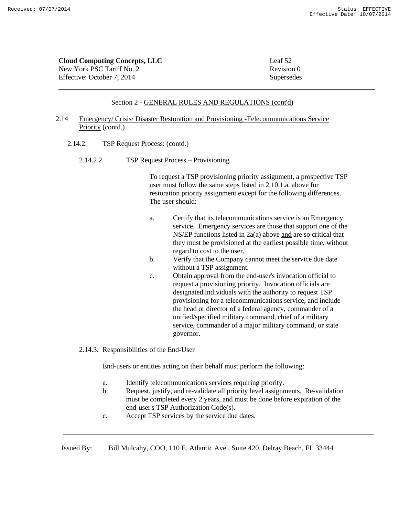| <b>Cloud Computing Concepts, LLC</b> | Leaf 52    |
|--------------------------------------|------------|
| New York PSC Tariff No. 2            | Revision 0 |
| Effective: October 7, 2014           | Supersedes |

#### 2.14 Emergency/ Crisis/ Disaster Restoration and Provisioning -Telecommunications Service Priority (contd.)

- 2.14.2. TSP Request Process: (contd.)
	- 2.14.2.2. TSP Request Process Provisioning

To request a TSP provisioning priority assignment, a prospective TSP user must follow the same steps listed in 2.10.1.a. above for restoration priority assignment except for the following differences. The user should:

- a. Certify that its telecommunications service is an Emergency service. Emergency services are those that support one of the NS/EP functions listed in 2a(a) above and are so critical that they must be provisioned at the earliest possible time, without regard to cost to the user.
- b. Verify that the Company cannot meet the service due date without a TSP assignment.
- c. Obtain approval from the end-user's invocation official to request a provisioning priority. Invocation officials are designated individuals with the authority to request TSP provisioning for a telecommunications service, and include the head or director of a federal agency, commander of a unified/specified military command, chief of a military service, commander of a major military command, or state governor.
- 2.14.3. Responsibilities of the End-User

End-users or entities acting on their behalf must perform the following:

- a. Identify telecommunications services requiring priority.
- b. Request, justify, and re-validate all priority level assignments. Re-validation must be completed every 2 years, and must be done before expiration of the end-user's TSP Authorization Code(s).
- c. Accept TSP services by the service due dates.

Issued By: Bill Mulcahy, COO, 110 E. Atlantic Ave., Suite 420, Delray Beach, FL 33444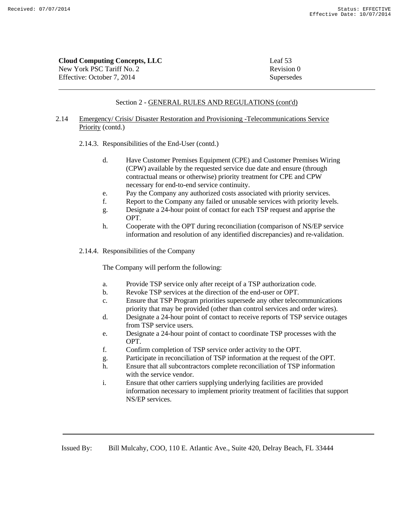| <b>Cloud Computing Concepts, LLC</b> | Leaf 53    |
|--------------------------------------|------------|
| New York PSC Tariff No. 2            | Revision 0 |
| Effective: October 7, 2014           | Supersedes |

## 2.14 Emergency/ Crisis/ Disaster Restoration and Provisioning -Telecommunications Service Priority (contd.)

- 2.14.3. Responsibilities of the End-User (contd.)
	- d. Have Customer Premises Equipment (CPE) and Customer Premises Wiring (CPW) available by the requested service due date and ensure (through contractual means or otherwise) priority treatment for CPE and CPW necessary for end-to-end service continuity.
	- e. Pay the Company any authorized costs associated with priority services.
	- f. Report to the Company any failed or unusable services with priority levels.
	- g. Designate a 24-hour point of contact for each TSP request and apprise the OPT.
	- h. Cooperate with the OPT during reconciliation (comparison of NS/EP service information and resolution of any identified discrepancies) and re-validation.
- 2.14.4. Responsibilities of the Company

The Company will perform the following:

- a. Provide TSP service only after receipt of a TSP authorization code.
- b. Revoke TSP services at the direction of the end-user or OPT.
- c. Ensure that TSP Program priorities supersede any other telecommunications priority that may be provided (other than control services and order wires).
- d. Designate a 24-hour point of contact to receive reports of TSP service outages from TSP service users.
- e. Designate a 24-hour point of contact to coordinate TSP processes with the OPT.
- f. Confirm completion of TSP service order activity to the OPT.
- g. Participate in reconciliation of TSP information at the request of the OPT.
- h. Ensure that all subcontractors complete reconciliation of TSP information with the service vendor.
- i. Ensure that other carriers supplying underlying facilities are provided information necessary to implement priority treatment of facilities that support NS/EP services.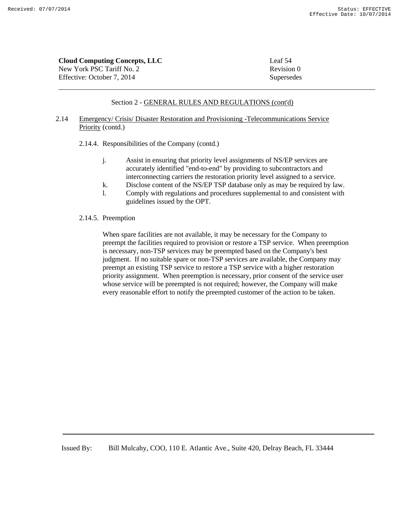| <b>Cloud Computing Concepts, LLC</b> | Leaf 54    |
|--------------------------------------|------------|
| New York PSC Tariff No. 2            | Revision 0 |
| Effective: October 7, 2014           | Supersedes |

## 2.14 Emergency/ Crisis/ Disaster Restoration and Provisioning -Telecommunications Service Priority (contd.)

2.14.4. Responsibilities of the Company (contd.)

- j. Assist in ensuring that priority level assignments of NS/EP services are accurately identified "end-to-end" by providing to subcontractors and interconnecting carriers the restoration priority level assigned to a service.
- k. Disclose content of the NS/EP TSP database only as may be required by law.
- l. Comply with regulations and procedures supplemental to and consistent with guidelines issued by the OPT.

#### 2.14.5. Preemption

When spare facilities are not available, it may be necessary for the Company to preempt the facilities required to provision or restore a TSP service. When preemption is necessary, non-TSP services may be preempted based on the Company's best judgment. If no suitable spare or non-TSP services are available, the Company may preempt an existing TSP service to restore a TSP service with a higher restoration priority assignment. When preemption is necessary, prior consent of the service user whose service will be preempted is not required; however, the Company will make every reasonable effort to notify the preempted customer of the action to be taken.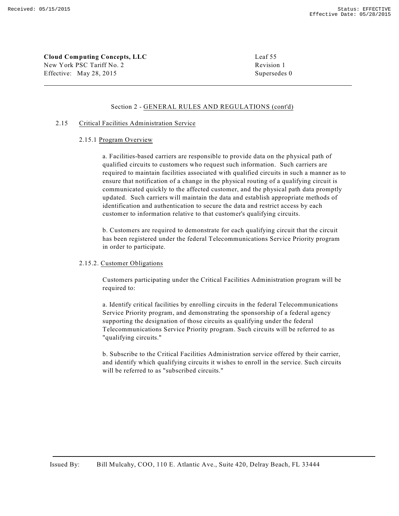**Cloud Computing Concepts, LLC** Leaf 55 New York PSC Tariff No. 2 Revision 1 Effective: May 28, 2015 Supersedes 0

#### Section 2 - GENERAL RULES AND REGULATIONS (cont'd)

#### 2.15 Critical Facilities Administration Service

#### 2.15.1 Program Overview

a. Facilities-based carriers are responsible to provide data on the physical path of qualified circuits to customers who request such information. Such carriers are required to maintain facilities associated with qualified circuits in such a manner as to ensure that notification of a change in the physical routing of a qualifying circuit is communicated quickly to the affected customer, and the physical path data promptly updated. Such carriers will maintain the data and establish appropriate methods of identification and authentication to secure the data and restrict access by each customer to information relative to that customer's qualifying circuits.

b. Customers are required to demonstrate for each qualifying circuit that the circuit has been registered under the federal Telecommunications Service Priority program in order to participate.

#### 2.15.2. Customer Obligations

Customers participating under the Critical Facilities Administration program will be required to:

a. Identify critical facilities by enrolling circuits in the federal Telecommunications Service Priority program, and demonstrating the sponsorship of a federal agency supporting the designation of those circuits as qualifying under the federal Telecommunications Service Priority program. Such circuits will be referred to as "qualifying circuits."

b. Subscribe to the Critical Facilities Administration service offered by their carrier, and identify which qualifying circuits it wishes to enroll in the service. Such circuits will be referred to as "subscribed circuits."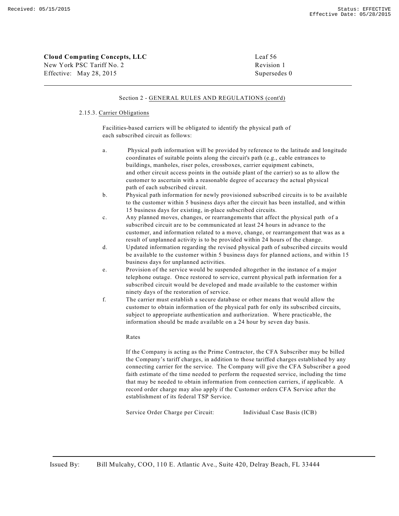| Cloud Computing Concepts, LLC | Leaf 56      |
|-------------------------------|--------------|
| New York PSC Tariff No. 2     | Revision 1   |
| Effective: May 28, 2015       | Supersedes 0 |

#### 2.15.3. Carrier Obligations

Facilities-based carriers will be obligated to identify the physical path of each subscribed circuit as follows:

- a. Physical path information will be provided by reference to the latitude and longitude coordinates of suitable points along the circuit's path (e.g., cable entrances to buildings, manholes, riser poles, crossboxes, carrier equipment cabinets, and other circuit access points in the outside plant of the carrier) so as to allow the customer to ascertain with a reasonable degree of accuracy the actual physical path of each subscribed circuit.
- b. Physical path information for newly provisioned subscribed circuits is to be available to the customer within 5 business days after the circuit has been installed, and within 15 business days for existing, in-place subscribed circuits.
- c. Any planned moves, changes, or rearrangements that affect the physical path of a subscribed circuit are to be communicated at least 24 hours in advance to the customer, and information related to a move, change, or rearrangement that was as a result of unplanned activity is to be provided within 24 hours of the change.
- d. Updated information regarding the revised physical path of subscribed circuits would be available to the customer within 5 business days for planned actions, and within 15 business days for unplanned activities.
- e. Provision of the service would be suspended altogether in the instance of a major telephone outage. Once restored to service, current physical path information for a subscribed circuit would be developed and made available to the customer within ninety days of the restoration of service.
- f. The carrier must establish a secure database or other means that would allow the customer to obtain information of the physical path for only its subscribed circuits, subject to appropriate authentication and authorization. Where practicable, the information should be made available on a 24 hour by seven day basis.

#### Rates

If the Company is acting as the Prime Contractor, the CFA Subscriber may be billed the Company's tariff charges, in addition to those tariffed charges established by any connecting carrier for the service. The Company will give the CFA Subscriber a good faith estimate of the time needed to perform the requested service, including the time that may be needed to obtain information from connection carriers, if applicable. A record order charge may also apply if the Customer orders CFA Service after the establishment of its federal TSP Service.

Service Order Charge per Circuit: Individual Case Basis (ICB)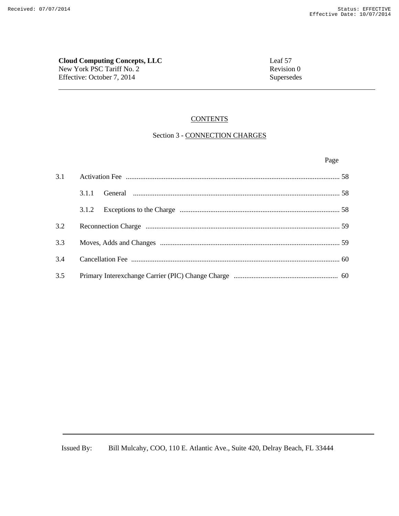**Cloud Computing Concepts, LLC**<br>
New York PSC Tariff No. 2<br>
Revision 0 New York PSC Tariff No. 2 Effective: October 7, 2014 Supersedes

#### **CONTENTS**

# Section 3 - CONNECTION CHARGES

Page **Page** 

| 3.1 |       |  |
|-----|-------|--|
|     | 3.1.1 |  |
|     | 3.1.2 |  |
| 3.2 |       |  |
|     |       |  |
| 3.4 |       |  |
| 3.5 |       |  |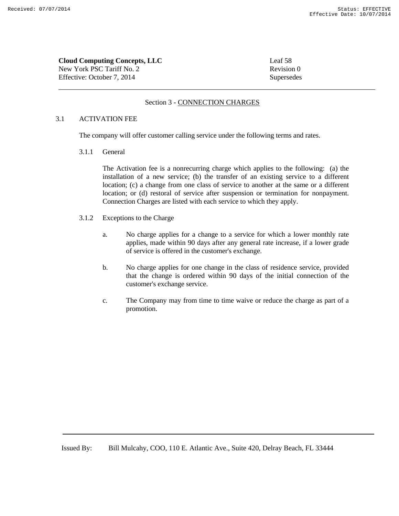**Cloud Computing Concepts, LLC** Leaf 58 New York PSC Tariff No. 2 Revision 0 Effective: October 7, 2014 Supersedes

## Section 3 - CONNECTION CHARGES

#### 3.1 ACTIVATION FEE

The company will offer customer calling service under the following terms and rates.

3.1.1 General

The Activation fee is a nonrecurring charge which applies to the following: (a) the installation of a new service; (b) the transfer of an existing service to a different location; (c) a change from one class of service to another at the same or a different location; or (d) restoral of service after suspension or termination for nonpayment. Connection Charges are listed with each service to which they apply.

- 3.1.2 Exceptions to the Charge
	- a. No charge applies for a change to a service for which a lower monthly rate applies, made within 90 days after any general rate increase, if a lower grade of service is offered in the customer's exchange.
	- b. No charge applies for one change in the class of residence service, provided that the change is ordered within 90 days of the initial connection of the customer's exchange service.
	- c. The Company may from time to time waive or reduce the charge as part of a promotion.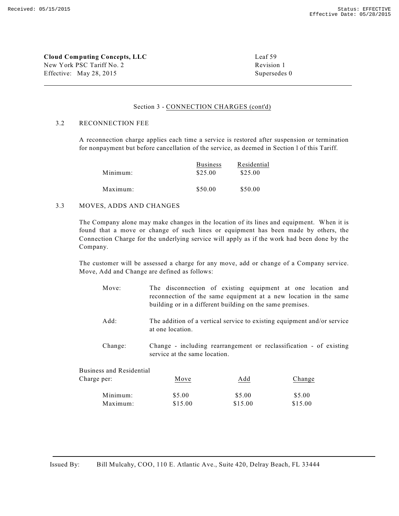**Cloud Computing Concepts, LLC** Leaf 59 New York PSC Tariff No. 2 Revision 1 Effective: May 28, 2015 Supersedes 0

#### Section 3 - CONNECTION CHARGES (cont'd)

#### 3.2 RECONNECTION FEE

A reconnection charge applies each time a service is restored after suspension or termination for nonpayment but before cancellation of the service, as deemed in Section l of this Tariff.

|          | <b>Business</b> | Residential |
|----------|-----------------|-------------|
| Minimum: | \$25.00         | \$25.00     |
| Maximum: | \$50.00         | \$50.00     |

#### 3.3 MOVES, ADDS AND CHANGES

The Company alone may make changes in the location of its lines and equipment. When it is found that a move or change of such lines or equipment has been made by others, the Connection Charge for the underlying service will apply as if the work had been done by the Company.

The customer will be assessed a charge for any move, add or change of a Company service. Move, Add and Change are defined as follows:

- Move: The disconnection of existing equipment at one location and reconnection of the same equipment at a new location in the same building or in a different building on the same premises.
- Add: The addition of a vertical service to existing equipment and/or service at one location.
- Change: Change including rearrangement or reclassification of existing service at the same location.

| <b>Business and Residential</b> |         |         |         |
|---------------------------------|---------|---------|---------|
| Charge per:                     | Move    | Add     | Change  |
| Minimum:                        | \$5.00  | \$5.00  | \$5.00  |
| Maximum:                        | \$15.00 | \$15.00 | \$15.00 |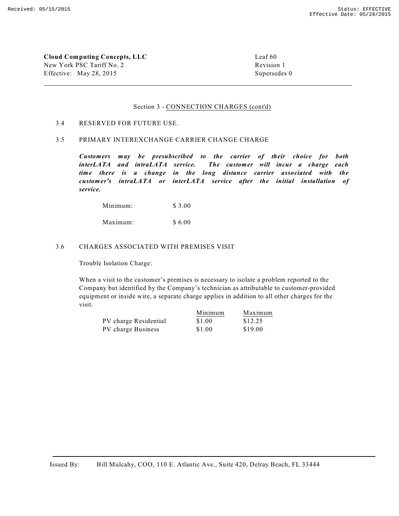**Cloud Computing Concepts, LLC** Leaf 60 New York PSC Tariff No. 2 Revision 1 Effective: May 28, 2015 Supersedes 0

#### Section 3 - CONNECTION CHARGES (cont'd)

#### 3.4 RESERVED FOR FUTURE USE.

#### 3.5 PRIMARY INTEREXCHANGE CARRIER CHANGE CHARGE

*Customers may be presubscribed to the carrier of their choice for both interLATA and intraLATA service. The customer will incur a charge each time there is a change in the long distance carrier associated with the customer's intraLATA or interLATA service after the initial installation of service.*

Minimum: \$ 3.00

Maximum: \$ 6.00

#### 3.6 CHARGES ASSOCIATED WITH PREMISES VISIT

Trouble Isolation Charge:

When a visit to the customer's premises is necessary to isolate a problem reported to the Company but identified by the Company's technician as attributable to customer-provided equipment or inside wire, a separate charge applies in addition to all other charges for the visit.

|                       | Minimum | Maximum |
|-----------------------|---------|---------|
| PV charge Residential | \$1.00  | \$12.25 |
| PV charge Business    | \$1.00  | \$19.00 |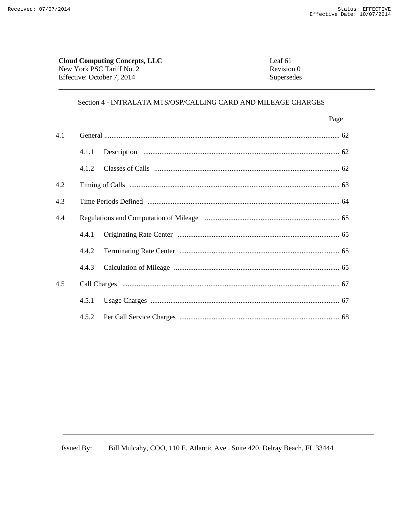| <b>Cloud Computing Concepts, LLC</b> | Leaf 61    |
|--------------------------------------|------------|
| New York PSC Tariff No. 2            | Revision 0 |
| Effective: October 7, 2014           | Supersedes |

|     |       | Page |
|-----|-------|------|
| 4.1 |       |      |
|     | 4.1.1 |      |
|     | 4.1.2 |      |
| 4.2 |       |      |
| 4.3 |       |      |
| 4.4 |       |      |
|     | 4.4.1 |      |
|     | 4.4.2 |      |
|     | 4.4.3 |      |
| 4.5 |       |      |
|     | 4.5.1 |      |
|     | 4.5.2 |      |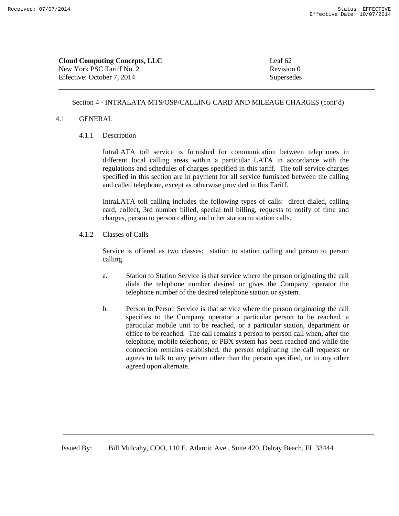| <b>Cloud Computing Concepts, LLC</b> | Leaf 62 |
|--------------------------------------|---------|
| New York PSC Tariff No. 2            | Revisio |
| Effective: October 7, 2014           | Superse |

Revision 0 Supersedes

## Section 4 - INTRALATA MTS/OSP/CALLING CARD AND MILEAGE CHARGES (cont'd)

#### 4.1 GENERAL

4.1.1 Description

IntraLATA toll service is furnished for communication between telephones in different local calling areas within a particular LATA in accordance with the regulations and schedules of charges specified in this tariff. The toll service charges specified in this section are in payment for all service furnished between the calling and called telephone, except as otherwise provided in this Tariff.

IntraLATA toll calling includes the following types of calls: direct dialed, calling card, collect, 3rd number billed, special toll billing, requests to notify of time and charges, person to person calling and other station to station calls.

4.1.2 Classes of Calls

Service is offered as two classes: station to station calling and person to person calling.

- a. Station to Station Service is that service where the person originating the call dials the telephone number desired or gives the Company operator the telephone number of the desired telephone station or system.
- b. Person to Person Service is that service where the person originating the call specifies to the Company operator a particular person to be reached, a particular mobile unit to be reached, or a particular station, department or office to be reached. The call remains a person to person call when, after the telephone, mobile telephone, or PBX system has been reached and while the connection remains established, the person originating the call requests or agrees to talk to any person other than the person specified, or to any other agreed upon alternate.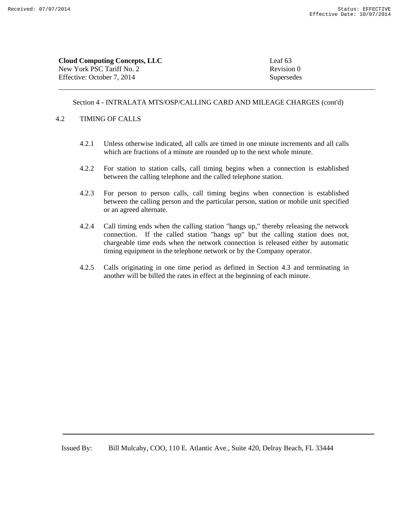| <b>Cloud Computing Concepts, LLC</b> | Leaf 63    |
|--------------------------------------|------------|
| New York PSC Tariff No. 2            | Revision 0 |
| Effective: October 7, 2014           | Supersedes |

#### 4.2 TIMING OF CALLS

- 4.2.1 Unless otherwise indicated, all calls are timed in one minute increments and all calls which are fractions of a minute are rounded up to the next whole minute.
- 4.2.2 For station to station calls, call timing begins when a connection is established between the calling telephone and the called telephone station.
- 4.2.3 For person to person calls, call timing begins when connection is established between the calling person and the particular person, station or mobile unit specified or an agreed alternate.
- 4.2.4 Call timing ends when the calling station "hangs up," thereby releasing the network connection. If the called station "hangs up" but the calling station does not, chargeable time ends when the network connection is released either by automatic timing equipment in the telephone network or by the Company operator.
- 4.2.5 Calls originating in one time period as defined in Section 4.3 and terminating in another will be billed the rates in effect at the beginning of each minute.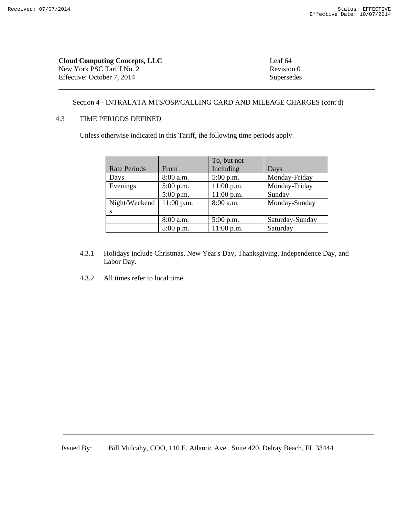| <b>Cloud Computing Concepts, LLC</b> | Leaf 64    |
|--------------------------------------|------------|
| New York PSC Tariff No. 2            | Revision 0 |
| Effective: October 7. 2014           | Supersedes |

## 4.3 TIME PERIODS DEFINED

Unless otherwise indicated in this Tariff, the following time periods apply.

|                     |              | To, but not  |                 |
|---------------------|--------------|--------------|-----------------|
| <b>Rate Periods</b> | From         | Including    | Days            |
| Days                | 8:00 a.m.    | $5:00$ p.m.  | Monday-Friday   |
| Evenings            | $5:00$ p.m.  | 11:00 p.m.   | Monday-Friday   |
|                     | $5:00$ p.m.  | $11:00$ p.m. | Sunday          |
| Night/Weekend       | $11:00$ p.m. | 8:00 a.m.    | Monday-Sunday   |
|                     |              |              |                 |
|                     | $8:00$ a.m.  | $5:00$ p.m.  | Saturday-Sunday |
|                     | $5:00$ p.m.  | $11:00$ p.m. | Saturday        |

- 4.3.1 Holidays include Christmas, New Year's Day, Thanksgiving, Independence Day, and Labor Day.
- 4.3.2 All times refer to local time.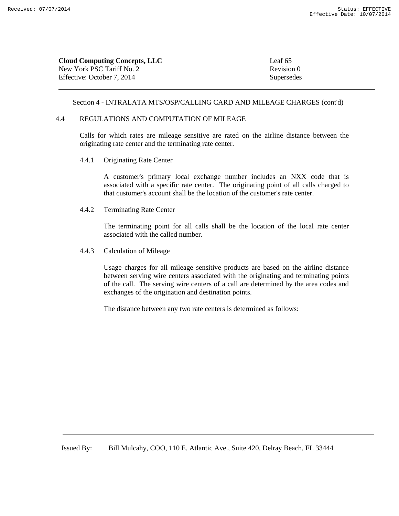| Leaf 65    |
|------------|
| Revision 0 |
| Supersedes |
|            |

#### 4.4 REGULATIONS AND COMPUTATION OF MILEAGE

Calls for which rates are mileage sensitive are rated on the airline distance between the originating rate center and the terminating rate center.

4.4.1 Originating Rate Center

A customer's primary local exchange number includes an NXX code that is associated with a specific rate center. The originating point of all calls charged to that customer's account shall be the location of the customer's rate center.

4.4.2 Terminating Rate Center

The terminating point for all calls shall be the location of the local rate center associated with the called number.

4.4.3 Calculation of Mileage

Usage charges for all mileage sensitive products are based on the airline distance between serving wire centers associated with the originating and terminating points of the call. The serving wire centers of a call are determined by the area codes and exchanges of the origination and destination points.

The distance between any two rate centers is determined as follows: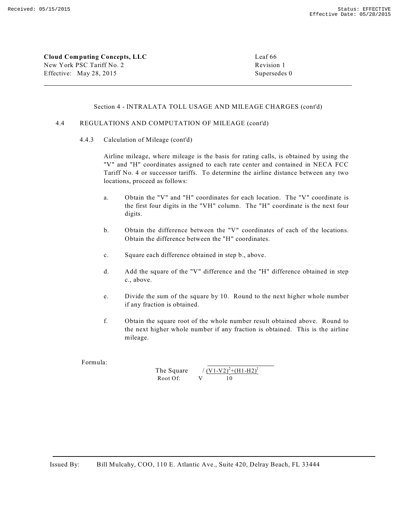**Cloud Computing Concepts, LLC** Leaf 66 New York PSC Tariff No. 2 Revision 1 Effective: May 28, 2015 Supersedes 0

#### Section 4 - INTRALATA TOLL USAGE AND MILEAGE CHARGES (cont'd)

## 4.4 REGULATIONS AND COMPUTATION OF MILEAGE (cont'd)

4.4.3 Calculation of Mileage (cont'd)

Airline mileage, where mileage is the basis for rating calls, is obtained by using the "V" and "H" coordinates assigned to each rate center and contained in NECA FCC Tariff No. 4 or successor tariffs. To determine the airline distance between any two locations, proceed as follows:

- a. Obtain the "V" and "H" coordinates for each location. The "V" coordinate is the first four digits in the "VH" column. The "H" coordinate is the next four digits.
- b. Obtain the difference between the "V" coordinates of each of the locations. Obtain the difference between the "H" coordinates.
- c. Square each difference obtained in step b., above.
- d. Add the square of the "V" difference and the "H" difference obtained in step c., above.
- e. Divide the sum of the square by 10. Round to the next higher whole number if any fraction is obtained.
- f. Obtain the square root of the whole number result obtained above. Round to the next higher whole number if any fraction is obtained. This is the airline mileage.

Formula:

| The Square | / $(V1-V2)^{2}+(H1-H2)^{2}$ |
|------------|-----------------------------|
| Root Of:   |                             |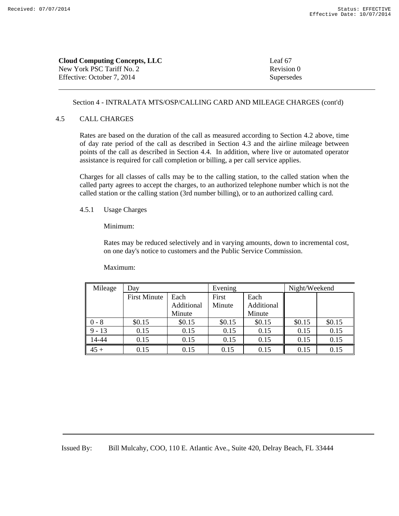| <b>Cloud Computing Concepts, LLC</b> | Leaf 67    |
|--------------------------------------|------------|
| New York PSC Tariff No. 2            | Revision 0 |
| Effective: October 7, 2014           | Supersedes |

#### 4.5 CALL CHARGES

Rates are based on the duration of the call as measured according to Section 4.2 above, time of day rate period of the call as described in Section 4.3 and the airline mileage between points of the call as described in Section 4.4. In addition, where live or automated operator assistance is required for call completion or billing, a per call service applies.

Charges for all classes of calls may be to the calling station, to the called station when the called party agrees to accept the charges, to an authorized telephone number which is not the called station or the calling station (3rd number billing), or to an authorized calling card.

#### 4.5.1 Usage Charges

Minimum:

Rates may be reduced selectively and in varying amounts, down to incremental cost, on one day's notice to customers and the Public Service Commission.

Maximum:

| Mileage  | Day                 |            | Evening |            | Night/Weekend |        |
|----------|---------------------|------------|---------|------------|---------------|--------|
|          | <b>First Minute</b> | Each       | First   | Each       |               |        |
|          |                     | Additional | Minute  | Additional |               |        |
|          |                     | Minute     |         | Minute     |               |        |
| $0 - 8$  | \$0.15              | \$0.15     | \$0.15  | \$0.15     | \$0.15        | \$0.15 |
| $9 - 13$ | 0.15                | 0.15       | 0.15    | 0.15       | 0.15          | 0.15   |
| 14-44    | 0.15                | 0.15       | 0.15    | 0.15       | 0.15          | 0.15   |
| $45 +$   | 0.15                | 0.15       | 0.15    | 0.15       | 0.15          | 0.15   |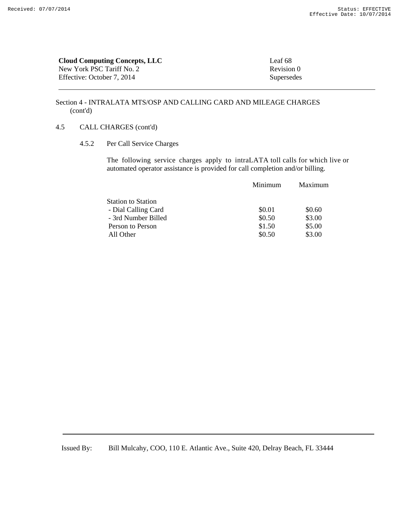| <b>Cloud Computing Concepts, LLC</b> | Leaf 68    |
|--------------------------------------|------------|
| New York PSC Tariff No. 2            | Revision 0 |
| Effective: October 7, 2014           | Supersedes |

## 4.5 CALL CHARGES (cont'd)

4.5.2 Per Call Service Charges

 The following service charges apply to intraLATA toll calls for which live or automated operator assistance is provided for call completion and/or billing.

| Minimum | Maximum |
|---------|---------|
|         |         |
| \$0.01  | \$0.60  |
| \$0.50  | \$3.00  |
| \$1.50  | \$5.00  |
| \$0.50  | \$3.00  |
|         |         |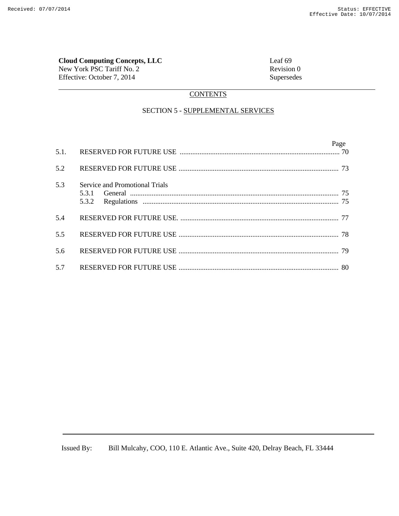# **Cloud Computing Concepts, LLC**<br>
New York PSC Tariff No. 2 Revision 0

New York PSC Tariff No. 2 Effective: October 7, 2014 Supersedes

# **CONTENTS**

# SECTION 5 - SUPPLEMENTAL SERVICES

|     |                                         | Page |
|-----|-----------------------------------------|------|
| 5.2 |                                         |      |
| 5.3 | Service and Promotional Trials<br>5.3.2 |      |
| 5.4 |                                         |      |
| 5.5 |                                         |      |
| 5.6 |                                         |      |
| 5.7 |                                         |      |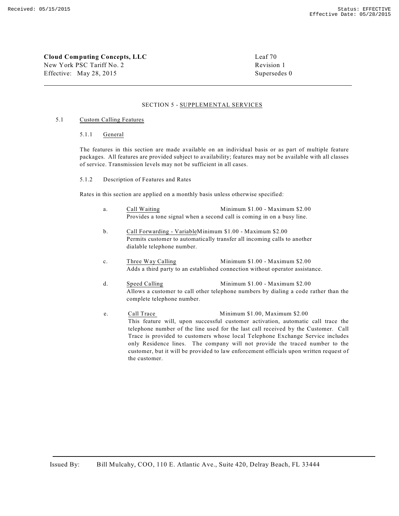**Cloud Computing Concepts, LLC** Leaf 70 New York PSC Tariff No. 2 Revision 1 Effective: May 28, 2015 Supersedes 0

#### SECTION 5 - SUPPLEMENTAL SERVICES

#### 5.1 Custom Calling Features

#### 5.1.1 General

The features in this section are made available on an individual basis or as part of multiple feature packages. All features are provided subject to availability; features may not be available with all classes of service. Transmission levels may not be sufficient in all cases.

#### 5.1.2 Description of Features and Rates

Rates in this section are applied on a monthly basis unless otherwise specified:

- a. Call Waiting Minimum \$1.00 Maximum \$2.00 Provides a tone signal when a second call is coming in on a busy line.
- b. Call Forwarding VariableMinimum \$1.00 Maximum \$2.00 Permits customer to automatically transfer all incoming calls to another dialable telephone number.
- c. Three Way Calling Minimum \$1.00 Maximum \$2.00 Adds a third party to an established connection without operator assistance.
- d. Speed Calling Minimum \$1.00 Maximum \$2.00 Allows a customer to call other telephone numbers by dialing a code rather than the complete telephone number.
- e. Call Trace Minimum \$1.00, Maximum \$2.00 This feature will, upon successful customer activation, automatic call trace the telephone number of the line used for the last call received by the Customer. Call Trace is provided to customers whose local Telephone Exchange Service includes only Residence lines. The company will not provide the traced number to the customer, but it will be provided to law enforcement officials upon written request of the customer.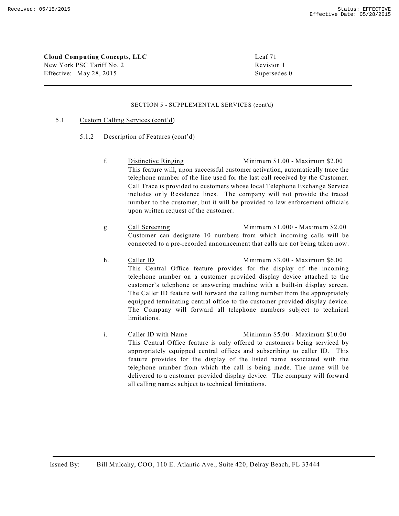**Cloud Computing Concepts, LLC** Leaf 71 New York PSC Tariff No. 2 Revision 1 Effective: May 28, 2015 Supersedes 0

#### SECTION 5 - SUPPLEMENTAL SERVICES (cont'd)

#### 5.1 Custom Calling Services (cont'd)

- 5.1.2 Description of Features (cont'd)
	- f. Distinctive Ringing Minimum \$1.00 Maximum \$2.00 This feature will, upon successful customer activation, automatically trace the telephone number of the line used for the last call received by the Customer. Call Trace is provided to customers whose local Telephone Exchange Service includes only Residence lines. The company will not provide the traced number to the customer, but it will be provided to law enforcement officials upon written request of the customer.
	- g. Call Screening Minimum \$1.000 Maximum \$2.00 Customer can designate 10 numbers from which incoming calls will be connected to a pre-recorded announcement that calls are not being taken now.
	- h. Caller ID Minimum \$3.00 Maximum \$6.00 This Central Office feature provides for the display of the incoming telephone number on a customer provided display device attached to the customer's telephone or answering machine with a built-in display screen. The Caller ID feature will forward the calling number from the appropriately equipped terminating central office to the customer provided display device. The Company will forward all telephone numbers subject to technical limitations.
	- i. Caller ID with Name Minimum \$5.00 Maximum \$10.00 This Central Office feature is only offered to customers being serviced by appropriately equipped central offices and subscribing to caller ID. This feature provides for the display of the listed name associated with the telephone number from which the call is being made. The name will be delivered to a customer provided display device. The company will forward all calling names subject to technical limitations.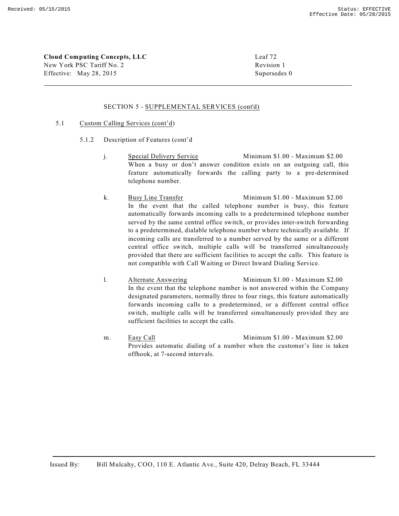**Cloud Computing Concepts, LLC** Leaf 72 New York PSC Tariff No. 2 Revision 1 Effective: May 28, 2015 Supersedes 0

#### SECTION 5 - SUPPLEMENTAL SERVICES (cont'd)

#### 5.1 Custom Calling Services (cont'd)

- 5.1.2 Description of Features (cont'd
	- j. Special Delivery Service Minimum \$1.00 Maximum \$2.00 When a busy or don't answer condition exists on an outgoing call, this feature automatically forwards the calling party to a pre-determined telephone number.
	- k. Busy Line Transfer Minimum \$1.00 Maximum \$2.00 In the event that the called telephone number is busy, this feature automatically forwards incoming calls to a predetermined telephone number served by the same central office switch, or provides inter-switch forwarding to a predetermined, dialable telephone number where technically available. If incoming calls are transferred to a number served by the same or a different central office switch, multiple calls will be transferred simultaneously provided that there are sufficient facilities to accept the calls. This feature is not compatible with Call Waiting or Direct Inward Dialing Service.
	- l. Alternate Answering Minimum \$1.00 Maximum \$2.00 In the event that the telephone number is not answered within the Company designated parameters, normally three to four rings, this feature automatically forwards incoming calls to a predetermined, or a different central office switch, multiple calls will be transferred simultaneously provided they are sufficient facilities to accept the calls.
	- m. Easy Call Minimum \$1.00 Maximum \$2.00 Provides automatic dialing of a number when the customer's line is taken offhook, at 7-second intervals.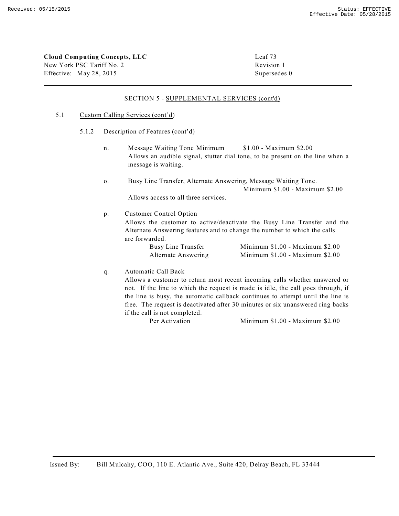**Cloud Computing Concepts, LLC** Leaf 73

New York PSC Tariff No. 2 Revision 1 Effective: May 28, 2015 Supersedes 0

#### SECTION 5 - SUPPLEMENTAL SERVICES (cont'd)

#### 5.1 Custom Calling Services (cont'd)

- 5.1.2 Description of Features (cont'd)
	- n. Message Waiting Tone Minimum \$1.00 Maximum \$2.00 Allows an audible signal, stutter dial tone, to be present on the line when a message is waiting.
	- o. Busy Line Transfer, Alternate Answering, Message Waiting Tone. Minimum \$1.00 - Maximum \$2.00 Allows access to all three services.

p. Customer Control Option

Allows the customer to active/deactivate the Busy Line Transfer and the Alternate Answering features and to change the number to which the calls are forwarded.

| Busy Line Transfer  | Minimum \$1.00 - Maximum \$2.00 |  |
|---------------------|---------------------------------|--|
| Alternate Answering | Minimum \$1.00 - Maximum \$2.00 |  |

q. Automatic Call Back

Allows a customer to return most recent incoming calls whether answered or not. If the line to which the request is made is idle, the call goes through, if the line is busy, the automatic callback continues to attempt until the line is free. The request is deactivated after 30 minutes or six unanswered ring backs if the call is not completed.

Per Activation Minimum \$1.00 - Maximum \$2.00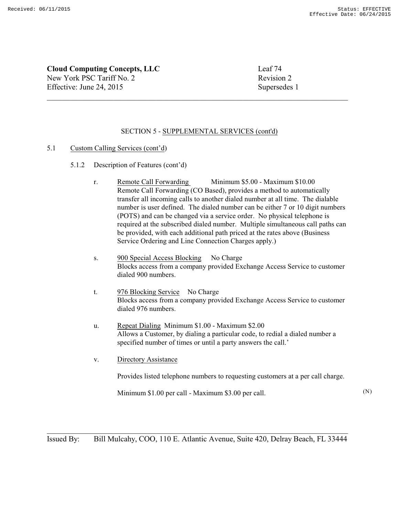**Cloud Computing Concepts, LLC** Leaf 74 New York PSC Tariff No. 2 Revision 2 Effective: June 24, 2015 Supersedes 1

# SECTION 5 - SUPPLEMENTAL SERVICES (cont'd)

# 5.1 Custom Calling Services (cont'd)

- 5.1.2 Description of Features (cont'd)
	- r. Remote Call Forwarding Minimum \$5.00 Maximum \$10.00 Remote Call Forwarding (CO Based), provides a method to automatically transfer all incoming calls to another dialed number at all time. The dialable number is user defined. The dialed number can be either 7 or 10 digit numbers (POTS) and can be changed via a service order. No physical telephone is required at the subscribed dialed number. Multiple simultaneous call paths can be provided, with each additional path priced at the rates above (Business Service Ordering and Line Connection Charges apply.)
	- s. 900 Special Access Blocking No Charge Blocks access from a company provided Exchange Access Service to customer dialed 900 numbers.
	- t. 976 Blocking Service No Charge Blocks access from a company provided Exchange Access Service to customer dialed 976 numbers.
	- u. Repeat Dialing Minimum \$1.00 Maximum \$2.00 Allows a Customer, by dialing a particular code, to redial a dialed number a specified number of times or until a party answers the call.'
	- v. Directory Assistance

Provides listed telephone numbers to requesting customers at a per call charge.

Minimum \$1.00 per call - Maximum \$3.00 per call.

(N)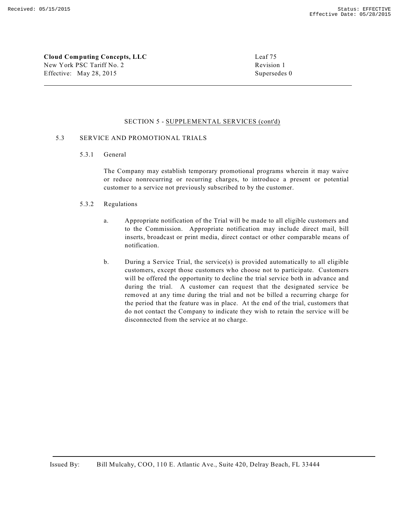**Cloud Computing Concepts, LLC** Leaf 75 New York PSC Tariff No. 2 Revision 1 Effective: May 28, 2015 Supersedes 0

#### SECTION 5 - SUPPLEMENTAL SERVICES (cont'd)

#### 5.3 SERVICE AND PROMOTIONAL TRIALS

5.3.1 General

The Company may establish temporary promotional programs wherein it may waive or reduce nonrecurring or recurring charges, to introduce a present or potential customer to a service not previously subscribed to by the customer.

### 5.3.2 Regulations

- a. Appropriate notification of the Trial will be made to all eligible customers and to the Commission. Appropriate notification may include direct mail, bill inserts, broadcast or print media, direct contact or other comparable means of notification.
- b. During a Service Trial, the service(s) is provided automatically to all eligible customers, except those customers who choose not to participate. Customers will be offered the opportunity to decline the trial service both in advance and during the trial. A customer can request that the designated service be removed at any time during the trial and not be billed a recurring charge for the period that the feature was in place. At the end of the trial, customers that do not contact the Company to indicate they wish to retain the service will be disconnected from the service at no charge.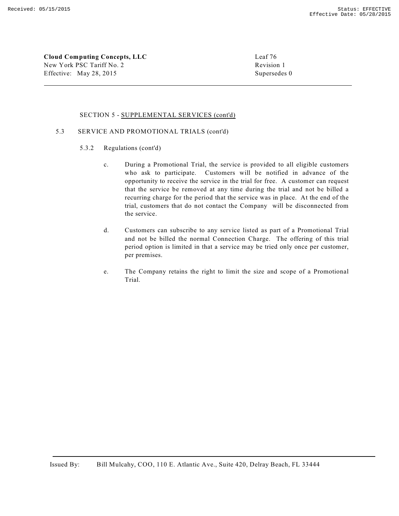**Cloud Computing Concepts, LLC** Leaf 76 New York PSC Tariff No. 2 Revision 1 Effective: May 28, 2015 Supersedes 0

#### SECTION 5 - SUPPLEMENTAL SERVICES (cont'd)

#### 5.3 SERVICE AND PROMOTIONAL TRIALS (cont'd)

- 5.3.2 Regulations (cont'd)
	- c. During a Promotional Trial, the service is provided to all eligible customers who ask to participate. Customers will be notified in advance of the opportunity to receive the service in the trial for free. A customer can request that the service be removed at any time during the trial and not be billed a recurring charge for the period that the service was in place. At the end of the trial, customers that do not contact the Company will be disconnected from the service.
	- d. Customers can subscribe to any service listed as part of a Promotional Trial and not be billed the normal Connection Charge. The offering of this trial period option is limited in that a service may be tried only once per customer, per premises.
	- e. The Company retains the right to limit the size and scope of a Promotional Trial.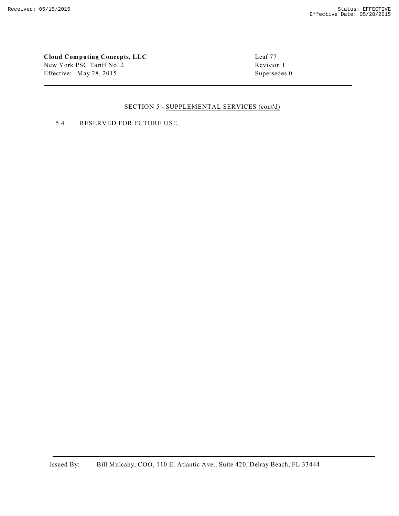**Cloud Computing Concepts, LLC**<br>
New York PSC Tariff No. 2 Revision 1 New York PSC Tariff No. 2 Effective: May 28, 2015 Supersedes 0

# SECTION 5 - SUPPLEMENTAL SERVICES (cont'd)

# 5.4 RESERVED FOR FUTURE USE.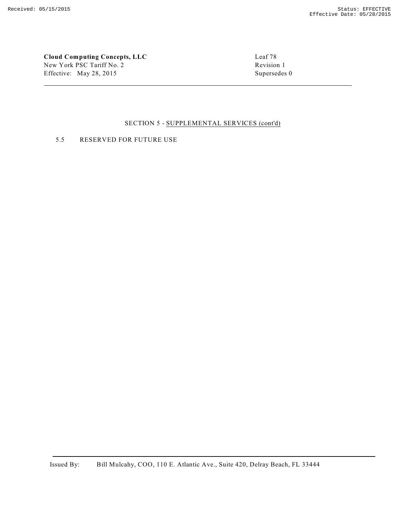**Cloud Computing Concepts, LLC** Leaf 78 New York PSC Tariff No. 2 Revision 1 Effective: May 28, 2015 Supersedes 0

#### SECTION 5 - SUPPLEMENTAL SERVICES (cont'd)

5.5 RESERVED FOR FUTURE USE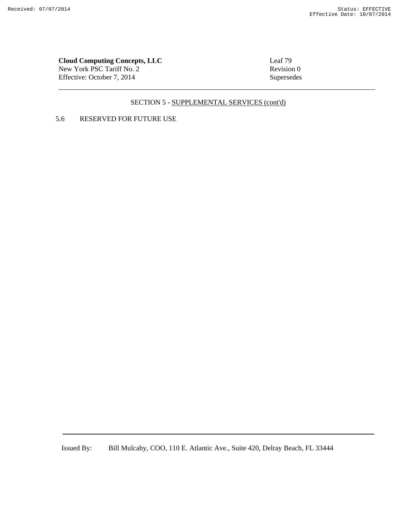# **Cloud Computing Concepts, LLC**<br>
New York PSC Tariff No. 2 Revision 0

New York PSC Tariff No. 2 Effective: October 7, 2014 Supersedes

# SECTION 5 - SUPPLEMENTAL SERVICES (cont'd)

# 5.6 RESERVED FOR FUTURE USE

Issued By: Bill Mulcahy, COO, 110 E. Atlantic Ave., Suite 420, Delray Beach, FL 33444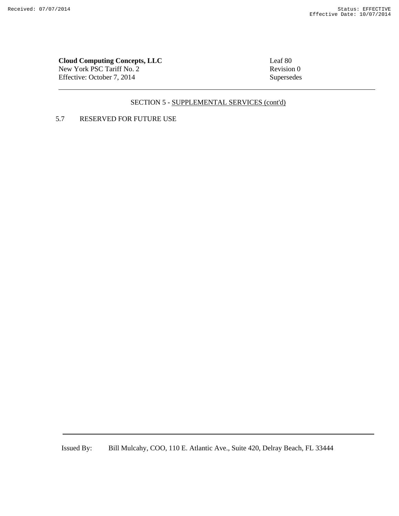# **Cloud Computing Concepts, LLC**<br>
New York PSC Tariff No. 2 Revision 0

New York PSC Tariff No. 2 Effective: October 7, 2014 Supersedes

# SECTION 5 - SUPPLEMENTAL SERVICES (cont'd)

# 5.7 RESERVED FOR FUTURE USE

Issued By: Bill Mulcahy, COO, 110 E. Atlantic Ave., Suite 420, Delray Beach, FL 33444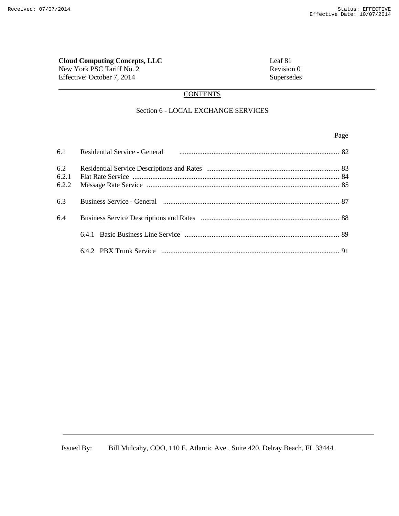# **Cloud Computing Concepts, LLC**<br>
New York PSC Tariff No. 2<br>
Revision 0

New York PSC Tariff No. 2 Effective: October 7, 2014 Supersedes

# **CONTENTS**

## Section 6 - LOCAL EXCHANGE SERVICES

#### Page **Page**

|       | 6.1 Residential Service - General manufacture manufacture and service - General manufacture entertainment and service - General |  |
|-------|---------------------------------------------------------------------------------------------------------------------------------|--|
| 6.2   |                                                                                                                                 |  |
| 6.2.1 |                                                                                                                                 |  |
| 6.2.2 |                                                                                                                                 |  |
| 6.3   | Business Service - General manufacture and contract and the ST state of ST service - General manufacture and ST                 |  |
| 6.4   |                                                                                                                                 |  |
|       |                                                                                                                                 |  |
|       |                                                                                                                                 |  |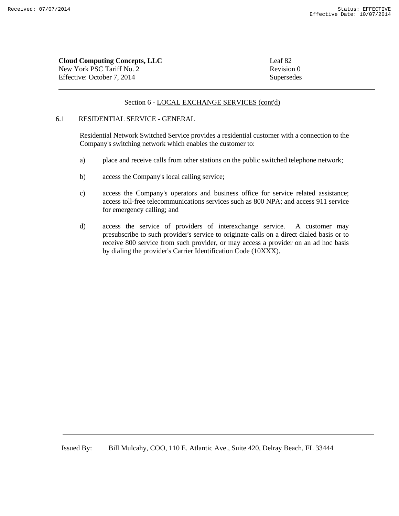| <b>Cloud Computing Concepts, LLC</b> | Leaf 82    |
|--------------------------------------|------------|
| New York PSC Tariff No. 2            | Revision 0 |
| Effective: October 7, 2014           | Supersedes |

## 6.1 RESIDENTIAL SERVICE - GENERAL

Residential Network Switched Service provides a residential customer with a connection to the Company's switching network which enables the customer to:

- a) place and receive calls from other stations on the public switched telephone network;
- b) access the Company's local calling service;
- c) access the Company's operators and business office for service related assistance; access toll-free telecommunications services such as 800 NPA; and access 911 service for emergency calling; and
- d) access the service of providers of interexchange service. A customer may presubscribe to such provider's service to originate calls on a direct dialed basis or to receive 800 service from such provider, or may access a provider on an ad hoc basis by dialing the provider's Carrier Identification Code (10XXX).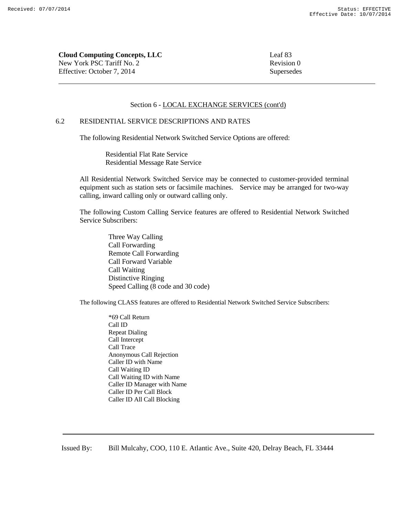**Cloud Computing Concepts, LLC** Leaf 83 New York PSC Tariff No. 2 Revision 0 Effective: October 7, 2014 Supersedes

#### Section 6 - LOCAL EXCHANGE SERVICES (cont'd)

#### 6.2 RESIDENTIAL SERVICE DESCRIPTIONS AND RATES

The following Residential Network Switched Service Options are offered:

Residential Flat Rate Service Residential Message Rate Service

All Residential Network Switched Service may be connected to customer-provided terminal equipment such as station sets or facsimile machines. Service may be arranged for two-way calling, inward calling only or outward calling only.

The following Custom Calling Service features are offered to Residential Network Switched Service Subscribers:

> Three Way Calling Call Forwarding Remote Call Forwarding Call Forward Variable Call Waiting Distinctive Ringing Speed Calling (8 code and 30 code)

The following CLASS features are offered to Residential Network Switched Service Subscribers:

 \*69 Call Return Call ID Repeat Dialing Call Intercept Call Trace Anonymous Call Rejection Caller ID with Name Call Waiting ID Call Waiting ID with Name Caller ID Manager with Name Caller ID Per Call Block Caller ID All Call Blocking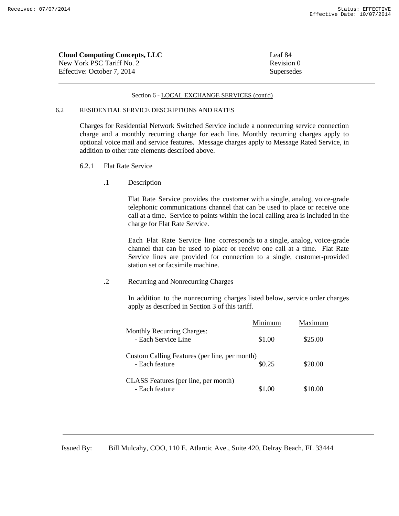| <b>Cloud Computing Concepts, LLC</b> | Leaf 84    |
|--------------------------------------|------------|
| New York PSC Tariff No. 2            | Revision 0 |
| Effective: October 7, 2014           | Supersedes |

#### 6.2 RESIDENTIAL SERVICE DESCRIPTIONS AND RATES

Charges for Residential Network Switched Service include a nonrecurring service connection charge and a monthly recurring charge for each line. Monthly recurring charges apply to optional voice mail and service features. Message charges apply to Message Rated Service, in addition to other rate elements described above.

- 6.2.1 Flat Rate Service
	- .1 Description

 Flat Rate Service provides the customer with a single, analog, voice-grade telephonic communications channel that can be used to place or receive one call at a time. Service to points within the local calling area is included in the charge for Flat Rate Service.

 Each Flat Rate Service line corresponds to a single, analog, voice-grade channel that can be used to place or receive one call at a time. Flat Rate Service lines are provided for connection to a single, customer-provided station set or facsimile machine.

.2 Recurring and Nonrecurring Charges

 In addition to the nonrecurring charges listed below, service order charges apply as described in Section 3 of this tariff.

|                                                                 | Minimum | Maximum |
|-----------------------------------------------------------------|---------|---------|
| <b>Monthly Recurring Charges:</b><br>- Each Service Line        | \$1.00  | \$25.00 |
| Custom Calling Features (per line, per month)<br>- Each feature | \$0.25  | \$20.00 |
| CLASS Features (per line, per month)<br>- Each feature          | \$1.00  | \$10.00 |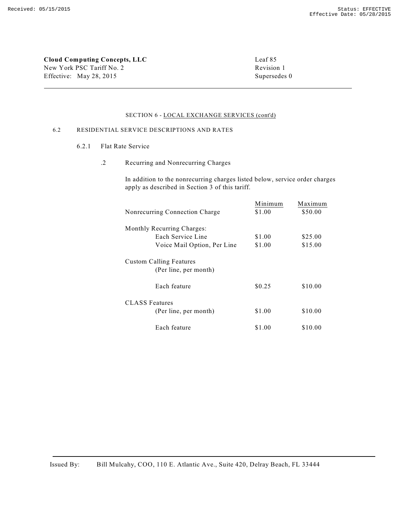**Cloud Computing Concepts, LLC** Leaf 85 New York PSC Tariff No. 2 Revision 1 Effective: May 28, 2015 Supersedes 0

#### SECTION 6 - LOCAL EXCHANGE SERVICES (cont'd)

## 6.2 RESIDENTIAL SERVICE DESCRIPTIONS AND RATES

- 6.2.1 Flat Rate Service
	- .2 Recurring and Nonrecurring Charges

In addition to the nonrecurring charges listed below, service order charges apply as described in Section 3 of this tariff.

| Nonrecurring Connection Charge                          | Minimum<br>\$1.00 | Maximum<br>\$50.00 |
|---------------------------------------------------------|-------------------|--------------------|
| Monthly Recurring Charges:                              |                   |                    |
| Each Service Line                                       | \$1.00            | \$25.00            |
| Voice Mail Option, Per Line                             | \$1.00            | \$15.00            |
| <b>Custom Calling Features</b><br>(Per line, per month) |                   |                    |
| Each feature                                            | \$0.25            | \$10.00            |
| <b>CLASS</b> Features<br>(Per line, per month)          | \$1.00            | \$10.00            |
| Each feature                                            | \$1.00            | \$10.00            |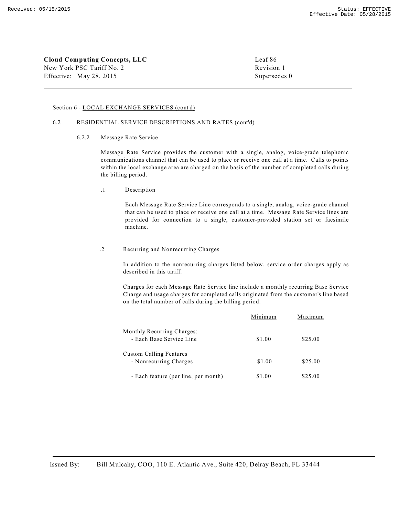**Cloud Computing Concepts, LLC** Leaf 86 New York PSC Tariff No. 2 Revision 1 Effective: May 28, 2015 Supersedes 0

#### Section 6 - LOCAL EXCHANGE SERVICES (cont'd)

#### 6.2 RESIDENTIAL SERVICE DESCRIPTIONS AND RATES (cont'd)

6.2.2 Message Rate Service

Message Rate Service provides the customer with a single, analog, voice-grade telephonic communications channel that can be used to place or receive one call at a time. Calls to points within the local exchange area are charged on the basis of the number of completed calls during the billing period.

.1 Description

Each Message Rate Service Line corresponds to a single, analog, voice-grade channel that can be used to place or receive one call at a time. Message Rate Service lines are provided for connection to a single, customer-provided station set or facsimile machine.

.2 Recurring and Nonrecurring Charges

In addition to the nonrecurring charges listed below, service order charges apply as described in this tariff.

Charges for each Message Rate Service line include a monthly recurring Base Service Charge and usage charges for completed calls originated from the customer's line based on the total number of calls during the billing period.

|                                      | Minimum | Maximum |
|--------------------------------------|---------|---------|
| <b>Monthly Recurring Charges:</b>    |         |         |
| - Each Base Service Line             | \$1.00  | \$25.00 |
| Custom Calling Features              |         |         |
| - Nonrecurring Charges               | \$1.00  | \$25.00 |
| - Each feature (per line, per month) | \$1.00  | \$25.00 |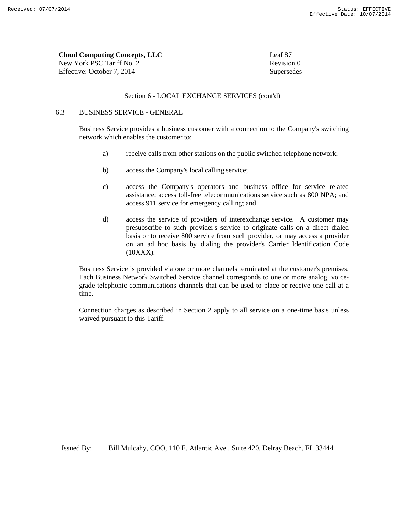| <b>Cloud Computing Concepts, LLC</b> | Leaf 87    |
|--------------------------------------|------------|
| New York PSC Tariff No. 2            | Revision 0 |
| Effective: October 7, 2014           | Supersedes |

# 6.3 BUSINESS SERVICE - GENERAL

Business Service provides a business customer with a connection to the Company's switching network which enables the customer to:

- a) receive calls from other stations on the public switched telephone network;
- b) access the Company's local calling service;
- c) access the Company's operators and business office for service related assistance; access toll-free telecommunications service such as 800 NPA; and access 911 service for emergency calling; and
- d) access the service of providers of interexchange service. A customer may presubscribe to such provider's service to originate calls on a direct dialed basis or to receive 800 service from such provider, or may access a provider on an ad hoc basis by dialing the provider's Carrier Identification Code (10XXX).

Business Service is provided via one or more channels terminated at the customer's premises. Each Business Network Switched Service channel corresponds to one or more analog, voicegrade telephonic communications channels that can be used to place or receive one call at a time.

Connection charges as described in Section 2 apply to all service on a one-time basis unless waived pursuant to this Tariff.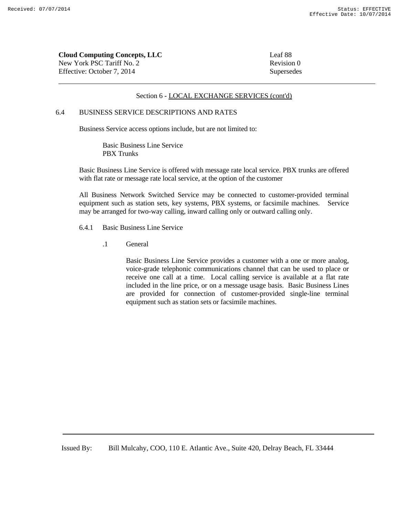| <b>Cloud Computing Concepts, LLC</b> | Leaf 88    |
|--------------------------------------|------------|
| New York PSC Tariff No. 2            | Revision 0 |
| Effective: October 7, 2014           | Supersedes |

# 6.4 BUSINESS SERVICE DESCRIPTIONS AND RATES

Business Service access options include, but are not limited to:

Basic Business Line Service PBX Trunks

Basic Business Line Service is offered with message rate local service. PBX trunks are offered with flat rate or message rate local service, at the option of the customer

All Business Network Switched Service may be connected to customer-provided terminal equipment such as station sets, key systems, PBX systems, or facsimile machines. Service may be arranged for two-way calling, inward calling only or outward calling only.

6.4.1 Basic Business Line Service

.1 General

Basic Business Line Service provides a customer with a one or more analog, voice-grade telephonic communications channel that can be used to place or receive one call at a time. Local calling service is available at a flat rate included in the line price, or on a message usage basis. Basic Business Lines are provided for connection of customer-provided single-line terminal equipment such as station sets or facsimile machines.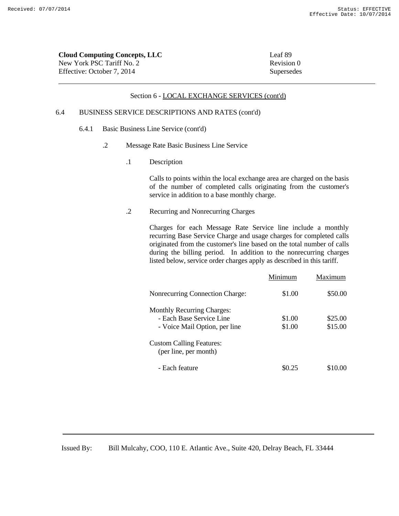| <b>Cloud Computing Concepts, LLC</b> | Leaf 89    |
|--------------------------------------|------------|
| New York PSC Tariff No. 2            | Revision 0 |
| Effective: October 7. 2014           | Supersedes |

# 6.4 BUSINESS SERVICE DESCRIPTIONS AND RATES (cont'd)

- 6.4.1 Basic Business Line Service (cont'd)
	- .2 Message Rate Basic Business Line Service
		- .1 Description

Calls to points within the local exchange area are charged on the basis of the number of completed calls originating from the customer's service in addition to a base monthly charge.

.2 Recurring and Nonrecurring Charges

Charges for each Message Rate Service line include a monthly recurring Base Service Charge and usage charges for completed calls originated from the customer's line based on the total number of calls during the billing period. In addition to the nonrecurring charges listed below, service order charges apply as described in this tariff.

| Minimum | Maximum |
|---------|---------|
| \$1.00  | \$50.00 |
|         |         |
| \$1.00  | \$25.00 |
| \$1.00  | \$15.00 |
|         |         |
| \$0.25  | \$10.00 |
|         |         |

Issued By: Bill Mulcahy, COO, 110 E. Atlantic Ave., Suite 420, Delray Beach, FL 33444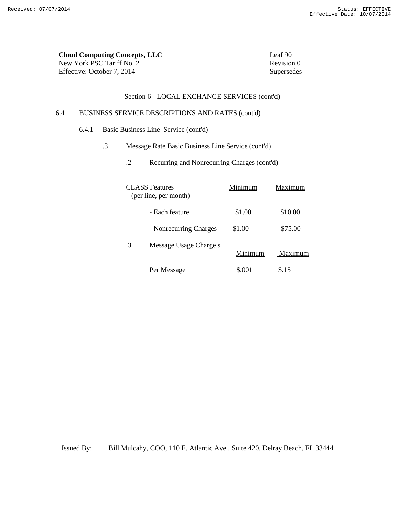| <b>Cloud Computing Concepts, LLC</b> | Leaf 90    |
|--------------------------------------|------------|
| New York PSC Tariff No. 2            | Revision 0 |
| Effective: October 7, 2014           | Supersedes |
|                                      |            |

# 6.4 BUSINESS SERVICE DESCRIPTIONS AND RATES (cont'd)

- 6.4.1 Basic Business Line Service (cont'd)
	- .3 Message Rate Basic Business Line Service (cont'd)
		- .2 Recurring and Nonrecurring Charges (cont'd)

|    | <b>CLASS</b> Features<br>(per line, per month) | Minimum | Maximum |
|----|------------------------------------------------|---------|---------|
|    | - Each feature                                 | \$1.00  | \$10.00 |
|    | - Nonrecurring Charges                         | \$1.00  | \$75.00 |
| .3 | Message Usage Charge s                         | Minimum | Maximum |
|    | Per Message                                    | \$.001  | \$.15   |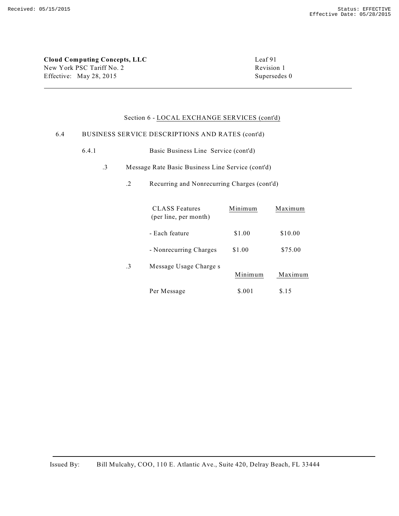**Cloud Computing Concepts, LLC** Leaf 91 New York PSC Tariff No. 2 Revision 1 Effective: May 28, 2015 Supersedes 0

# Section 6 - LOCAL EXCHANGE SERVICES (cont'd)

#### 6.4 BUSINESS SERVICE DESCRIPTIONS AND RATES (cont'd)

- 6.4.1 Basic Business Line Service (cont'd)
	- .3 Message Rate Basic Business Line Service (cont'd)
		- .2 Recurring and Nonrecurring Charges (cont'd)

|           | <b>CLASS</b> Features<br>(per line, per month) | Minimum | Maximum |
|-----------|------------------------------------------------|---------|---------|
|           | - Each feature                                 | \$1.00  | \$10.00 |
|           | - Nonrecurring Charges                         | \$1.00  | \$75.00 |
| $\cdot$ 3 | Message Usage Charge s                         | Minimum | Maximum |
|           | Per Message                                    | \$.001  | \$.15   |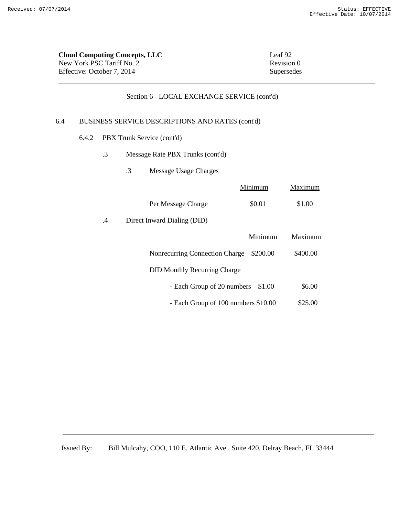| Cloud Computing Concepts, LLC               | Leaf 92    |
|---------------------------------------------|------------|
| New York PSC Tariff No. 2                   | Revision 0 |
| Effective: October 7, 2014                  | Supersedes |
| Section 6 - LOCAL EXCHANGE SERVICE (cont'd) |            |

# 6.4 BUSINESS SERVICE DESCRIPTIONS AND RATES (cont'd)

- 6.4.2 PBX Trunk Service (cont'd)
	- .3 Message Rate PBX Trunks (cont'd)
		- .3 Message Usage Charges

|    |                                     | Minimum  | Maximum  |
|----|-------------------------------------|----------|----------|
|    | Per Message Charge                  | \$0.01   | \$1.00   |
| .4 | Direct Inward Dialing (DID)         |          |          |
|    |                                     | Minimum  | Maximum  |
|    | Nonrecurring Connection Charge      | \$200.00 | \$400.00 |
|    | <b>DID Monthly Recurring Charge</b> |          |          |
|    | - Each Group of 20 numbers          | \$1.00   | \$6.00   |
|    | - Each Group of 100 numbers \$10.00 |          | \$25.00  |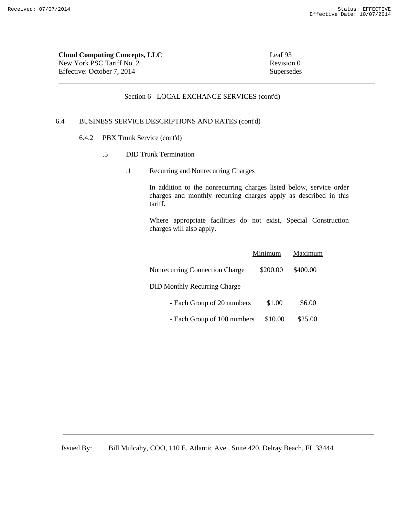| <b>Cloud Computing Concepts, LLC</b> | Leaf 93    |
|--------------------------------------|------------|
| New York PSC Tariff No. 2            | Revision 0 |
| Effective: October 7. 2014           | Supersedes |

# 6.4 BUSINESS SERVICE DESCRIPTIONS AND RATES (cont'd)

- 6.4.2 PBX Trunk Service (cont'd)
	- .5 DID Trunk Termination
		- .1 Recurring and Nonrecurring Charges

In addition to the nonrecurring charges listed below, service order charges and monthly recurring charges apply as described in this tariff.

Where appropriate facilities do not exist, Special Construction charges will also apply.

|                                       | Minimum  | Maximum  |
|---------------------------------------|----------|----------|
| <b>Nonrecurring Connection Charge</b> | \$200.00 | \$400.00 |
| <b>DID Monthly Recurring Charge</b>   |          |          |
| - Each Group of 20 numbers            | \$1.00   | \$6.00   |
| - Each Group of 100 numbers           | \$10.00  | \$25.00  |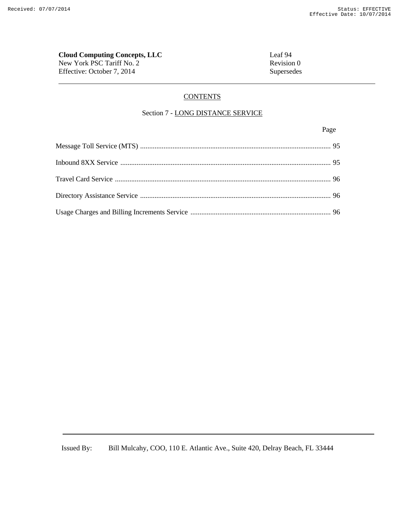# **Cloud Computing Concepts, LLC**<br>
New York PSC Tariff No. 2<br>
Revision 0 New York PSC Tariff No. 2

Effective: October 7, 2014 Supersedes

# **CONTENTS**

# Section 7 - LONG DISTANCE SERVICE

Page **Page**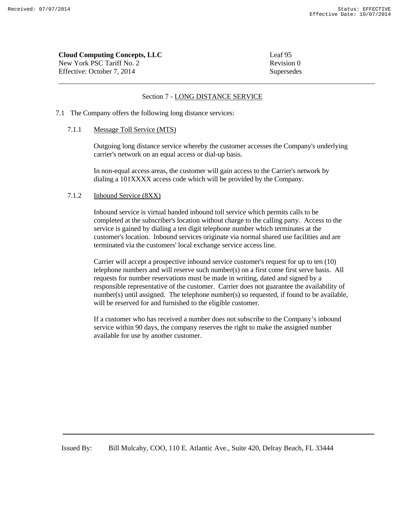| Leaf 95    |
|------------|
| Revision 0 |
| Supersedes |
|            |

#### Section 7 - LONG DISTANCE SERVICE

7.1 The Company offers the following long distance services:

#### 7.1.1 Message Toll Service (MTS)

Outgoing long distance service whereby the customer accesses the Company's underlying carrier's network on an equal access or dial-up basis.

In non-equal access areas, the customer will gain access to the Carrier's network by dialing a 101XXXX access code which will be provided by the Company.

# 7.1.2 Inbound Service (8XX)

Inbound service is virtual banded inbound toll service which permits calls to be completed at the subscriber's location without charge to the calling party. Access to the service is gained by dialing a ten digit telephone number which terminates at the customer's location. Inbound services originate via normal shared use facilities and are terminated via the customers' local exchange service access line.

Carrier will accept a prospective inbound service customer's request for up to ten (10) telephone numbers and will reserve such number(s) on a first come first serve basis. All requests for number reservations must be made in writing, dated and signed by a responsible representative of the customer. Carrier does not guarantee the availability of number(s) until assigned. The telephone number(s) so requested, if found to be available, will be reserved for and furnished to the eligible customer.

If a customer who has received a number does not subscribe to the Company's inbound service within 90 days, the company reserves the right to make the assigned number available for use by another customer.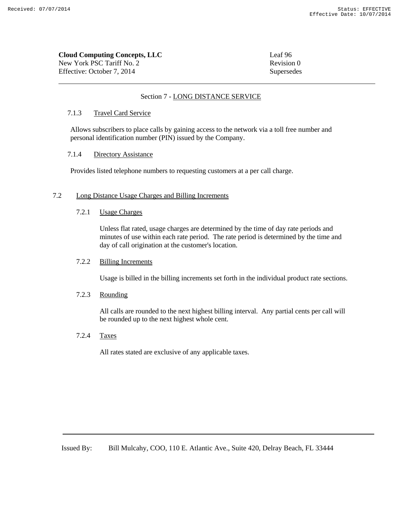| <b>Cloud Computing Concepts, LLC</b> | Leaf 96    |
|--------------------------------------|------------|
| New York PSC Tariff No. 2            | Revision 0 |
| Effective: October 7. 2014           | Supersedes |

# Section 7 - LONG DISTANCE SERVICE

# 7.1.3 Travel Card Service

Allows subscribers to place calls by gaining access to the network via a toll free number and personal identification number (PIN) issued by the Company.

# 7.1.4 Directory Assistance

Provides listed telephone numbers to requesting customers at a per call charge.

#### 7.2 Long Distance Usage Charges and Billing Increments

#### 7.2.1 Usage Charges

Unless flat rated, usage charges are determined by the time of day rate periods and minutes of use within each rate period. The rate period is determined by the time and day of call origination at the customer's location.

# 7.2.2 Billing Increments

Usage is billed in the billing increments set forth in the individual product rate sections.

# 7.2.3 Rounding

All calls are rounded to the next highest billing interval. Any partial cents per call will be rounded up to the next highest whole cent.

#### 7.2.4 Taxes

All rates stated are exclusive of any applicable taxes.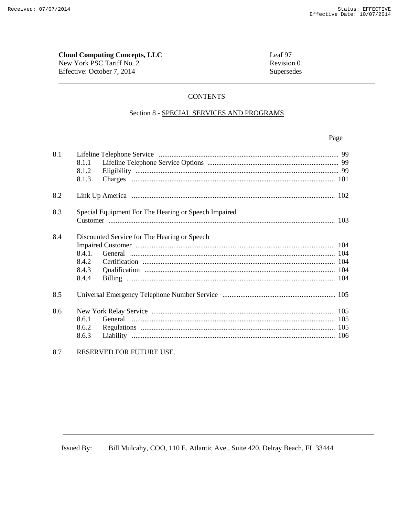# **Cloud Computing Concepts, LLC** New York PSC Tariff No. 2

Effective: October 7, 2014

Leaf 97 Revision 0 Supersedes

# **CONTENTS**

# Section 8 - SPECIAL SERVICES AND PROGRAMS

# Page

| 8.1 | 8.1.1<br>8.1.2<br>8.1.3                                                           |  |
|-----|-----------------------------------------------------------------------------------|--|
| 8.2 |                                                                                   |  |
| 8.3 | Special Equipment For The Hearing or Speech Impaired                              |  |
| 8.4 | Discounted Service for The Hearing or Speech<br>8.4.1.<br>8.4.2<br>8.4.3<br>8.4.4 |  |
| 8.5 |                                                                                   |  |
| 8.6 | 8.6.1<br>8.6.2<br>8.6.3                                                           |  |

#### 8.7 RESERVED FOR FUTURE USE.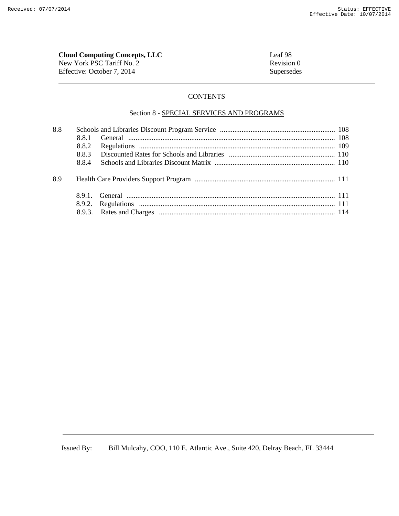# **Cloud Computing Concepts, LLC**<br>
New York PSC Tariff No. 2<br>
Revision 0

New York PSC Tariff No. 2 Effective: October 7, 2014 Supersedes

# **CONTENTS**

# Section 8 - SPECIAL SERVICES AND PROGRAMS

| 8.8 |       |  |
|-----|-------|--|
|     | 8.8.1 |  |
|     | 8.8.2 |  |
|     | 883   |  |
|     | 884   |  |
| 8.9 |       |  |
|     |       |  |
|     |       |  |
|     |       |  |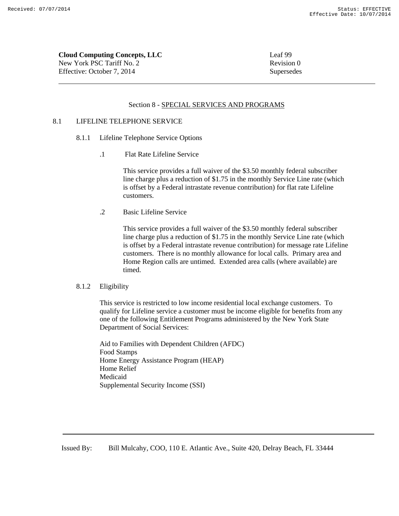**Cloud Computing Concepts, LLC** Leaf 99 New York PSC Tariff No. 2 Revision 0 Effective: October 7, 2014 Supersedes

#### Section 8 - SPECIAL SERVICES AND PROGRAMS

# 8.1 LIFELINE TELEPHONE SERVICE

- 8.1.1 Lifeline Telephone Service Options
	- .1 Flat Rate Lifeline Service

This service provides a full waiver of the \$3.50 monthly federal subscriber line charge plus a reduction of \$1.75 in the monthly Service Line rate (which is offset by a Federal intrastate revenue contribution) for flat rate Lifeline customers.

.2 Basic Lifeline Service

This service provides a full waiver of the \$3.50 monthly federal subscriber line charge plus a reduction of \$1.75 in the monthly Service Line rate (which is offset by a Federal intrastate revenue contribution) for message rate Lifeline customers. There is no monthly allowance for local calls. Primary area and Home Region calls are untimed. Extended area calls (where available) are timed.

# 8.1.2 Eligibility

This service is restricted to low income residential local exchange customers. To qualify for Lifeline service a customer must be income eligible for benefits from any one of the following Entitlement Programs administered by the New York State Department of Social Services:

Aid to Families with Dependent Children (AFDC) Food Stamps Home Energy Assistance Program (HEAP) Home Relief Medicaid Supplemental Security Income (SSI)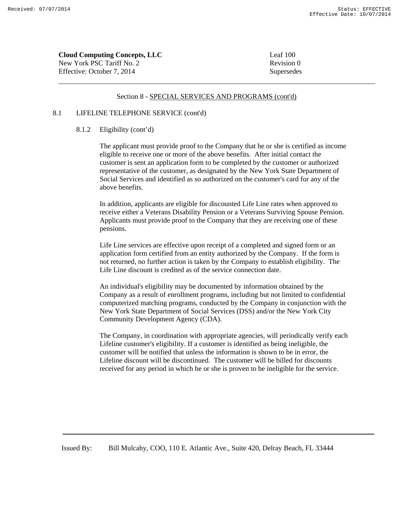| <b>Cloud Computing Concepts, LLC</b> | Leaf $100$ |
|--------------------------------------|------------|
| New York PSC Tariff No. 2            | Revision 0 |
| Effective: October 7, 2014           | Supersedes |

# 8.1 LIFELINE TELEPHONE SERVICE (cont'd)

# 8.1.2 Eligibility (cont'd)

The applicant must provide proof to the Company that he or she is certified as income eligible to receive one or more of the above benefits. After initial contact the customer is sent an application form to be completed by the customer or authorized representative of the customer, as designated by the New York State Department of Social Services and identified as so authorized on the customer's card for any of the above benefits.

In addition, applicants are eligible for discounted Life Line rates when approved to receive either a Veterans Disability Pension or a Veterans Surviving Spouse Pension. Applicants must provide proof to the Company that they are receiving one of these pensions.

Life Line services are effective upon receipt of a completed and signed form or an application form certified from an entity authorized by the Company. If the form is not returned, no further action is taken by the Company to establish eligibility. The Life Line discount is credited as of the service connection date.

An individual's eligibility may be documented by information obtained by the Company as a result of enrollment programs, including but not limited to confidential computerized matching programs, conducted by the Company in conjunction with the New York State Department of Social Services (DSS) and/or the New York City Community Development Agency (CDA).

The Company, in coordination with appropriate agencies, will periodically verify each Lifeline customer's eligibility. If a customer is identified as being ineligible, the customer will be notified that unless the information is shown to be in error, the Lifeline discount will be discontinued. The customer will be billed for discounts received for any period in which he or she is proven to be ineligible for the service.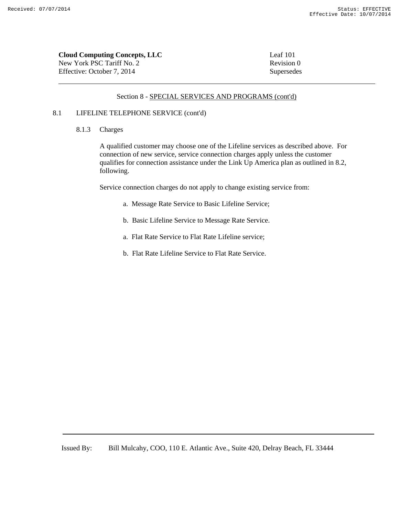| <b>Cloud Computing Concepts, LLC</b> | Leaf 101   |
|--------------------------------------|------------|
| New York PSC Tariff No. 2            | Revision 0 |
| Effective: October 7, 2014           | Supersedes |

# 8.1 LIFELINE TELEPHONE SERVICE (cont'd)

# 8.1.3 Charges

A qualified customer may choose one of the Lifeline services as described above. For connection of new service, service connection charges apply unless the customer qualifies for connection assistance under the Link Up America plan as outlined in 8.2, following.

Service connection charges do not apply to change existing service from:

- a. Message Rate Service to Basic Lifeline Service;
- b. Basic Lifeline Service to Message Rate Service.
- a. Flat Rate Service to Flat Rate Lifeline service;
- b. Flat Rate Lifeline Service to Flat Rate Service.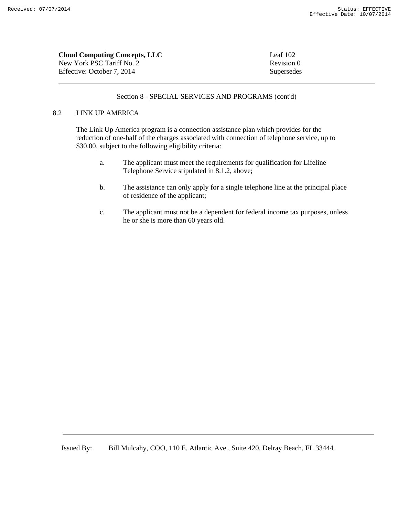| <b>Cloud Computing Concepts, LLC</b> | Leaf $102$ |
|--------------------------------------|------------|
| New York PSC Tariff No. 2            | Revision 0 |
| Effective: October 7, 2014           | Supersedes |

#### 8.2 LINK UP AMERICA

The Link Up America program is a connection assistance plan which provides for the reduction of one-half of the charges associated with connection of telephone service, up to \$30.00, subject to the following eligibility criteria:

- a. The applicant must meet the requirements for qualification for Lifeline Telephone Service stipulated in 8.1.2, above;
- b. The assistance can only apply for a single telephone line at the principal place of residence of the applicant;
- c. The applicant must not be a dependent for federal income tax purposes, unless he or she is more than 60 years old.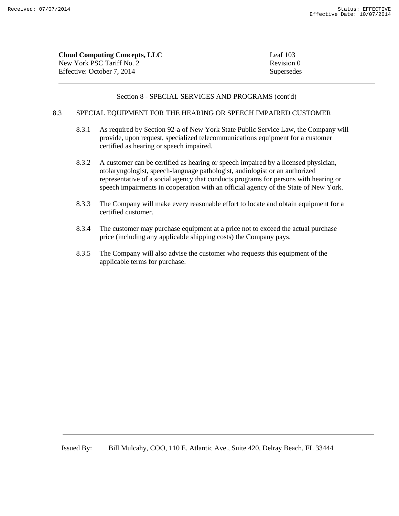| Cloud Computing Concepts, LLC | Leaf $103$ |
|-------------------------------|------------|
| New York PSC Tariff No. 2     | Revision 0 |
| Effective: October 7. 2014    | Supersedes |

# 8.3 SPECIAL EQUIPMENT FOR THE HEARING OR SPEECH IMPAIRED CUSTOMER

- 8.3.1 As required by Section 92-a of New York State Public Service Law, the Company will provide, upon request, specialized telecommunications equipment for a customer certified as hearing or speech impaired.
- 8.3.2 A customer can be certified as hearing or speech impaired by a licensed physician, otolaryngologist, speech-language pathologist, audiologist or an authorized representative of a social agency that conducts programs for persons with hearing or speech impairments in cooperation with an official agency of the State of New York.
- 8.3.3 The Company will make every reasonable effort to locate and obtain equipment for a certified customer.
- 8.3.4 The customer may purchase equipment at a price not to exceed the actual purchase price (including any applicable shipping costs) the Company pays.
- 8.3.5 The Company will also advise the customer who requests this equipment of the applicable terms for purchase.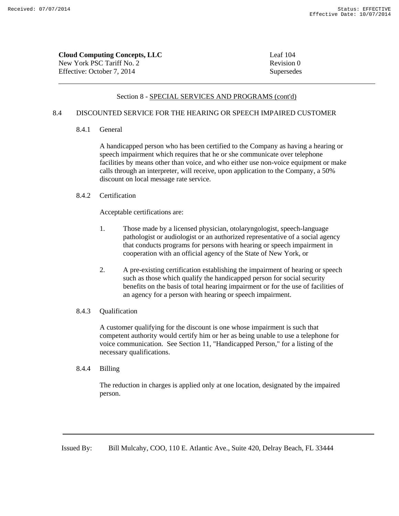| <b>Cloud Computing Concepts, LLC</b> | Leaf $104$ |
|--------------------------------------|------------|
| New York PSC Tariff No. 2            | Revision 0 |
| Effective: October 7, 2014           | Supersedes |

# 8.4 DISCOUNTED SERVICE FOR THE HEARING OR SPEECH IMPAIRED CUSTOMER

# 8.4.1 General

A handicapped person who has been certified to the Company as having a hearing or speech impairment which requires that he or she communicate over telephone facilities by means other than voice, and who either use non-voice equipment or make calls through an interpreter, will receive, upon application to the Company, a 50% discount on local message rate service.

# 8.4.2 Certification

Acceptable certifications are:

- 1. Those made by a licensed physician, otolaryngologist, speech-language pathologist or audiologist or an authorized representative of a social agency that conducts programs for persons with hearing or speech impairment in cooperation with an official agency of the State of New York, or
- 2. A pre-existing certification establishing the impairment of hearing or speech such as those which qualify the handicapped person for social security benefits on the basis of total hearing impairment or for the use of facilities of an agency for a person with hearing or speech impairment.

#### 8.4.3 Qualification

A customer qualifying for the discount is one whose impairment is such that competent authority would certify him or her as being unable to use a telephone for voice communication. See Section 11, "Handicapped Person," for a listing of the necessary qualifications.

8.4.4 Billing

The reduction in charges is applied only at one location, designated by the impaired person.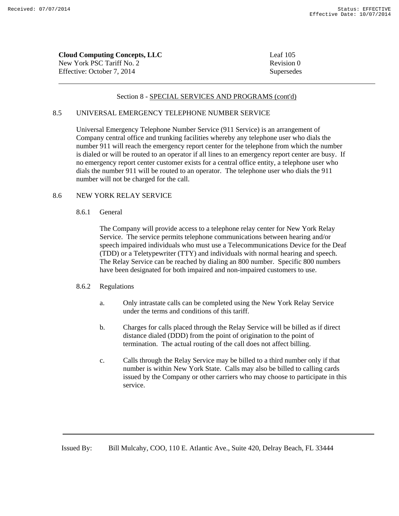| <b>Cloud Computing Concepts, LLC</b> | Leaf $105$ |
|--------------------------------------|------------|
| New York PSC Tariff No. 2            | Revision 0 |
| Effective: October 7, 2014           | Supersedes |

# 8.5 UNIVERSAL EMERGENCY TELEPHONE NUMBER SERVICE

Universal Emergency Telephone Number Service (911 Service) is an arrangement of Company central office and trunking facilities whereby any telephone user who dials the number 911 will reach the emergency report center for the telephone from which the number is dialed or will be routed to an operator if all lines to an emergency report center are busy. If no emergency report center customer exists for a central office entity, a telephone user who dials the number 911 will be routed to an operator. The telephone user who dials the 911 number will not be charged for the call.

#### 8.6 NEW YORK RELAY SERVICE

### 8.6.1 General

The Company will provide access to a telephone relay center for New York Relay Service. The service permits telephone communications between hearing and/or speech impaired individuals who must use a Telecommunications Device for the Deaf (TDD) or a Teletypewriter (TTY) and individuals with normal hearing and speech. The Relay Service can be reached by dialing an 800 number. Specific 800 numbers have been designated for both impaired and non-impaired customers to use.

# 8.6.2 Regulations

- a. Only intrastate calls can be completed using the New York Relay Service under the terms and conditions of this tariff.
- b. Charges for calls placed through the Relay Service will be billed as if direct distance dialed (DDD) from the point of origination to the point of termination. The actual routing of the call does not affect billing.
- c. Calls through the Relay Service may be billed to a third number only if that number is within New York State. Calls may also be billed to calling cards issued by the Company or other carriers who may choose to participate in this service.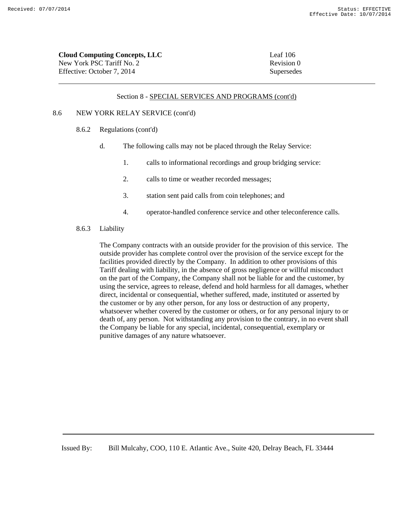Revision 0 Supersedes

| <b>Cloud Computing Concepts, LLC</b> | Leaf 106 |
|--------------------------------------|----------|
| New York PSC Tariff No. 2            | Revision |
| Effective: October 7, 2014           | Supersed |

#### Section 8 - SPECIAL SERVICES AND PROGRAMS (cont'd)

#### 8.6 NEW YORK RELAY SERVICE (cont'd)

- 8.6.2 Regulations (cont'd)
	- d. The following calls may not be placed through the Relay Service:
		- 1. calls to informational recordings and group bridging service:
		- 2. calls to time or weather recorded messages;
		- 3. station sent paid calls from coin telephones; and
		- 4. operator-handled conference service and other teleconference calls.

#### 8.6.3 Liability

The Company contracts with an outside provider for the provision of this service. The outside provider has complete control over the provision of the service except for the facilities provided directly by the Company. In addition to other provisions of this Tariff dealing with liability, in the absence of gross negligence or willful misconduct on the part of the Company, the Company shall not be liable for and the customer, by using the service, agrees to release, defend and hold harmless for all damages, whether direct, incidental or consequential, whether suffered, made, instituted or asserted by the customer or by any other person, for any loss or destruction of any property, whatsoever whether covered by the customer or others, or for any personal injury to or death of, any person. Not withstanding any provision to the contrary, in no event shall the Company be liable for any special, incidental, consequential, exemplary or punitive damages of any nature whatsoever.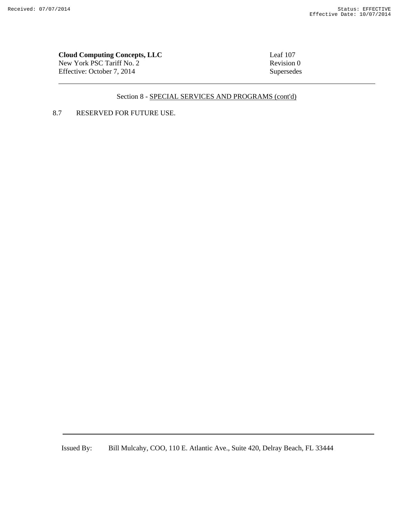**Cloud Computing Concepts, LLC**<br>
New York PSC Tariff No. 2<br>
Revision 0 New York PSC Tariff No. 2 Effective: October 7, 2014 Supersedes

# Section 8 - SPECIAL SERVICES AND PROGRAMS (cont'd)

# 8.7 RESERVED FOR FUTURE USE.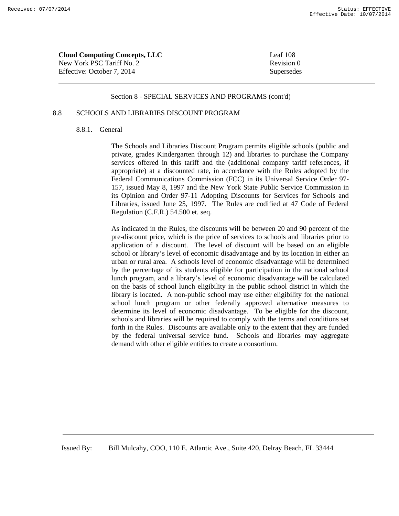| <b>Cloud Computing Concepts, LLC</b> | Leaf 108   |
|--------------------------------------|------------|
| New York PSC Tariff No. 2            | Revision 0 |
| Effective: October 7, 2014           | Supersedes |

### 8.8 SCHOOLS AND LIBRARIES DISCOUNT PROGRAM

### 8.8.1. General

The Schools and Libraries Discount Program permits eligible schools (public and private, grades Kindergarten through 12) and libraries to purchase the Company services offered in this tariff and the (additional company tariff references, if appropriate) at a discounted rate, in accordance with the Rules adopted by the Federal Communications Commission (FCC) in its Universal Service Order 97- 157, issued May 8, 1997 and the New York State Public Service Commission in its Opinion and Order 97-11 Adopting Discounts for Services for Schools and Libraries, issued June 25, 1997. The Rules are codified at 47 Code of Federal Regulation (C.F.R.) 54.500 et. seq.

As indicated in the Rules, the discounts will be between 20 and 90 percent of the pre-discount price, which is the price of services to schools and libraries prior to application of a discount. The level of discount will be based on an eligible school or library's level of economic disadvantage and by its location in either an urban or rural area. A schools level of economic disadvantage will be determined by the percentage of its students eligible for participation in the national school lunch program, and a library's level of economic disadvantage will be calculated on the basis of school lunch eligibility in the public school district in which the library is located. A non-public school may use either eligibility for the national school lunch program or other federally approved alternative measures to determine its level of economic disadvantage. To be eligible for the discount, schools and libraries will be required to comply with the terms and conditions set forth in the Rules. Discounts are available only to the extent that they are funded by the federal universal service fund. Schools and libraries may aggregate demand with other eligible entities to create a consortium.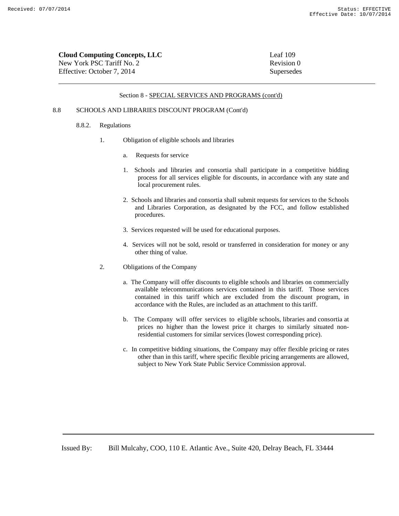| <b>Cloud Computing Concepts, LLC</b> | Leaf $109$ |
|--------------------------------------|------------|
| New York PSC Tariff No. 2            | Revision 0 |
| Effective: October 7, 2014           | Supersedes |

#### 8.8 SCHOOLS AND LIBRARIES DISCOUNT PROGRAM (Cont'd)

#### 8.8.2. Regulations

- 1. Obligation of eligible schools and libraries
	- a. Requests for service
	- 1. Schools and libraries and consortia shall participate in a competitive bidding process for all services eligible for discounts, in accordance with any state and local procurement rules.
	- 2. Schools and libraries and consortia shall submit requests for services to the Schools and Libraries Corporation, as designated by the FCC, and follow established procedures.
	- 3. Services requested will be used for educational purposes.
	- 4. Services will not be sold, resold or transferred in consideration for money or any other thing of value.
- 2. Obligations of the Company
	- a. The Company will offer discounts to eligible schools and libraries on commercially available telecommunications services contained in this tariff. Those services contained in this tariff which are excluded from the discount program, in accordance with the Rules, are included as an attachment to this tariff.
	- b. The Company will offer services to eligible schools, libraries and consortia at prices no higher than the lowest price it charges to similarly situated nonresidential customers for similar services (lowest corresponding price).
	- c. In competitive bidding situations, the Company may offer flexible pricing or rates other than in this tariff, where specific flexible pricing arrangements are allowed, subject to New York State Public Service Commission approval.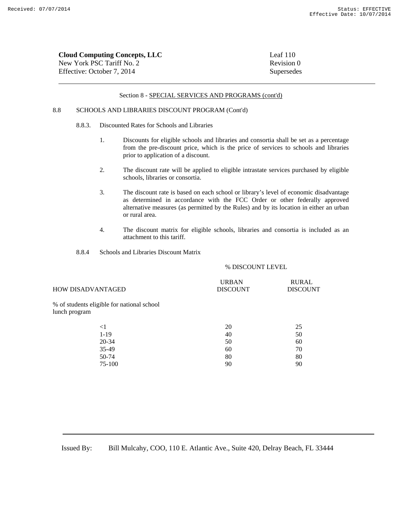| <b>Cloud Computing Concepts, LLC</b> | Leaf $110$ |
|--------------------------------------|------------|
| New York PSC Tariff No. 2            | Revision 0 |
| Effective: October 7, 2014           | Supersedes |

#### 8.8 SCHOOLS AND LIBRARIES DISCOUNT PROGRAM (Cont'd)

- 8.8.3. Discounted Rates for Schools and Libraries
	- 1. Discounts for eligible schools and libraries and consortia shall be set as a percentage from the pre-discount price, which is the price of services to schools and libraries prior to application of a discount.
	- 2. The discount rate will be applied to eligible intrastate services purchased by eligible schools, libraries or consortia.
	- 3. The discount rate is based on each school or library's level of economic disadvantage as determined in accordance with the FCC Order or other federally approved alternative measures (as permitted by the Rules) and by its location in either an urban or rural area.
	- 4. The discount matrix for eligible schools, libraries and consortia is included as an attachment to this tariff.
- 8.8.4 Schools and Libraries Discount Matrix

% DISCOUNT LEVEL

| <b>HOW DISADVANTAGED</b>                                    | <b>URBAN</b><br><b>DISCOUNT</b> | <b>RURAL</b><br><b>DISCOUNT</b> |
|-------------------------------------------------------------|---------------------------------|---------------------------------|
| % of students eligible for national school<br>lunch program |                                 |                                 |
| $<$ 1                                                       | 20                              | 25                              |
| $1-19$                                                      | 40                              | 50                              |
| $20 - 34$                                                   | 50                              | 60                              |
| $35-49$                                                     | 60                              | 70                              |
| 50-74                                                       | 80                              | 80                              |
| 75-100                                                      | 90                              | 90                              |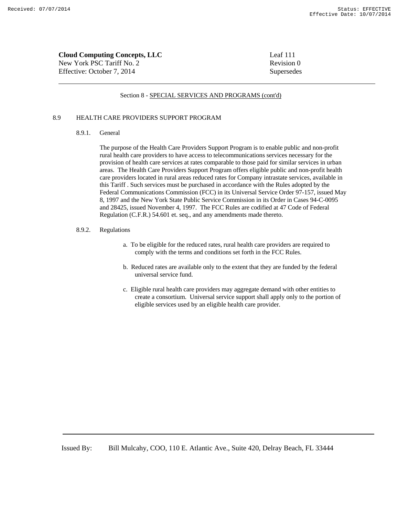| <b>Cloud Computing Concepts, LLC</b> | Leaf $111$ |
|--------------------------------------|------------|
| New York PSC Tariff No. 2            | Revision 0 |
| Effective: October 7, 2014           | Supersedes |

### 8.9 HEALTH CARE PROVIDERS SUPPORT PROGRAM

### 8.9.1. General

The purpose of the Health Care Providers Support Program is to enable public and non-profit rural health care providers to have access to telecommunications services necessary for the provision of health care services at rates comparable to those paid for similar services in urban areas. The Health Care Providers Support Program offers eligible public and non-profit health care providers located in rural areas reduced rates for Company intrastate services, available in this Tariff . Such services must be purchased in accordance with the Rules adopted by the Federal Communications Commission (FCC) in its Universal Service Order 97-157, issued May 8, 1997 and the New York State Public Service Commission in its Order in Cases 94-C-0095 and 28425, issued November 4, 1997. The FCC Rules are codified at 47 Code of Federal Regulation (C.F.R.) 54.601 et. seq., and any amendments made thereto.

#### 8.9.2. Regulations

- a. To be eligible for the reduced rates, rural health care providers are required to comply with the terms and conditions set forth in the FCC Rules.
- b. Reduced rates are available only to the extent that they are funded by the federal universal service fund.
- c. Eligible rural health care providers may aggregate demand with other entities to create a consortium. Universal service support shall apply only to the portion of eligible services used by an eligible health care provider.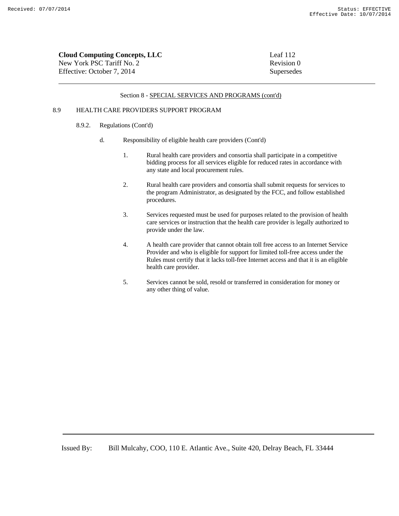| <b>Cloud Computing Concepts, LLC</b> | Leaf 112   |
|--------------------------------------|------------|
| New York PSC Tariff No. 2            | Revision 0 |
| Effective: October 7, 2014           | Supersedes |

#### 8.9 HEALTH CARE PROVIDERS SUPPORT PROGRAM

### 8.9.2. Regulations (Cont'd)

- d. Responsibility of eligible health care providers (Cont'd)
	- 1. Rural health care providers and consortia shall participate in a competitive bidding process for all services eligible for reduced rates in accordance with any state and local procurement rules.
	- 2. Rural health care providers and consortia shall submit requests for services to the program Administrator, as designated by the FCC, and follow established procedures.
	- 3. Services requested must be used for purposes related to the provision of health care services or instruction that the health care provider is legally authorized to provide under the law.
	- 4. A health care provider that cannot obtain toll free access to an Internet Service Provider and who is eligible for support for limited toll-free access under the Rules must certify that it lacks toll-free Internet access and that it is an eligible health care provider.
	- 5. Services cannot be sold, resold or transferred in consideration for money or any other thing of value.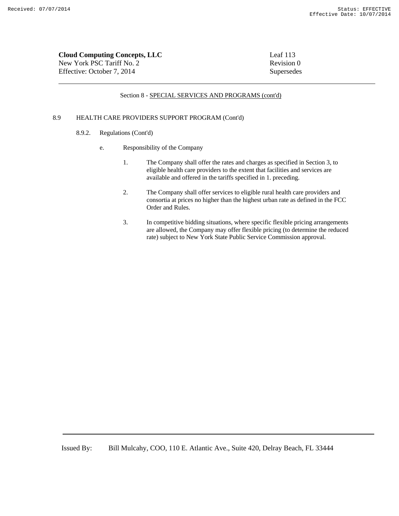| <b>Cloud Computing Concepts, LLC</b> | Leaf 113   |
|--------------------------------------|------------|
| New York PSC Tariff No. 2            | Revision 0 |
| Effective: October 7, 2014           | Supersedes |

### 8.9 HEALTH CARE PROVIDERS SUPPORT PROGRAM (Cont'd)

- 8.9.2. Regulations (Cont'd)
	- e. Responsibility of the Company
		- 1. The Company shall offer the rates and charges as specified in Section 3, to eligible health care providers to the extent that facilities and services are available and offered in the tariffs specified in 1. preceding.
		- 2. The Company shall offer services to eligible rural health care providers and consortia at prices no higher than the highest urban rate as defined in the FCC Order and Rules.
		- 3. In competitive bidding situations, where specific flexible pricing arrangements are allowed, the Company may offer flexible pricing (to determine the reduced rate) subject to New York State Public Service Commission approval.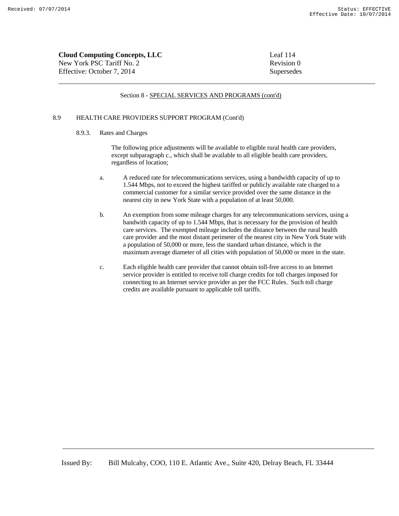| <b>Cloud Computing Concepts, LLC</b> | Leaf 114   |
|--------------------------------------|------------|
| New York PSC Tariff No. 2            | Revision 0 |
| Effective: October 7. 2014           | Supersedes |

### 8.9 HEALTH CARE PROVIDERS SUPPORT PROGRAM (Cont'd)

### 8.9.3. Rates and Charges

The following price adjustments will be available to eligible rural health care providers, except subparagraph c., which shall be available to all eligible health care providers, regardless of location;

- a. A reduced rate for telecommunications services, using a bandwidth capacity of up to 1.544 Mbps, not to exceed the highest tariffed or publicly available rate charged to a commercial customer for a similar service provided over the same distance in the nearest city in new York State with a population of at least 50,000.
- b. An exemption from some mileage charges for any telecommunications services, using a bandwith capacity of up to 1.544 Mbps, that is necessary for the provision of health care services. The exempted mileage includes the distance between the rural health care provider and the most distant perimeter of the nearest city in New York State with a population of 50,000 or more, less the standard urban distance, which is the maximum average diameter of all cities with population of 50,000 or more in the state.
- c. Each eligible health care provider that cannot obtain toll-free access to an Internet service provider is entitled to receive toll charge credits for toll charges imposed for connecting to an Internet service provider as per the FCC Rules. Such toll charge credits are available pursuant to applicable toll tariffs.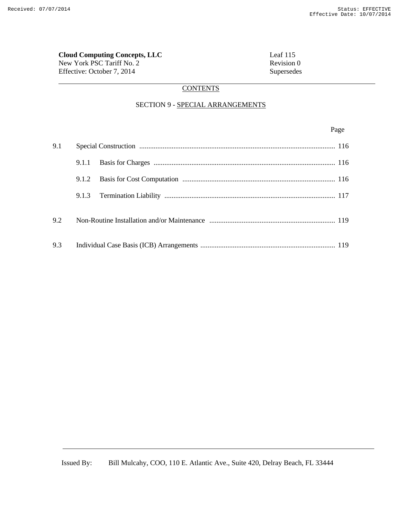**Cloud Computing Concepts, LLC**<br>
New York PSC Tariff No. 2<br>
Revision 0 New York PSC Tariff No. 2 Effective: October 7, 2014 Supersedes

## **CONTENTS**

# SECTION 9 - SPECIAL ARRANGEMENTS

Page **Page** 

| 9.1 |       |  |
|-----|-------|--|
|     | 9.1.1 |  |
|     | 9.1.2 |  |
|     |       |  |
| 9.2 |       |  |
| 9.3 |       |  |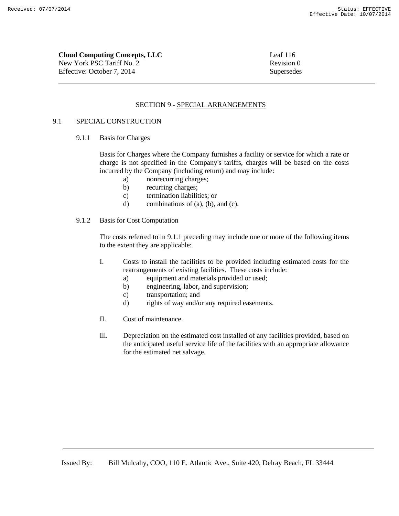**Cloud Computing Concepts, LLC** Leaf 116

New York PSC Tariff No. 2 Revision 0 Effective: October 7, 2014 Supersedes

## SECTION 9 - SPECIAL ARRANGEMENTS

## 9.1 SPECIAL CONSTRUCTION

9.1.1 Basis for Charges

Basis for Charges where the Company furnishes a facility or service for which a rate or charge is not specified in the Company's tariffs, charges will be based on the costs incurred by the Company (including return) and may include:

- a) nonrecurring charges;
- b) recurring charges;
- c) termination liabilities; or
- d) combinations of (a), (b), and (c).
- 9.1.2 Basis for Cost Computation

The costs referred to in 9.1.1 preceding may include one or more of the following items to the extent they are applicable:

- I. Costs to install the facilities to be provided including estimated costs for the rearrangements of existing facilities. These costs include:
	- a) equipment and materials provided or used;
	- b) engineering, labor, and supervision;
	- c) transportation; and
	- d) rights of way and/or any required easements.
- II. Cost of maintenance.
- Ill. Depreciation on the estimated cost installed of any facilities provided, based on the anticipated useful service life of the facilities with an appropriate allowance for the estimated net salvage.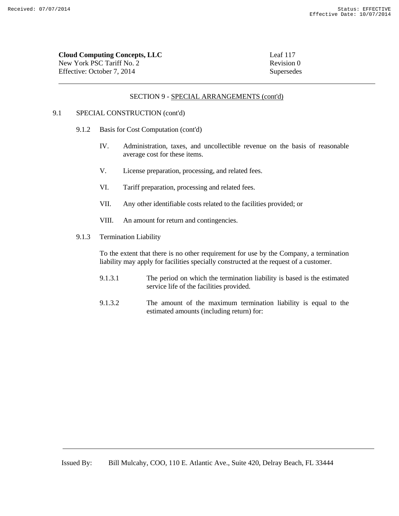| <b>Cloud Computing Concepts, LLC</b> | Leaf 117   |
|--------------------------------------|------------|
| New York PSC Tariff No. 2            | Revision 0 |
| Effective: October 7, 2014           | Supersedes |

## SECTION 9 - SPECIAL ARRANGEMENTS (cont'd)

## 9.1 SPECIAL CONSTRUCTION (cont'd)

- 9.1.2 Basis for Cost Computation (cont'd)
	- IV. Administration, taxes, and uncollectible revenue on the basis of reasonable average cost for these items.
	- V. License preparation, processing, and related fees.
	- VI. Tariff preparation, processing and related fees.
	- VII. Any other identifiable costs related to the facilities provided; or
	- VIII. An amount for return and contingencies.
- 9.1.3 Termination Liability

To the extent that there is no other requirement for use by the Company, a termination liability may apply for facilities specially constructed at the request of a customer.

- 9.1.3.1 The period on which the termination liability is based is the estimated service life of the facilities provided.
- 9.1.3.2 The amount of the maximum termination liability is equal to the estimated amounts (including return) for: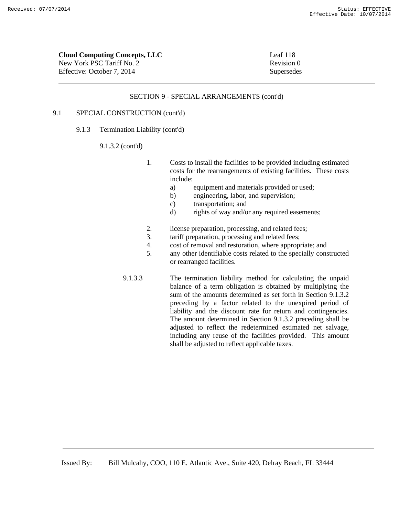| Cloud Computing Concepts, LLC | Leaf 118   |
|-------------------------------|------------|
| New York PSC Tariff No. 2     | Revision 0 |
| Effective: October 7, 2014    | Supersedes |

### SECTION 9 - SPECIAL ARRANGEMENTS (cont'd)

## 9.1 SPECIAL CONSTRUCTION (cont'd)

9.1.3 Termination Liability (cont'd)

### 9.1.3.2 (cont'd)

- 1. Costs to install the facilities to be provided including estimated costs for the rearrangements of existing facilities. These costs include:
	- a) equipment and materials provided or used;
	- b) engineering, labor, and supervision;
	- c) transportation; and
	- d) rights of way and/or any required easements;
- 2. license preparation, processing, and related fees;
- 3. tariff preparation, processing and related fees;
- 4. cost of removal and restoration, where appropriate; and
- 5. any other identifiable costs related to the specially constructed or rearranged facilities.
- 9.1.3.3 The termination liability method for calculating the unpaid balance of a term obligation is obtained by multiplying the sum of the amounts determined as set forth in Section 9.1.3.2 preceding by a factor related to the unexpired period of liability and the discount rate for return and contingencies. The amount determined in Section 9.1.3.2 preceding shall be adjusted to reflect the redetermined estimated net salvage, including any reuse of the facilities provided. This amount shall be adjusted to reflect applicable taxes.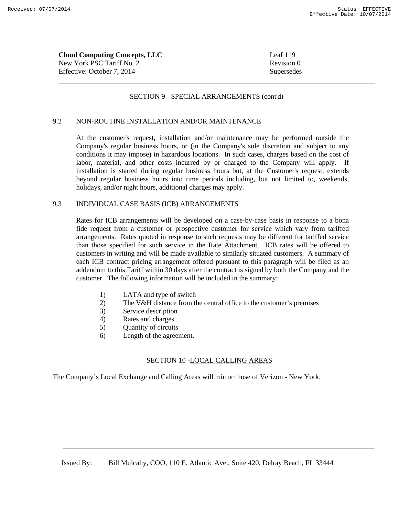| <b>Cloud Computing Concepts, LLC</b> | Leaf $119$ |
|--------------------------------------|------------|
| New York PSC Tariff No. 2            | Revision 0 |
| Effective: October 7, 2014           | Supersedes |

## SECTION 9 - SPECIAL ARRANGEMENTS (cont'd)

## 9.2 NON-ROUTINE INSTALLATION AND/OR MAINTENANCE

At the customer's request, installation and/or maintenance may be performed outside the Company's regular business hours, or (in the Company's sole discretion and subject to any conditions it may impose) in hazardous locations. In such cases, charges based on the cost of labor, material, and other costs incurred by or charged to the Company will apply. If installation is started during regular business hours but, at the Customer's request, extends beyond regular business hours into time periods including, but not limited to, weekends, holidays, and/or night hours, additional charges may apply.

## 9.3 INDIVIDUAL CASE BASIS (ICB) ARRANGEMENTS

Rates for ICB arrangements will be developed on a case-by-case basis in response to a bona fide request from a customer or prospective customer for service which vary from tariffed arrangements. Rates quoted in response to such requests may be different for tariffed service than those specified for such service in the Rate Attachment. ICB rates will be offered to customers in writing and will be made available to similarly situated customers. A summary of each ICB contract pricing arrangement offered pursuant to this paragraph will be filed as an addendum to this Tariff within 30 days after the contract is signed by both the Company and the customer. The following information will be included in the summary:

- 1) LATA and type of switch
- 2) The V&H distance from the central office to the customer's premises
- 3) Service description
- 4) Rates and charges
- 5) Quantity of circuits
- 6) Length of the agreement.

## SECTION 10 -LOCAL CALLING AREAS

The Company's Local Exchange and Calling Areas will mirror those of Verizon - New York.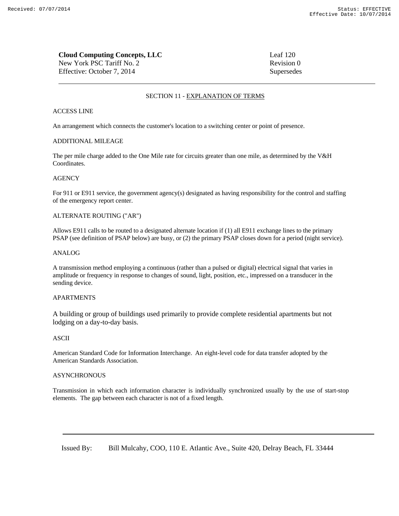## **Cloud Computing Concepts, LLC** Leaf 120 New York PSC Tariff No. 2 Revision 0 Effective: October 7, 2014 Supersedes

## SECTION 11 - EXPLANATION OF TERMS

## ACCESS LINE

An arrangement which connects the customer's location to a switching center or point of presence.

### ADDITIONAL MILEAGE

The per mile charge added to the One Mile rate for circuits greater than one mile, as determined by the V&H Coordinates.

### **AGENCY**

For 911 or E911 service, the government agency(s) designated as having responsibility for the control and staffing of the emergency report center.

## ALTERNATE ROUTING ("AR")

Allows E911 calls to be routed to a designated alternate location if (1) all E911 exchange lines to the primary PSAP (see definition of PSAP below) are busy, or (2) the primary PSAP closes down for a period (night service).

### ANALOG

A transmission method employing a continuous (rather than a pulsed or digital) electrical signal that varies in amplitude or frequency in response to changes of sound, light, position, etc., impressed on a transducer in the sending device.

### **APARTMENTS**

A building or group of buildings used primarily to provide complete residential apartments but not lodging on a day-to-day basis.

### ASCII

American Standard Code for Information Interchange. An eight-level code for data transfer adopted by the American Standards Association.

### **ASYNCHRONOUS**

Transmission in which each information character is individually synchronized usually by the use of start-stop elements. The gap between each character is not of a fixed length.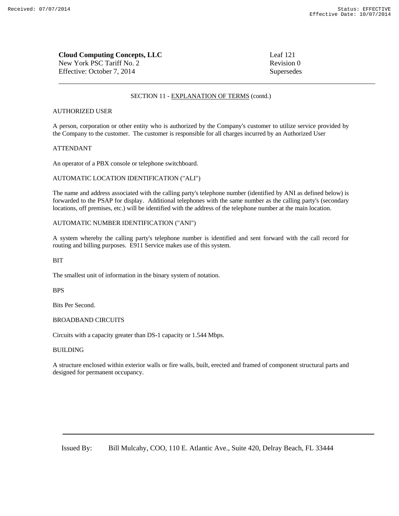| <b>Cloud Computing Concepts, LLC</b> | Leaf 121   |
|--------------------------------------|------------|
| New York PSC Tariff No. 2            | Revision 0 |
| Effective: October 7, 2014           | Supersedes |

### AUTHORIZED USER

A person, corporation or other entity who is authorized by the Company's customer to utilize service provided by the Company to the customer. The customer is responsible for all charges incurred by an Authorized User

### ATTENDANT

An operator of a PBX console or telephone switchboard.

#### AUTOMATIC LOCATION IDENTIFICATION ("ALI")

The name and address associated with the calling party's telephone number (identified by ANI as defined below) is forwarded to the PSAP for display. Additional telephones with the same number as the calling party's (secondary locations, off premises, etc.) will be identified with the address of the telephone number at the main location.

### AUTOMATIC NUMBER IDENTIFICATION ("ANI")

A system whereby the calling party's telephone number is identified and sent forward with the call record for routing and billing purposes. E911 Service makes use of this system.

### **BIT**

The smallest unit of information in the binary system of notation.

#### BPS

Bits Per Second.

#### BROADBAND CIRCUITS

Circuits with a capacity greater than DS-1 capacity or 1.544 Mbps.

### BUILDING

A structure enclosed within exterior walls or fire walls, built, erected and framed of component structural parts and designed for permanent occupancy.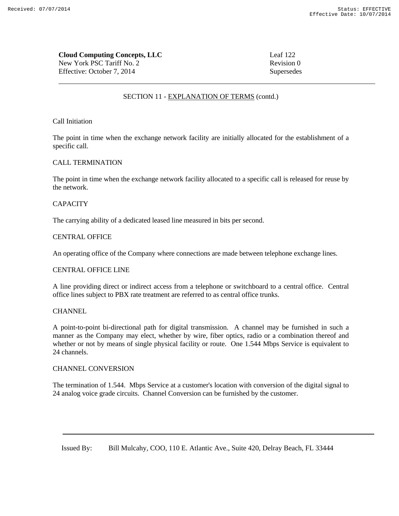**Cloud Computing Concepts, LLC** Leaf 122 New York PSC Tariff No. 2 Revision 0 Effective: October 7, 2014 Supersedes

## SECTION 11 - EXPLANATION OF TERMS (contd.)

### Call Initiation

The point in time when the exchange network facility are initially allocated for the establishment of a specific call.

## CALL TERMINATION

The point in time when the exchange network facility allocated to a specific call is released for reuse by the network.

## **CAPACITY**

The carrying ability of a dedicated leased line measured in bits per second.

## CENTRAL OFFICE

An operating office of the Company where connections are made between telephone exchange lines.

## CENTRAL OFFICE LINE

A line providing direct or indirect access from a telephone or switchboard to a central office. Central office lines subject to PBX rate treatment are referred to as central office trunks.

## **CHANNEL**

A point-to-point bi-directional path for digital transmission. A channel may be furnished in such a manner as the Company may elect, whether by wire, fiber optics, radio or a combination thereof and whether or not by means of single physical facility or route. One 1.544 Mbps Service is equivalent to 24 channels.

## CHANNEL CONVERSION

The termination of 1.544. Mbps Service at a customer's location with conversion of the digital signal to 24 analog voice grade circuits. Channel Conversion can be furnished by the customer.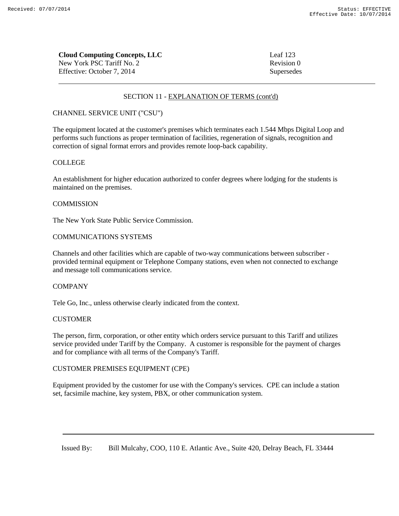| <b>Cloud Computing Concepts, LLC</b> | Leaf $123$ |
|--------------------------------------|------------|
| New York PSC Tariff No. 2            | Revision 0 |
| Effective: October 7, 2014           | Supersedes |

## CHANNEL SERVICE UNIT ("CSU")

The equipment located at the customer's premises which terminates each 1.544 Mbps Digital Loop and performs such functions as proper termination of facilities, regeneration of signals, recognition and correction of signal format errors and provides remote loop-back capability.

## COLLEGE

An establishment for higher education authorized to confer degrees where lodging for the students is maintained on the premises.

## **COMMISSION**

The New York State Public Service Commission.

## COMMUNICATIONS SYSTEMS

Channels and other facilities which are capable of two-way communications between subscriber provided terminal equipment or Telephone Company stations, even when not connected to exchange and message toll communications service.

## COMPANY

Tele Go, Inc., unless otherwise clearly indicated from the context.

## **CUSTOMER**

The person, firm, corporation, or other entity which orders service pursuant to this Tariff and utilizes service provided under Tariff by the Company. A customer is responsible for the payment of charges and for compliance with all terms of the Company's Tariff.

## CUSTOMER PREMISES EQUIPMENT (CPE)

Equipment provided by the customer for use with the Company's services. CPE can include a station set, facsimile machine, key system, PBX, or other communication system.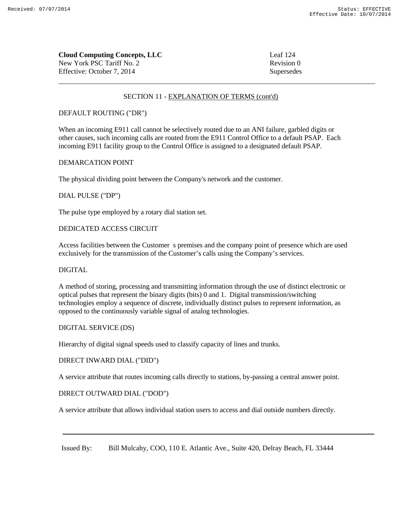| <b>Cloud Computing Concepts, LLC</b> | Leaf 124   |
|--------------------------------------|------------|
| New York PSC Tariff No. 2            | Revision 0 |
| Effective: October 7. 2014           | Supersedes |

## DEFAULT ROUTING ("DR")

When an incoming E911 call cannot be selectively routed due to an ANI failure, garbled digits or other causes, such incoming calls are routed from the E911 Control Office to a default PSAP. Each incoming E911 facility group to the Control Office is assigned to a designated default PSAP.

## DEMARCATION POINT

The physical dividing point between the Company's network and the customer.

## DIAL PULSE ("DP")

The pulse type employed by a rotary dial station set.

## DEDICATED ACCESS CIRCUIT

Access facilities between the Customer s premises and the company point of presence which are used exclusively for the transmission of the Customer's calls using the Company's services.

## DIGITAL

A method of storing, processing and transmitting information through the use of distinct electronic or optical pulses that represent the binary digits (bits) 0 and 1. Digital transmission/switching technologies employ a sequence of discrete, individually distinct pulses to represent information, as opposed to the continuously variable signal of analog technologies.

## DIGITAL SERVICE (DS)

Hierarchy of digital signal speeds used to classify capacity of lines and trunks.

### DIRECT INWARD DIAL ("DID")

A service attribute that routes incoming calls directly to stations, by-passing a central answer point.

## DIRECT OUTWARD DIAL ("DOD")

A service attribute that allows individual station users to access and dial outside numbers directly.

Issued By: Bill Mulcahy, COO, 110 E. Atlantic Ave., Suite 420, Delray Beach, FL 33444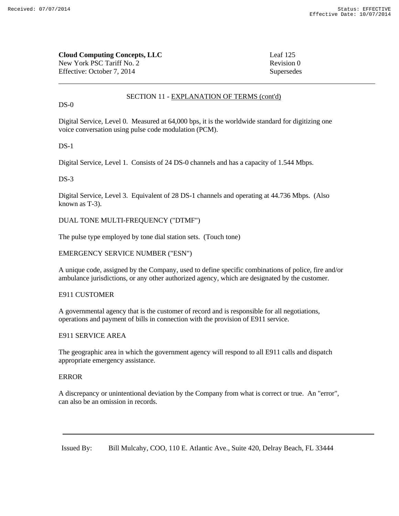| <b>Cloud Computing Concepts, LLC</b> | Leaf $125$ |
|--------------------------------------|------------|
| New York PSC Tariff No. 2            | Revision 0 |
| Effective: October 7. 2014           | Supersedes |

 $DS-0$ 

Digital Service, Level 0. Measured at 64,000 bps, it is the worldwide standard for digitizing one voice conversation using pulse code modulation (PCM).

### $DS-1$

Digital Service, Level 1. Consists of 24 DS-0 channels and has a capacity of 1.544 Mbps.

### $DS-3$

Digital Service, Level 3. Equivalent of 28 DS-1 channels and operating at 44.736 Mbps. (Also known as T-3).

## DUAL TONE MULTI-FREQUENCY ("DTMF")

The pulse type employed by tone dial station sets. (Touch tone)

### EMERGENCY SERVICE NUMBER ("ESN")

A unique code, assigned by the Company, used to define specific combinations of police, fire and/or ambulance jurisdictions, or any other authorized agency, which are designated by the customer.

## E911 CUSTOMER

A governmental agency that is the customer of record and is responsible for all negotiations, operations and payment of bills in connection with the provision of E911 service.

### E911 SERVICE AREA

The geographic area in which the government agency will respond to all E911 calls and dispatch appropriate emergency assistance.

### ERROR

A discrepancy or unintentional deviation by the Company from what is correct or true. An "error", can also be an omission in records.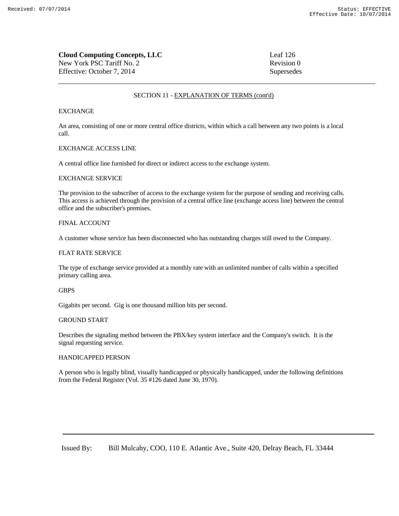| <b>Cloud Computing Concepts, LLC</b> | Leaf 126   |
|--------------------------------------|------------|
| New York PSC Tariff No. 2            | Revision 0 |
| Effective: October 7, 2014           | Supersedes |

### EXCHANGE

An area, consisting of one or more central office districts, within which a call between any two points is a local call.

#### EXCHANGE ACCESS LINE

A central office line furnished for direct or indirect access to the exchange system.

#### EXCHANGE SERVICE

The provision to the subscriber of access to the exchange system for the purpose of sending and receiving calls. This access is achieved through the provision of a central office line (exchange access line) between the central office and the subscriber's premises.

#### FINAL ACCOUNT

A customer whose service has been disconnected who has outstanding charges still owed to the Company.

### FLAT RATE SERVICE

The type of exchange service provided at a monthly rate with an unlimited number of calls within a specified primary calling area.

#### **GBPS**

Gigabits per second. Gig is one thousand million bits per second.

#### GROUND START

Describes the signaling method between the PBX/key system interface and the Company's switch. It is the signal requesting service.

#### HANDICAPPED PERSON

A person who is legally blind, visually handicapped or physically handicapped, under the following definitions from the Federal Register (Vol. 35 #126 dated June 30, 1970).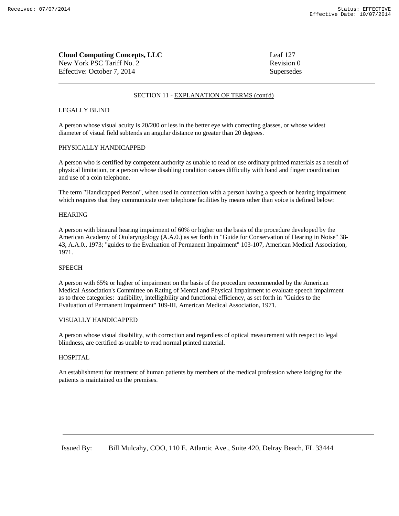| <b>Cloud Computing Concepts, LLC</b> | Leaf 127   |
|--------------------------------------|------------|
| New York PSC Tariff No. 2            | Revision 0 |
| Effective: October 7. 2014           | Supersedes |

#### LEGALLY BLIND

A person whose visual acuity is 20/200 or less in the better eye with correcting glasses, or whose widest diameter of visual field subtends an angular distance no greater than 20 degrees.

#### PHYSICALLY HANDICAPPED

A person who is certified by competent authority as unable to read or use ordinary printed materials as a result of physical limitation, or a person whose disabling condition causes difficulty with hand and finger coordination and use of a coin telephone.

The term "Handicapped Person", when used in connection with a person having a speech or hearing impairment which requires that they communicate over telephone facilities by means other than voice is defined below:

#### HEARING

A person with binaural hearing impairment of 60% or higher on the basis of the procedure developed by the American Academy of Otolaryngology (A.A.0.) as set forth in "Guide for Conservation of Hearing in Noise" 38- 43, A.A.0., 1973; "guides to the Evaluation of Permanent Impairment" 103-107, American Medical Association, 1971.

#### **SPEECH**

A person with 65% or higher of impairment on the basis of the procedure recommended by the American Medical Association's Committee on Rating of Mental and Physical Impairment to evaluate speech impairment as to three categories: audibility, intelligibility and functional efficiency, as set forth in "Guides to the Evaluation of Permanent Impairment" 109-III, American Medical Association, 1971.

### VISUALLY HANDICAPPED

A person whose visual disability, with correction and regardless of optical measurement with respect to legal blindness, are certified as unable to read normal printed material.

#### HOSPITAL

An establishment for treatment of human patients by members of the medical profession where lodging for the patients is maintained on the premises.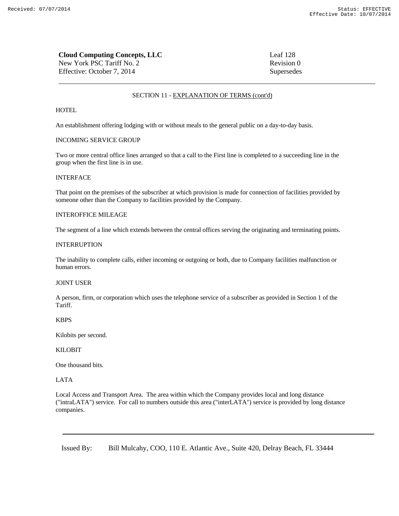| <b>Cloud Computing Concepts, LLC</b> | Leaf 128   |
|--------------------------------------|------------|
| New York PSC Tariff No. 2            | Revision 0 |
| Effective: October 7, 2014           | Supersedes |

#### **HOTEL**

An establishment offering lodging with or without meals to the general public on a day-to-day basis.

## INCOMING SERVICE GROUP

Two or more central office lines arranged so that a call to the First line is completed to a succeeding line in the group when the first line is in use.

### INTERFACE

That point on the premises of the subscriber at which provision is made for connection of facilities provided by someone other than the Company to facilities provided by the Company.

### INTEROFFICE MILEAGE

The segment of a line which extends between the central offices serving the originating and terminating points.

#### INTERRUPTION

The inability to complete calls, either incoming or outgoing or both, due to Company facilities malfunction or human errors.

### JOINT USER

A person, firm, or corporation which uses the telephone service of a subscriber as provided in Section 1 of the Tariff.

#### KBPS

Kilobits per second.

#### KILOBIT

One thousand bits.

#### LATA

Local Access and Transport Area. The area within which the Company provides local and long distance ("intraLATA") service. For call to numbers outside this area ("interLATA") service is provided by long distance companies.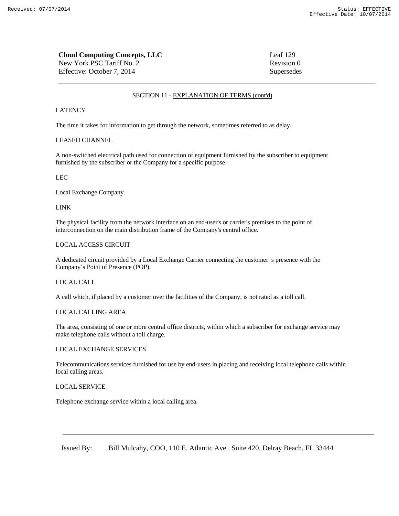| <b>Cloud Computing Concepts, LLC</b> | Leaf 129   |
|--------------------------------------|------------|
| New York PSC Tariff No. 2            | Revision 0 |
| Effective: October 7, 2014           | Supersedes |

#### LATENCY

The time it takes for information to get through the network, sometimes referred to as delay.

### LEASED CHANNEL

A non-switched electrical path used for connection of equipment furnished by the subscriber to equipment furnished by the subscriber or the Company for a specific purpose.

#### LEC

Local Exchange Company.

#### LINK

The physical facility from the network interface on an end-user's or carrier's premises to the point of interconnection on the main distribution frame of the Company's central office.

### LOCAL ACCESS CIRCUIT

A dedicated circuit provided by a Local Exchange Carrier connecting the customer s presence with the Company's Point of Presence (POP).

#### LOCAL CALL

A call which, if placed by a customer over the facilities of the Company, is not rated as a toll call.

### LOCAL CALLING AREA

The area, consisting of one or more central office districts, within which a subscriber for exchange service may make telephone calls without a toll charge.

### LOCAL EXCHANGE SERVICES

Telecommunications services furnished for use by end-users in placing and receiving local telephone calls within local calling areas.

### LOCAL SERVICE

Telephone exchange service within a local calling area.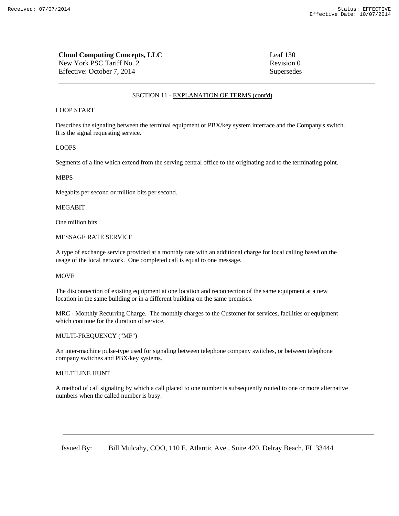| <b>Cloud Computing Concepts, LLC</b> | Leaf $130$ |
|--------------------------------------|------------|
| New York PSC Tariff No. 2            | Revision 0 |
| Effective: October 7, 2014           | Supersedes |

#### LOOP START

Describes the signaling between the terminal equipment or PBX/key system interface and the Company's switch. It is the signal requesting service.

#### LOOPS

Segments of a line which extend from the serving central office to the originating and to the terminating point.

#### MBPS

Megabits per second or million bits per second.

### MEGABIT

One million bits.

### MESSAGE RATE SERVICE

A type of exchange service provided at a monthly rate with an additional charge for local calling based on the usage of the local network. One completed call is equal to one message.

#### MOVE

The disconnection of existing equipment at one location and reconnection of the same equipment at a new location in the same building or in a different building on the same premises.

MRC - Monthly Recurring Charge. The monthly charges to the Customer for services, facilities or equipment which continue for the duration of service.

### MULTI-FREQUENCY ("MF")

An inter-machine pulse-type used for signaling between telephone company switches, or between telephone company switches and PBX/key systems.

### MULTILINE HUNT

A method of call signaling by which a call placed to one number is subsequently routed to one or more alternative numbers when the called number is busy.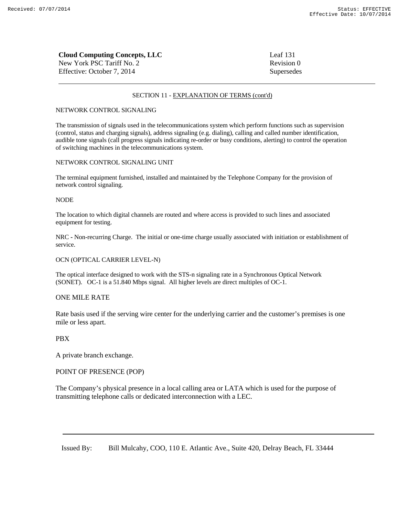| <b>Cloud Computing Concepts, LLC</b> | Leaf 131   |
|--------------------------------------|------------|
| New York PSC Tariff No. 2            | Revision 0 |
| Effective: October 7, 2014           | Supersedes |

#### NETWORK CONTROL SIGNALING

The transmission of signals used in the telecommunications system which perform functions such as supervision (control, status and charging signals), address signaling (e.g. dialing), calling and called number identification, audible tone signals (call progress signals indicating re-order or busy conditions, alerting) to control the operation of switching machines in the telecommunications system.

### NETWORK CONTROL SIGNALING UNIT

The terminal equipment furnished, installed and maintained by the Telephone Company for the provision of network control signaling.

#### NODE

The location to which digital channels are routed and where access is provided to such lines and associated equipment for testing.

NRC **-** Non-recurring Charge. The initial or one-time charge usually associated with initiation or establishment of service.

### OCN (OPTICAL CARRIER LEVEL-N)

The optical interface designed to work with the STS-n signaling rate in a Synchronous Optical Network (SONET). OC-1 is a 51.840 Mbps signal. All higher levels are direct multiples of OC-1.

### ONE MILE RATE

Rate basis used if the serving wire center for the underlying carrier and the customer's premises is one mile or less apart.

## PBX

A private branch exchange.

### POINT OF PRESENCE (POP)

The Company's physical presence in a local calling area or LATA which is used for the purpose of transmitting telephone calls or dedicated interconnection with a LEC.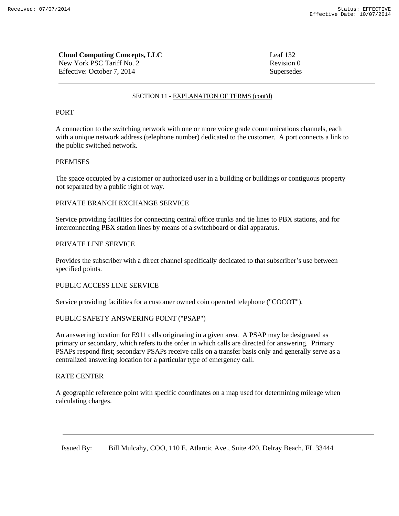| <b>Cloud Computing Concepts, LLC</b> | Leaf $132$ |
|--------------------------------------|------------|
| New York PSC Tariff No. 2            | Revision 0 |
| Effective: October 7, 2014           | Supersedes |

## PORT

A connection to the switching network with one or more voice grade communications channels, each with a unique network address (telephone number) dedicated to the customer. A port connects a link to the public switched network.

## PREMISES

The space occupied by a customer or authorized user in a building or buildings or contiguous property not separated by a public right of way.

## PRIVATE BRANCH EXCHANGE SERVICE

Service providing facilities for connecting central office trunks and tie lines to PBX stations, and for interconnecting PBX station lines by means of a switchboard or dial apparatus.

## PRIVATE LINE SERVICE

Provides the subscriber with a direct channel specifically dedicated to that subscriber's use between specified points.

## PUBLIC ACCESS LINE SERVICE

Service providing facilities for a customer owned coin operated telephone ("COCOT").

## PUBLIC SAFETY ANSWERING POINT ("PSAP")

An answering location for E911 calls originating in a given area. A PSAP may be designated as primary or secondary, which refers to the order in which calls are directed for answering. Primary PSAPs respond first; secondary PSAPs receive calls on a transfer basis only and generally serve as a centralized answering location for a particular type of emergency call.

## RATE CENTER

A geographic reference point with specific coordinates on a map used for determining mileage when calculating charges.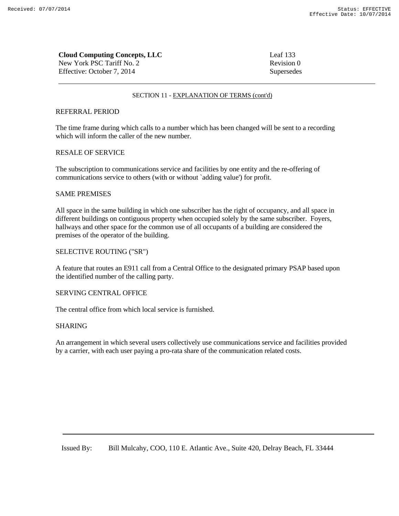| <b>Cloud Computing Concepts, LLC</b> | Leaf $133$ |
|--------------------------------------|------------|
| New York PSC Tariff No. 2            | Revision 0 |
| Effective: October 7, 2014           | Supersedes |

## REFERRAL PERIOD

The time frame during which calls to a number which has been changed will be sent to a recording which will inform the caller of the new number.

## RESALE OF SERVICE

The subscription to communications service and facilities by one entity and the re-offering of communications service to others (with or without `adding value') for profit.

### SAME PREMISES

All space in the same building in which one subscriber has the right of occupancy, and all space in different buildings on contiguous property when occupied solely by the same subscriber. Foyers, hallways and other space for the common use of all occupants of a building are considered the premises of the operator of the building.

## SELECTIVE ROUTING ("SR")

A feature that routes an E911 call from a Central Office to the designated primary PSAP based upon the identified number of the calling party.

## SERVING CENTRAL OFFICE

The central office from which local service is furnished.

## SHARING

An arrangement in which several users collectively use communications service and facilities provided by a carrier, with each user paying a pro-rata share of the communication related costs.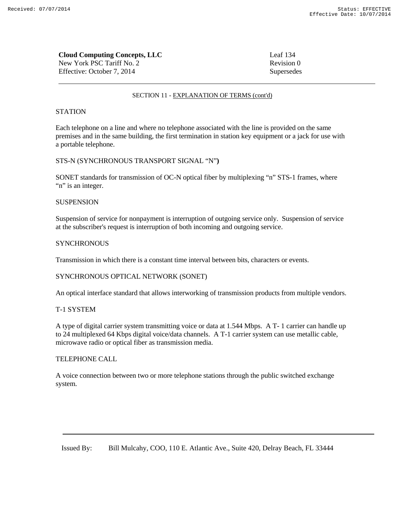| <b>Cloud Computing Concepts, LLC</b> | Leaf 134   |
|--------------------------------------|------------|
| New York PSC Tariff No. 2            | Revision 0 |
| Effective: October 7, 2014           | Supersedes |

## **STATION**

Each telephone on a line and where no telephone associated with the line is provided on the same premises and in the same building, the first termination in station key equipment or a jack for use with a portable telephone.

## STS-N (SYNCHRONOUS TRANSPORT SIGNAL "N"**)**

SONET standards for transmission of OC-N optical fiber by multiplexing "n" STS-1 frames, where "n" is an integer.

## **SUSPENSION**

Suspension of service for nonpayment is interruption of outgoing service only. Suspension of service at the subscriber's request is interruption of both incoming and outgoing service.

## **SYNCHRONOUS**

Transmission in which there is a constant time interval between bits, characters or events.

## SYNCHRONOUS OPTICAL NETWORK (SONET)

An optical interface standard that allows interworking of transmission products from multiple vendors.

## T-1 SYSTEM

A type of digital carrier system transmitting voice or data at 1.544 Mbps. A T- 1 carrier can handle up to 24 multiplexed 64 Kbps digital voice/data channels. A T-1 carrier system can use metallic cable, microwave radio or optical fiber as transmission media.

## TELEPHONE CALL

A voice connection between two or more telephone stations through the public switched exchange system.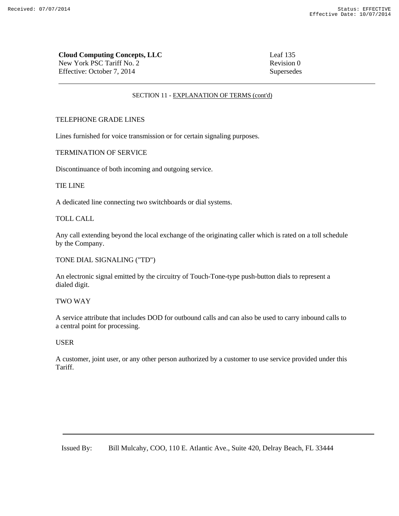| <b>Cloud Computing Concepts, LLC</b> | Leaf 135 |
|--------------------------------------|----------|
| New York PSC Tariff No. 2            | Revision |
| Effective: October 7, 2014           | Supersed |

# Revision 0 Supersedes

## SECTION 11 - EXPLANATION OF TERMS (cont'd)

## TELEPHONE GRADE LINES

Lines furnished for voice transmission or for certain signaling purposes.

## TERMINATION OF SERVICE

Discontinuance of both incoming and outgoing service.

## TIE LINE

A dedicated line connecting two switchboards or dial systems.

## TOLL CALL

Any call extending beyond the local exchange of the originating caller which is rated on a toll schedule by the Company.

## TONE DIAL SIGNALING ("TD")

An electronic signal emitted by the circuitry of Touch-Tone-type push-button dials to represent a dialed digit.

## TWO WAY

A service attribute that includes DOD for outbound calls and can also be used to carry inbound calls to a central point for processing.

## USER

A customer, joint user, or any other person authorized by a customer to use service provided under this **Tariff**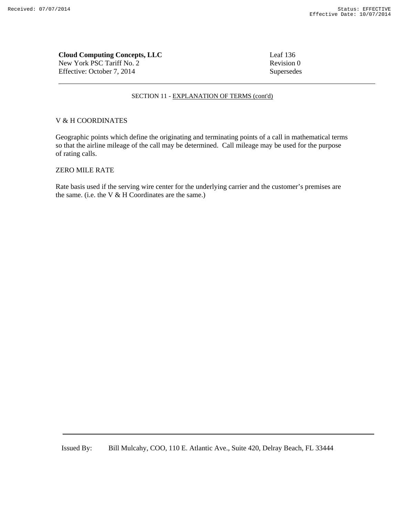**Cloud Computing Concepts, LLC** Leaf 136 New York PSC Tariff No. 2 Revision 0 Effective: October 7, 2014 Supersedes

### SECTION 11 - EXPLANATION OF TERMS (cont'd)

### V & H COORDINATES

Geographic points which define the originating and terminating points of a call in mathematical terms so that the airline mileage of the call may be determined. Call mileage may be used for the purpose of rating calls.

## ZERO MILE RATE

Rate basis used if the serving wire center for the underlying carrier and the customer's premises are the same. (i.e. the  $V & H$  Coordinates are the same.)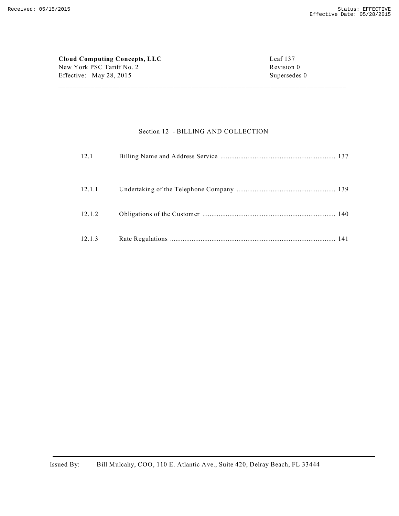| Cloud Computing Concepts, LLC | Leaf 137     |
|-------------------------------|--------------|
| New York PSC Tariff No. 2     | Revision 0   |
| Effective: May 28, 2015       | Supersedes 0 |

## Section 12 - BILLING AND COLLECTION

| 12.1   |  |
|--------|--|
| 12.1.1 |  |
| 12.1.2 |  |
| 12.1.3 |  |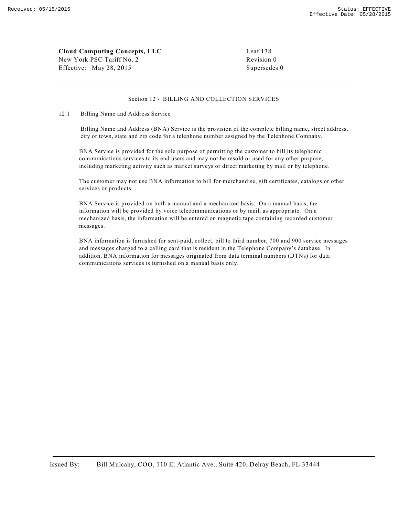## **Cloud Computing Concepts, LLC** Leaf 138 New York PSC Tariff No. 2 Revision 0

Effective: May 28, 2015 Supersedes 0

### Section 12 - BILLING AND COLLECTION SERVICES

\_\_\_\_\_\_\_\_\_\_\_\_\_\_\_\_\_\_\_\_\_\_\_\_\_\_\_\_\_\_\_\_\_\_\_\_\_\_\_\_\_\_\_\_\_\_\_\_\_\_\_\_\_\_\_\_\_\_\_\_\_\_\_\_\_\_\_\_\_\_\_\_\_\_\_\_\_\_\_\_\_\_\_\_\_\_\_\_\_

### 12.1 Billing Name and Address Service

Billing Name and Address (BNA) Service is the provision of the complete billing name, street address, city or town, state and zip code for a telephone number assigned by the Telephone Company.

BNA Service is provided for the sole purpose of permitting the customer to bill its telephonic communications services to its end users and may not be resold or used for any other purpose, including marketing activity such as market surveys or direct marketing by mail or by telephone.

The customer may not use BNA information to bill for merchandise, gift certificates, catalogs or other services or products.

BNA Service is provided on both a manual and a mechanized basis. On a manual basis, the information will be provided by voice telecommunications or by mail, as appropriate. On a mechanized basis, the information will be entered on magnetic tape containing recorded customer messages.

BNA information is furnished for sent-paid, collect, bill to third number, 700 and 900 service messages and messages charged to a calling card that is resident in the Telephone Company's database. In addition, BNA information for messages originated from data terminal numbers (DTNs) for data communications services is furnished on a manual basis only.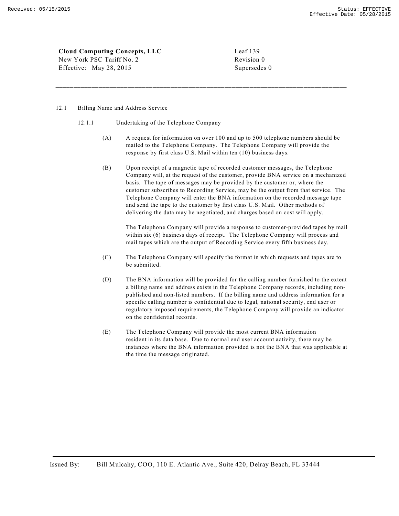**Cloud Computing Concepts, LLC** Leaf 139

New York PSC Tariff No. 2 Revision 0 Effective: May 28, 2015 Supersedes 0

### 12.1 Billing Name and Address Service

- 12.1.1 Undertaking of the Telephone Company
	- (A) A request for information on over 100 and up to 500 telephone numbers should be mailed to the Telephone Company. The Telephone Company will provide the response by first class U.S. Mail within ten (10) business days.

\_\_\_\_\_\_\_\_\_\_\_\_\_\_\_\_\_\_\_\_\_\_\_\_\_\_\_\_\_\_\_\_\_\_\_\_\_\_\_\_\_\_\_\_\_\_\_\_\_\_\_\_\_\_\_\_\_\_\_\_\_\_\_\_\_\_\_\_\_\_\_\_\_\_\_\_\_\_\_\_\_

(B) Upon receipt of a magnetic tape of recorded customer messages, the Telephone Company will, at the request of the customer, provide BNA service on a mechanized basis. The tape of messages may be provided by the customer or, where the customer subscribes to Recording Service, may be the output from that service. The Telephone Company will enter the BNA information on the recorded message tape and send the tape to the customer by first class U.S. Mail. Other methods of delivering the data may be negotiated, and charges based on cost will apply.

The Telephone Company will provide a response to customer-provided tapes by mail within six (6) business days of receipt. The Telephone Company will process and mail tapes which are the output of Recording Service every fifth business day.

- (C) The Telephone Company will specify the format in which requests and tapes are to be submitted.
- (D) The BNA information will be provided for the calling number furnished to the extent a billing name and address exists in the Telephone Company records, including nonpublished and non-listed numbers. If the billing name and address information for a specific calling number is confidential due to legal, national security, end user or regulatory imposed requirements, the Telephone Company will provide an indicator on the confidential records.
- (E) The Telephone Company will provide the most current BNA information resident in its data base. Due to normal end user account activity, there may be instances where the BNA information provided is not the BNA that was applicable at the time the message originated.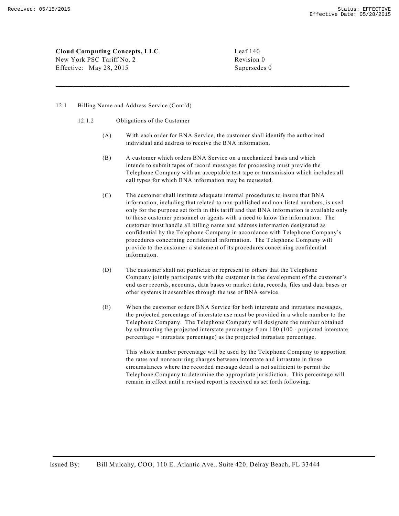**Cloud Computing Concepts, LLC** Leaf 140 New York PSC Tariff No. 2 Revision 0

Effective: May 28, 2015 Supersedes 0

### 12.1 Billing Name and Address Service (Cont'd)

- 12.1.2 Obligations of the Customer
	- (A) With each order for BNA Service, the customer shall identify the authorized individual and address to receive the BNA information.

\_\_\_\_\_ \_\_\_\_\_\_\_\_\_\_\_\_\_\_\_\_\_\_\_\_\_\_\_\_\_\_\_\_\_\_\_\_\_\_\_\_\_\_\_\_\_\_\_\_\_\_\_\_\_\_\_\_\_\_\_\_\_\_\_\_\_\_\_\_\_\_\_\_\_\_\_\_\_\_\_\_\_\_\_\_\_\_

- (B) A customer which orders BNA Service on a mechanized basis and which intends to submit tapes of record messages for processing must provide the Telephone Company with an acceptable test tape or transmission which includes all call types for which BNA information may be requested.
- (C) The customer shall institute adequate internal procedures to insure that BNA information, including that related to non-published and non-listed numbers, is used only for the purpose set forth in this tariff and that BNA information is available only to those customer personnel or agents with a need to know the information. The customer must handle all billing name and address information designated as confidential by the Telephone Company in accordance with Telephone Company's procedures concerning confidential information. The Telephone Company will provide to the customer a statement of its procedures concerning confidential information.
- (D) The customer shall not publicize or represent to others that the Telephone Company jointly participates with the customer in the development of the customer's end user records, accounts, data bases or market data, records, files and data bases or other systems it assembles through the use of BNA service.
- (E) When the customer orders BNA Service for both interstate and intrastate messages, the projected percentage of interstate use must be provided in a whole number to the Telephone Company. The Telephone Company will designate the number obtained by subtracting the projected interstate percentage from 100 (100 - projected interstate percentage = intrastate percentage) as the projected intrastate percentage.

This whole number percentage will be used by the Telephone Company to apportion the rates and nonrecurring charges between interstate and intrastate in those circumstances where the recorded message detail is not sufficient to permit the Telephone Company to determine the appropriate jurisdiction. This percentage will remain in effect until a revised report is received as set forth following.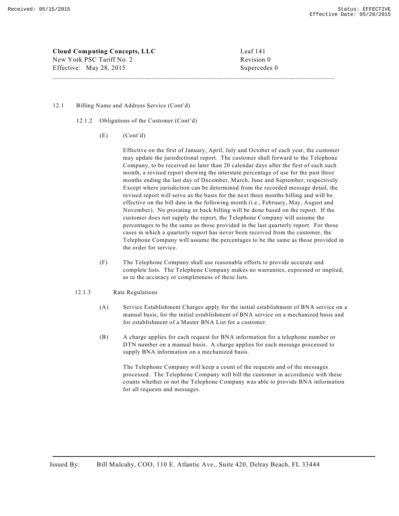**Cloud Computing Concepts, LLC** Leaf 141 New York PSC Tariff No. 2 Revision 0 Effective: May 28, 2015 Supercedes 0

#### 12.1 Billing Name and Address Service (Cont'd)

- 12.1.2 Obligations of the Customer (Cont'd)
	- (E) (Cont'd)

Effective on the first of January, April, July and October of each year, the customer may update the jurisdictional report. The customer shall forward to the Telephone Company, to be received no later than 20 calendar days after the first of each such month, a revised report showing the interstate percentage of use for the past three months ending the last day of December, March, June and September, respectively. Except where jurisdiction can be determined from the recorded message detail, the revised report will serve as the basis for the next three months billing and will be effective on the bill date in the following month (i.e., February, May, August and November). No prorating or back billing will be done based on the report. If the customer does not supply the report, the Telephone Company will assume the percentages to be the same as those provided in the last quarterly report. For those cases in which a quarterly report has never been received from the customer, the Telephone Company will assume the percentages to be the same as those provided in the order for service.

\_\_\_\_\_\_\_\_\_\_\_\_\_\_\_\_\_\_\_\_\_\_\_\_\_\_\_\_\_\_\_\_\_\_\_\_\_\_\_\_\_\_\_\_\_\_\_\_\_\_\_\_\_\_\_\_\_\_\_\_\_\_\_\_\_\_\_\_\_\_\_\_\_\_\_\_\_\_\_\_\_\_\_\_\_\_

(F) The Telephone Company shall use reasonable efforts to provide accurate and complete lists. The Telephone Company makes no warranties, expressed or implied, as to the accuracy or completeness of these lists.

#### 12.1.3 Rate Regulations

- (A) Service Establishment Charges apply for the initial establishment of BNA service on a manual basis, for the initial establishment of BNA service on a mechanized basis and for establishment of a Master BNA List for a customer.
- (B) A charge applies for each request for BNA information for a telephone number or DTN number on a manual basis. A charge applies for each message processed to supply BNA information on a mechanized basis.

The Telephone Company will keep a count of the requests and of the messages processed. The Telephone Company will bill the customer in accordance with these counts whether or not the Telephone Company was able to provide BNA information for all requests and messages.